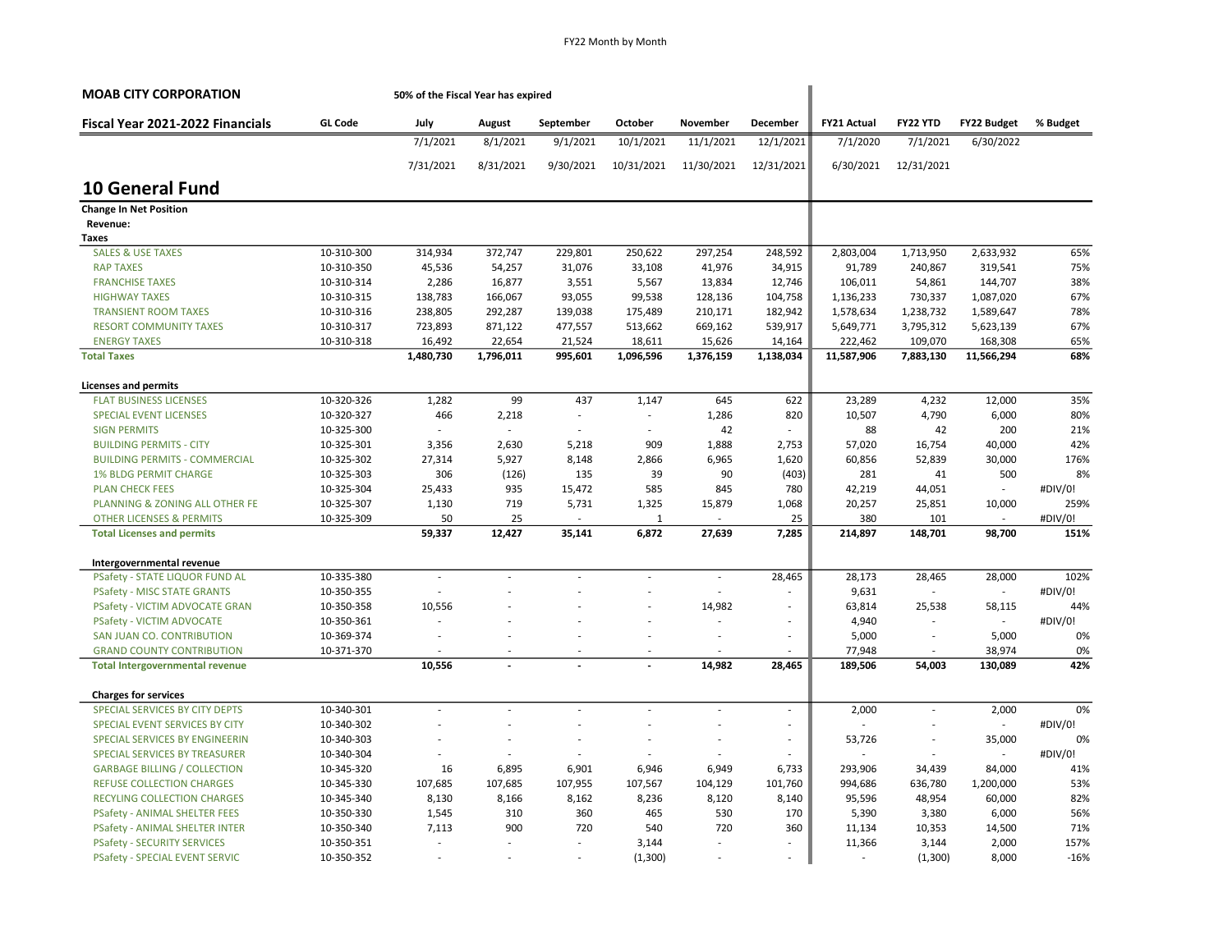| <b>MOAB CITY CORPORATION</b>           |                | 50% of the Fiscal Year has expired |                          |                          |                          |                          |            |                    |                          |                    |          |
|----------------------------------------|----------------|------------------------------------|--------------------------|--------------------------|--------------------------|--------------------------|------------|--------------------|--------------------------|--------------------|----------|
| Fiscal Year 2021-2022 Financials       | <b>GL Code</b> | July                               | August                   | September                | October                  | November                 | December   | <b>FY21 Actual</b> | FY22 YTD                 | <b>FY22 Budget</b> | % Budget |
|                                        |                | 7/1/2021                           | 8/1/2021                 | 9/1/2021                 | 10/1/2021                | 11/1/2021                | 12/1/2021  | 7/1/2020           | 7/1/2021                 | 6/30/2022          |          |
|                                        |                | 7/31/2021                          | 8/31/2021                | 9/30/2021                | 10/31/2021               | 11/30/2021               | 12/31/2021 | 6/30/2021          | 12/31/2021               |                    |          |
| <b>10 General Fund</b>                 |                |                                    |                          |                          |                          |                          |            |                    |                          |                    |          |
| <b>Change In Net Position</b>          |                |                                    |                          |                          |                          |                          |            |                    |                          |                    |          |
| Revenue:                               |                |                                    |                          |                          |                          |                          |            |                    |                          |                    |          |
| Taxes                                  |                |                                    |                          |                          |                          |                          |            |                    |                          |                    |          |
| <b>SALES &amp; USE TAXES</b>           | 10-310-300     | 314,934                            | 372,747                  | 229,801                  | 250,622                  | 297,254                  | 248,592    | 2,803,004          | 1,713,950                | 2,633,932          | 65%      |
| <b>RAP TAXES</b>                       | 10-310-350     | 45,536                             | 54,257                   | 31,076                   | 33,108                   | 41,976                   | 34,915     | 91,789             | 240,867                  | 319,541            | 75%      |
| <b>FRANCHISE TAXES</b>                 | 10-310-314     | 2,286                              | 16,877                   | 3,551                    | 5,567                    | 13,834                   | 12,746     | 106,011            | 54,861                   | 144,707            | 38%      |
| <b>HIGHWAY TAXES</b>                   | 10-310-315     | 138,783                            | 166,067                  | 93,055                   | 99,538                   | 128,136                  | 104,758    | 1,136,233          | 730,337                  | 1,087,020          | 67%      |
| <b>TRANSIENT ROOM TAXES</b>            | 10-310-316     | 238,805                            | 292,287                  | 139,038                  | 175,489                  | 210,171                  | 182,942    | 1,578,634          | 1,238,732                | 1,589,647          | 78%      |
| <b>RESORT COMMUNITY TAXES</b>          | 10-310-317     | 723,893                            | 871,122                  | 477,557                  | 513,662                  | 669,162                  | 539,917    | 5,649,771          | 3,795,312                | 5,623,139          | 67%      |
| <b>ENERGY TAXES</b>                    | 10-310-318     | 16,492                             | 22,654                   | 21,524                   | 18,611                   | 15,626                   | 14,164     | 222,462            | 109,070                  | 168,308            | 65%      |
| <b>Total Taxes</b>                     |                | 1,480,730                          | 1,796,011                | 995,601                  | 1,096,596                | 1,376,159                | 1,138,034  | 11,587,906         | 7,883,130                | 11,566,294         | 68%      |
| <b>Licenses and permits</b>            |                |                                    |                          |                          |                          |                          |            |                    |                          |                    |          |
| <b>FLAT BUSINESS LICENSES</b>          | 10-320-326     | 1,282                              | 99                       | 437                      | 1,147                    | 645                      | 622        | 23,289             | 4,232                    | 12,000             | 35%      |
| <b>SPECIAL EVENT LICENSES</b>          | 10-320-327     | 466                                | 2,218                    | $\sim$                   |                          | 1,286                    | 820        | 10,507             | 4,790                    | 6,000              | 80%      |
| <b>SIGN PERMITS</b>                    | 10-325-300     |                                    | $\sim$                   |                          | ÷.                       | 42                       |            | 88                 | 42                       | 200                | 21%      |
| <b>BUILDING PERMITS - CITY</b>         | 10-325-301     | 3,356                              | 2,630                    | 5,218                    | 909                      | 1,888                    | 2,753      | 57,020             | 16,754                   | 40,000             | 42%      |
| <b>BUILDING PERMITS - COMMERCIAL</b>   | 10-325-302     | 27,314                             | 5,927                    | 8,148                    | 2,866                    | 6,965                    | 1,620      | 60,856             | 52,839                   | 30,000             | 176%     |
| <b>1% BLDG PERMIT CHARGE</b>           | 10-325-303     | 306                                | (126)                    | 135                      | 39                       | 90                       | (403)      | 281                | 41                       | 500                | 8%       |
| <b>PLAN CHECK FEES</b>                 | 10-325-304     | 25,433                             | 935                      | 15,472                   | 585                      | 845                      | 780        | 42,219             | 44,051                   | L.                 | #DIV/0!  |
| PLANNING & ZONING ALL OTHER FE         | 10-325-307     | 1,130                              | 719                      | 5,731                    | 1,325                    | 15,879                   | 1,068      | 20,257             | 25,851                   | 10,000             | 259%     |
| <b>OTHER LICENSES &amp; PERMITS</b>    | 10-325-309     | 50                                 | 25                       |                          | $\mathbf{1}$             | ä,                       | 25         | 380                | 101                      | $\sim$             | #DIV/0!  |
| <b>Total Licenses and permits</b>      |                | 59,337                             | 12,427                   | 35,141                   | 6,872                    | 27,639                   | 7,285      | 214,897            | 148,701                  | 98,700             | 151%     |
| Intergovernmental revenue              |                |                                    |                          |                          |                          |                          |            |                    |                          |                    |          |
| PSafety - STATE LIQUOR FUND AL         | 10-335-380     | $\overline{\phantom{a}}$           | ÷.                       |                          | ÷                        | $\sim$                   | 28,465     | 28,173             | 28,465                   | 28,000             | 102%     |
| <b>PSafety - MISC STATE GRANTS</b>     | 10-350-355     |                                    |                          |                          |                          | ÷,                       |            | 9,631              | $\sim$                   | L.                 | #DIV/0!  |
| PSafety - VICTIM ADVOCATE GRAN         | 10-350-358     | 10,556                             |                          |                          |                          | 14,982                   |            | 63,814             | 25,538                   | 58,115             | 44%      |
| PSafety - VICTIM ADVOCATE              | 10-350-361     |                                    |                          |                          |                          | ÷                        | $\sim$     | 4,940              | $\overline{\phantom{a}}$ | ä,                 | #DIV/0!  |
| SAN JUAN CO. CONTRIBUTION              | 10-369-374     |                                    |                          |                          |                          | ÷,                       | $\sim$     | 5,000              | ÷                        | 5,000              | 0%       |
| <b>GRAND COUNTY CONTRIBUTION</b>       | 10-371-370     |                                    |                          |                          | $\overline{\phantom{a}}$ |                          |            | 77,948             | $\overline{\phantom{a}}$ | 38,974             | 0%       |
| <b>Total Intergovernmental revenue</b> |                | 10,556                             |                          |                          |                          | 14,982                   | 28,465     | 189,506            | 54,003                   | 130,089            | 42%      |
| <b>Charges for services</b>            |                |                                    |                          |                          |                          |                          |            |                    |                          |                    |          |
| SPECIAL SERVICES BY CITY DEPTS         | 10-340-301     | ÷,                                 | $\overline{\phantom{a}}$ | $\sim$                   | ÷,                       | $\overline{\phantom{a}}$ | $\sim$     | 2,000              | ÷                        | 2,000              | 0%       |
| SPECIAL EVENT SERVICES BY CITY         | 10-340-302     | ÷                                  | ÷.                       | $\overline{\phantom{a}}$ |                          | ÷,                       | $\sim$     |                    |                          |                    | #DIV/0!  |
| SPECIAL SERVICES BY ENGINEERIN         | 10-340-303     |                                    |                          |                          |                          | ÷,                       |            | 53,726             | ä,                       | 35,000             | 0%       |
| SPECIAL SERVICES BY TREASURER          | 10-340-304     | ٠                                  |                          |                          |                          |                          |            |                    | ÷                        | ÷.                 | #DIV/0!  |
| <b>GARBAGE BILLING / COLLECTION</b>    | 10-345-320     | 16                                 | 6,895                    | 6,901                    | 6,946                    | 6,949                    | 6,733      | 293,906            | 34,439                   | 84,000             | 41%      |
| <b>REFUSE COLLECTION CHARGES</b>       | 10-345-330     | 107,685                            | 107,685                  | 107,955                  | 107,567                  | 104,129                  | 101,760    | 994,686            | 636,780                  | 1,200,000          | 53%      |
| RECYLING COLLECTION CHARGES            | 10-345-340     | 8,130                              | 8,166                    | 8,162                    | 8,236                    | 8,120                    | 8,140      | 95,596             | 48,954                   | 60,000             | 82%      |
| <b>PSafety - ANIMAL SHELTER FEES</b>   | 10-350-330     | 1,545                              | 310                      | 360                      | 465                      | 530                      | 170        | 5,390              | 3,380                    | 6,000              | 56%      |
| <b>PSafety - ANIMAL SHELTER INTER</b>  | 10-350-340     | 7,113                              | 900                      | 720                      | 540                      | 720                      | 360        | 11,134             | 10,353                   | 14,500             | 71%      |
| <b>PSafety - SECURITY SERVICES</b>     | 10-350-351     | ٠                                  |                          |                          | 3,144                    | ÷.                       |            | 11,366             | 3,144                    | 2,000              | 157%     |
| <b>PSafety - SPECIAL EVENT SERVIC</b>  | 10-350-352     | ÷,                                 |                          |                          | (1, 300)                 |                          |            |                    | (1, 300)                 | 8,000              | $-16%$   |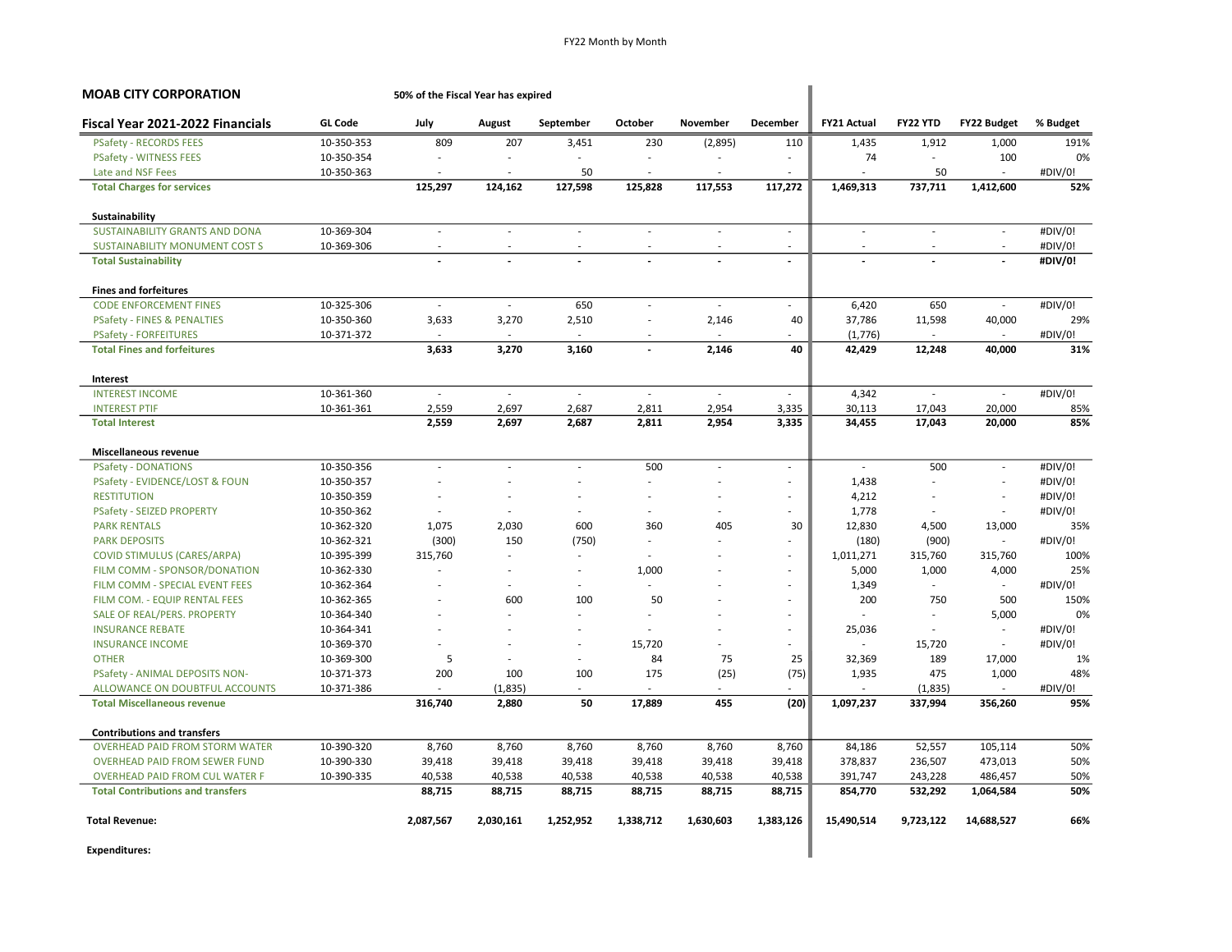| <b>MOAB CITY CORPORATION</b>             |                | 50% of the Fiscal Year has expired |                          |                          |                          |                          |                          |                          |                             |                          |          |
|------------------------------------------|----------------|------------------------------------|--------------------------|--------------------------|--------------------------|--------------------------|--------------------------|--------------------------|-----------------------------|--------------------------|----------|
| Fiscal Year 2021-2022 Financials         | <b>GL Code</b> | July                               | <b>August</b>            | September                | October                  | November                 | December                 | <b>FY21 Actual</b>       | FY22 YTD                    | <b>FY22 Budget</b>       | % Budget |
| <b>PSafety - RECORDS FEES</b>            | 10-350-353     | 809                                | 207                      | 3,451                    | 230                      | (2,895)                  | 110                      | 1,435                    | 1,912                       | 1,000                    | 191%     |
| <b>PSafety - WITNESS FEES</b>            | 10-350-354     |                                    | $\overline{\phantom{a}}$ | ÷.                       | ٠                        | $\sim$                   | $\sim$                   | 74                       | $\mathcal{L}_{\mathcal{A}}$ | 100                      | 0%       |
| Late and NSF Fees                        | 10-350-363     |                                    | $\sim$                   | 50                       |                          | ÷                        | ÷.                       |                          | 50                          |                          | #DIV/0!  |
| <b>Total Charges for services</b>        |                | 125,297                            | 124,162                  | 127,598                  | 125,828                  | 117,553                  | 117,272                  | 1,469,313                | 737,711                     | 1,412,600                | 52%      |
| Sustainability                           |                |                                    |                          |                          |                          |                          |                          |                          |                             |                          |          |
| SUSTAINABILITY GRANTS AND DONA           | 10-369-304     | $\sim$                             | $\bar{a}$                | $\sim$                   | $\sim$                   | $\mathcal{L}$            | $\bar{a}$                | $\sim$                   | $\sim$                      | $\omega$                 | #DIV/0!  |
| <b>SUSTAINABILITY MONUMENT COST S</b>    | 10-369-306     |                                    |                          |                          |                          | $\overline{\phantom{a}}$ | ٠                        | $\overline{\phantom{a}}$ |                             | $\sim$                   | #DIV/0!  |
| <b>Total Sustainability</b>              |                |                                    |                          |                          |                          |                          | $\overline{a}$           |                          |                             | $\overline{\phantom{a}}$ | #DIV/0!  |
| <b>Fines and forfeitures</b>             |                |                                    |                          |                          |                          |                          |                          |                          |                             |                          |          |
| <b>CODE ENFORCEMENT FINES</b>            | 10-325-306     | $\sim$                             | $\sim$                   | 650                      | ä,                       | $\sim$                   | ÷                        | 6.420                    | 650                         | $\mathcal{L}$            | #DIV/0!  |
| <b>PSafety - FINES &amp; PENALTIES</b>   | 10-350-360     | 3,633                              | 3,270                    | 2,510                    | ٠                        | 2,146                    | 40                       | 37,786                   | 11,598                      | 40,000                   | 29%      |
| <b>PSafety - FORFEITURES</b>             | 10-371-372     |                                    | $\sim$                   |                          | $\sim$                   | $\sim$                   | ٠                        | (1,776)                  | $\sim$                      |                          | #DIV/0!  |
| <b>Total Fines and forfeitures</b>       |                | 3,633                              | 3,270                    | 3,160                    | $\overline{\phantom{a}}$ | 2,146                    | 40                       | 42,429                   | 12,248                      | 40,000                   | 31%      |
| Interest                                 |                |                                    |                          |                          |                          |                          |                          |                          |                             |                          |          |
| <b>INTEREST INCOME</b>                   | 10-361-360     |                                    | $\sim$                   | $\sim$                   | $\sim$                   | $\sim$                   | $\sim$                   | 4,342                    | $\mathcal{L}_{\mathcal{A}}$ | $\sim$                   | #DIV/0!  |
| <b>INTEREST PTIF</b>                     | 10-361-361     | 2,559                              | 2,697                    | 2,687                    | 2,811                    | 2,954                    | 3,335                    | 30,113                   | 17,043                      | 20,000                   | 85%      |
| <b>Total Interest</b>                    |                | 2,559                              | 2,697                    | 2,687                    | 2,811                    | 2,954                    | 3,335                    | 34,455                   | 17,043                      | 20,000                   | 85%      |
| Miscellaneous revenue                    |                |                                    |                          |                          |                          |                          |                          |                          |                             |                          |          |
| <b>PSafety - DONATIONS</b>               | 10-350-356     | $\sim$                             | ÷,                       | $\overline{\phantom{a}}$ | 500                      | $\sim$                   | $\bar{a}$                | $\sim$                   | 500                         | $\bar{a}$                | #DIV/0!  |
| PSafety - EVIDENCE/LOST & FOUN           | 10-350-357     |                                    | ÷,                       | Ĭ.                       |                          |                          | ä,                       | 1,438                    | ä,                          | $\overline{\phantom{a}}$ | #DIV/0!  |
| <b>RESTITUTION</b>                       | 10-350-359     |                                    | $\sim$                   | ÷.                       |                          | $\sim$                   | $\sim$                   | 4,212                    | ÷.                          | ÷                        | #DIV/0!  |
| <b>PSafety - SEIZED PROPERTY</b>         | 10-350-362     |                                    | $\overline{a}$           | ä,                       | $\sim$                   | $\sim$                   | ÷.                       | 1,778                    | $\sim$                      | $\sim$                   | #DIV/0!  |
| <b>PARK RENTALS</b>                      | 10-362-320     | 1,075                              | 2.030                    | 600                      | 360                      | 405                      | 30                       | 12,830                   | 4,500                       | 13,000                   | 35%      |
| <b>PARK DEPOSITS</b>                     | 10-362-321     | (300)                              | 150                      | (750)                    | $\sim$                   | $\sim$                   | ٠                        | (180)                    | (900)                       | $\overline{\phantom{a}}$ | #DIV/0!  |
| <b>COVID STIMULUS (CARES/ARPA)</b>       | 10-395-399     | 315,760                            | ÷.                       |                          |                          |                          | ÷                        | 1,011,271                | 315,760                     | 315,760                  | 100%     |
| FILM COMM - SPONSOR/DONATION             | 10-362-330     |                                    |                          | ä,                       | 1,000                    |                          | ä,                       | 5,000                    | 1,000                       | 4,000                    | 25%      |
| FILM COMM - SPECIAL EVENT FEES           | 10-362-364     |                                    | $\sim$                   | ٠                        |                          |                          | ÷.                       | 1,349                    | $\sim$                      | $\sim$                   | #DIV/0!  |
| FILM COM. - EQUIP RENTAL FEES            | 10-362-365     |                                    | 600                      | 100                      | 50                       |                          | $\overline{\phantom{a}}$ | 200                      | 750                         | 500                      | 150%     |
| SALE OF REAL/PERS. PROPERTY              | 10-364-340     |                                    |                          |                          |                          |                          | $\overline{\phantom{a}}$ |                          |                             | 5,000                    | 0%       |
| <b>INSURANCE REBATE</b>                  | 10-364-341     |                                    |                          | ÷.                       |                          |                          | $\sim$                   | 25,036                   | $\sim$                      |                          | #DIV/0!  |
| <b>INSURANCE INCOME</b>                  | 10-369-370     |                                    |                          | ä,                       | 15,720                   |                          | ÷                        | $\sim$                   | 15,720                      | $\sim$                   | #DIV/0!  |
| <b>OTHER</b>                             | 10-369-300     | 5                                  |                          | ÷,                       | 84                       | 75                       | 25                       | 32,369                   | 189                         | 17,000                   | 1%       |
| PSafety - ANIMAL DEPOSITS NON-           | 10-371-373     | 200                                | 100                      | 100                      | 175                      | (25)                     | (75)                     | 1,935                    | 475                         | 1,000                    | 48%      |
| ALLOWANCE ON DOUBTFUL ACCOUNTS           | 10-371-386     |                                    | (1, 835)                 | ä,                       |                          |                          |                          |                          | (1, 835)                    |                          | #DIV/0!  |
| <b>Total Miscellaneous revenue</b>       |                | 316,740                            | 2,880                    | 50                       | 17,889                   | 455                      | (20)                     | 1,097,237                | 337,994                     | 356,260                  | 95%      |
| <b>Contributions and transfers</b>       |                |                                    |                          |                          |                          |                          |                          |                          |                             |                          |          |
| <b>OVERHEAD PAID FROM STORM WATER</b>    | 10-390-320     | 8,760                              | 8,760                    | 8,760                    | 8,760                    | 8,760                    | 8,760                    | 84,186                   | 52,557                      | 105,114                  | 50%      |
| <b>OVERHEAD PAID FROM SEWER FUND</b>     | 10-390-330     | 39,418                             | 39,418                   | 39,418                   | 39,418                   | 39,418                   | 39,418                   | 378,837                  | 236,507                     | 473,013                  | 50%      |
| <b>OVERHEAD PAID FROM CUL WATER F</b>    | 10-390-335     | 40,538                             | 40,538                   | 40,538                   | 40,538                   | 40,538                   | 40,538                   | 391,747                  | 243,228                     | 486,457                  | 50%      |
| <b>Total Contributions and transfers</b> |                | 88,715                             | 88,715                   | 88,715                   | 88,715                   | 88,715                   | 88,715                   | 854,770                  | 532,292                     | 1,064,584                | 50%      |
| <b>Total Revenue:</b>                    |                | 2,087,567                          | 2,030,161                | 1,252,952                | 1,338,712                | 1,630,603                | 1,383,126                | 15,490,514               | 9,723,122                   | 14,688,527               | 66%      |
| <b>Expenditures:</b>                     |                |                                    |                          |                          |                          |                          |                          |                          |                             |                          |          |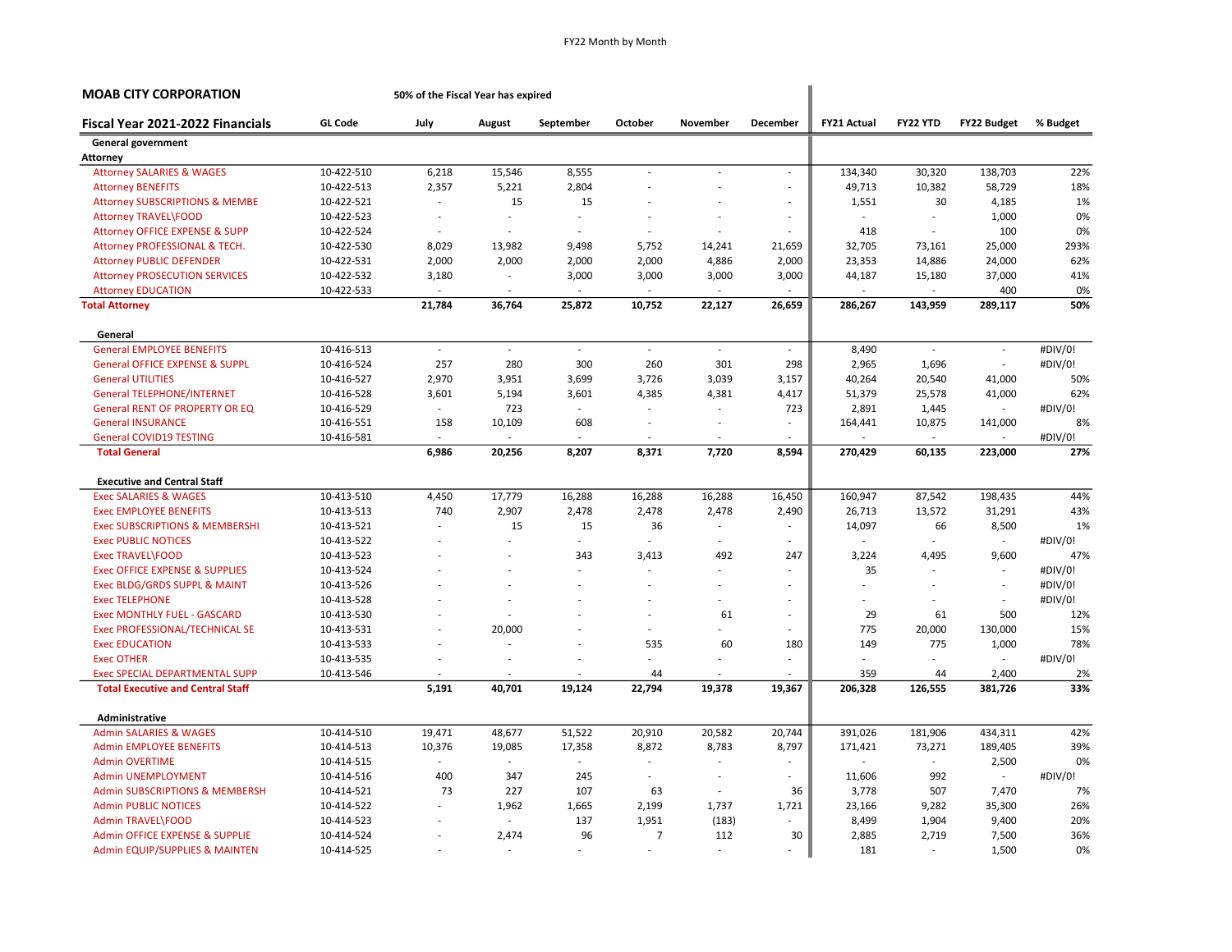| <b>MOAB CITY CORPORATION</b>              |                | 50% of the Fiscal Year has expired |        |           |                          |                          |                          |                    |               |                          |          |
|-------------------------------------------|----------------|------------------------------------|--------|-----------|--------------------------|--------------------------|--------------------------|--------------------|---------------|--------------------------|----------|
| Fiscal Year 2021-2022 Financials          | <b>GL Code</b> | July                               | August | September | October                  | November                 | <b>December</b>          | <b>FY21 Actual</b> | FY22 YTD      | FY22 Budget              | % Budget |
| <b>General government</b>                 |                |                                    |        |           |                          |                          |                          |                    |               |                          |          |
| Attorney                                  |                |                                    |        |           |                          |                          |                          |                    |               |                          |          |
| <b>Attorney SALARIES &amp; WAGES</b>      | 10-422-510     | 6,218                              | 15,546 | 8,555     | $\sim$                   | $\overline{\phantom{a}}$ | $\sim$                   | 134,340            | 30,320        | 138,703                  | 22%      |
| <b>Attorney BENEFITS</b>                  | 10-422-513     | 2,357                              | 5,221  | 2,804     |                          |                          | $\overline{\phantom{a}}$ | 49,713             | 10,382        | 58,729                   | 18%      |
| <b>Attorney SUBSCRIPTIONS &amp; MEMBE</b> | 10-422-521     | ÷,                                 | 15     | 15        |                          |                          | ٠                        | 1,551              | 30            | 4,185                    | 1%       |
| Attorney TRAVEL\FOOD                      | 10-422-523     | $\overline{\phantom{a}}$           |        | ÷         |                          |                          | ä,                       |                    | ÷.            | 1,000                    | 0%       |
| <b>Attorney OFFICE EXPENSE &amp; SUPP</b> | 10-422-524     |                                    |        |           |                          |                          |                          | 418                | $\sim$        | 100                      | 0%       |
| Attorney PROFESSIONAL & TECH.             | 10-422-530     | 8,029                              | 13,982 | 9,498     | 5,752                    | 14,241                   | 21,659                   | 32,705             | 73,161        | 25,000                   | 293%     |
| <b>Attorney PUBLIC DEFENDER</b>           | 10-422-531     | 2,000                              | 2,000  | 2,000     | 2,000                    | 4,886                    | 2,000                    | 23,353             | 14,886        | 24,000                   | 62%      |
| <b>Attorney PROSECUTION SERVICES</b>      | 10-422-532     | 3,180                              | ä,     | 3,000     | 3,000                    | 3,000                    | 3,000                    | 44,187             | 15,180        | 37,000                   | 41%      |
| <b>Attorney EDUCATION</b>                 | 10-422-533     |                                    |        |           |                          |                          |                          |                    |               | 400                      | 0%       |
| <b>Total Attorney</b>                     |                | 21,784                             | 36,764 | 25,872    | 10,752                   | 22,127                   | 26,659                   | 286,267            | 143,959       | 289,117                  | 50%      |
| General                                   |                |                                    |        |           |                          |                          |                          |                    |               |                          |          |
| <b>General EMPLOYEE BENEFITS</b>          | 10-416-513     | $\mathcal{L}$                      | $\sim$ | $\sim$    | $\sim$                   | ÷,                       | $\sim$                   | 8,490              | $\mathcal{L}$ | $\mathcal{L}$            | #DIV/0!  |
| <b>General OFFICE EXPENSE &amp; SUPPL</b> | 10-416-524     | 257                                | 280    | 300       | 260                      | 301                      | 298                      | 2,965              | 1,696         | $\sim$                   | #DIV/0!  |
| <b>General UTILITIES</b>                  | 10-416-527     | 2,970                              | 3,951  | 3,699     | 3,726                    | 3,039                    | 3,157                    | 40,264             | 20,540        | 41,000                   | 50%      |
| <b>General TELEPHONE/INTERNET</b>         | 10-416-528     | 3,601                              | 5,194  | 3,601     | 4,385                    | 4,381                    | 4,417                    | 51,379             | 25,578        | 41,000                   | 62%      |
| <b>General RENT OF PROPERTY OR EQ.</b>    | 10-416-529     | $\sim$                             | 723    | ÷.        | $\sim$                   | ÷,                       | 723                      | 2,891              | 1,445         | ÷                        | #DIV/0!  |
| <b>General INSURANCE</b>                  | 10-416-551     | 158                                | 10,109 | 608       | $\sim$                   | ٠                        | ٠                        | 164,441            | 10,875        | 141,000                  | 8%       |
| <b>General COVID19 TESTING</b>            | 10-416-581     |                                    | ÷,     |           |                          | ÷,                       |                          |                    | $\sim$        |                          | #DIV/0!  |
| <b>Total General</b>                      |                | 6,986                              | 20,256 | 8,207     | 8,371                    | 7.720                    | 8,594                    | 270,429            | 60,135        | 223,000                  | 27%      |
| <b>Executive and Central Staff</b>        |                |                                    |        |           |                          |                          |                          |                    |               |                          |          |
| <b>Exec SALARIES &amp; WAGES</b>          | 10-413-510     | 4,450                              | 17,779 | 16,288    | 16,288                   | 16,288                   | 16,450                   | 160,947            | 87,542        | 198,435                  | 44%      |
| <b>Exec EMPLOYEE BENEFITS</b>             | 10-413-513     | 740                                | 2,907  | 2,478     | 2,478                    | 2,478                    | 2,490                    | 26,713             | 13,572        | 31,291                   | 43%      |
| <b>Exec SUBSCRIPTIONS &amp; MEMBERSHI</b> | 10-413-521     |                                    | 15     | 15        | 36                       | ä,                       |                          | 14,097             | 66            | 8,500                    | 1%       |
| <b>Exec PUBLIC NOTICES</b>                | 10-413-522     |                                    | ÷      |           | ÷                        | ÷                        | ÷.                       | $\sim$             | ÷             | $\overline{\phantom{a}}$ | #DIV/0!  |
| <b>Exec TRAVEL\FOOD</b>                   | 10-413-523     |                                    |        | 343       | 3,413                    | 492                      | 247                      | 3,224              | 4,495         | 9,600                    | 47%      |
| <b>Exec OFFICE EXPENSE &amp; SUPPLIES</b> | 10-413-524     |                                    |        |           |                          | ÷,                       | ÷.                       | 35                 |               |                          | #DIV/0!  |
| Exec BLDG/GRDS SUPPL & MAINT              | 10-413-526     |                                    | ÷.     |           | $\sim$                   | ÷,                       | ä,                       | ä,                 | $\sim$        | $\overline{\phantom{a}}$ | #DIV/0!  |
| <b>Exec TELEPHONE</b>                     | 10-413-528     |                                    |        |           |                          |                          |                          |                    |               | $\overline{\phantom{a}}$ | #DIV/0!  |
| Exec MONTHLY FUEL - GASCARD               | 10-413-530     |                                    |        |           |                          | 61                       | ÷.                       | 29                 | 61            | 500                      | 12%      |
| Exec PROFESSIONAL/TECHNICAL SE            | 10-413-531     |                                    | 20,000 |           | ÷.                       |                          |                          | 775                | 20,000        | 130,000                  | 15%      |
| <b>Exec EDUCATION</b>                     | 10-413-533     |                                    |        |           | 535                      | 60                       | 180                      | 149                | 775           | 1,000                    | 78%      |
| <b>Exec OTHER</b>                         | 10-413-535     |                                    | ÷,     |           |                          |                          | $\overline{a}$           |                    |               |                          | #DIV/0!  |
| Exec SPECIAL DEPARTMENTAL SUPP            | 10-413-546     |                                    |        |           | 44                       | $\overline{\phantom{a}}$ |                          | 359                | 44            | 2,400                    | 2%       |
| <b>Total Executive and Central Staff</b>  |                | 5,191                              | 40,701 | 19,124    | 22,794                   | 19,378                   | 19,367                   | 206,328            | 126,555       | 381,726                  | 33%      |
| Administrative                            |                |                                    |        |           |                          |                          |                          |                    |               |                          |          |
| <b>Admin SALARIES &amp; WAGES</b>         | 10-414-510     | 19,471                             | 48,677 | 51,522    | 20,910                   | 20,582                   | 20,744                   | 391,026            | 181,906       | 434,311                  | 42%      |
| <b>Admin EMPLOYEE BENEFITS</b>            | 10-414-513     | 10,376                             | 19,085 | 17,358    | 8,872                    | 8,783                    | 8,797                    | 171,421            | 73,271        | 189,405                  | 39%      |
| <b>Admin OVERTIME</b>                     | 10-414-515     | ä,                                 | ä,     | $\sim$    | $\overline{\phantom{a}}$ | $\overline{\phantom{a}}$ | $\overline{\phantom{a}}$ |                    | $\omega$      | 2,500                    | 0%       |
| <b>Admin UNEMPLOYMENT</b>                 | 10-414-516     | 400                                | 347    | 245       | $\sim$                   | $\overline{\phantom{a}}$ | $\sim$                   | 11,606             | 992           | $\sim$                   | #DIV/0!  |
| <b>Admin SUBSCRIPTIONS &amp; MEMBERSH</b> | 10-414-521     | 73                                 | 227    | 107       | 63                       | $\overline{\phantom{a}}$ | 36                       | 3,778              | 507           | 7,470                    | 7%       |
| <b>Admin PUBLIC NOTICES</b>               | 10-414-522     | ÷.                                 | 1,962  | 1,665     | 2,199                    | 1,737                    | 1,721                    | 23,166             | 9,282         | 35,300                   | 26%      |
| <b>Admin TRAVEL\FOOD</b>                  | 10-414-523     |                                    |        | 137       | 1,951                    | (183)                    | $\sim$                   | 8,499              | 1,904         | 9,400                    | 20%      |
| <b>Admin OFFICE EXPENSE &amp; SUPPLIE</b> | 10-414-524     |                                    | 2,474  | 96        | $\overline{7}$           | 112                      | 30                       | 2,885              | 2,719         | 7,500                    | 36%      |
| Admin EQUIP/SUPPLIES & MAINTEN            | 10-414-525     | ٠                                  | $\sim$ |           | $\overline{\phantom{a}}$ | $\sim$                   | ٠                        | 181                | $\sim$        | 1,500                    | 0%       |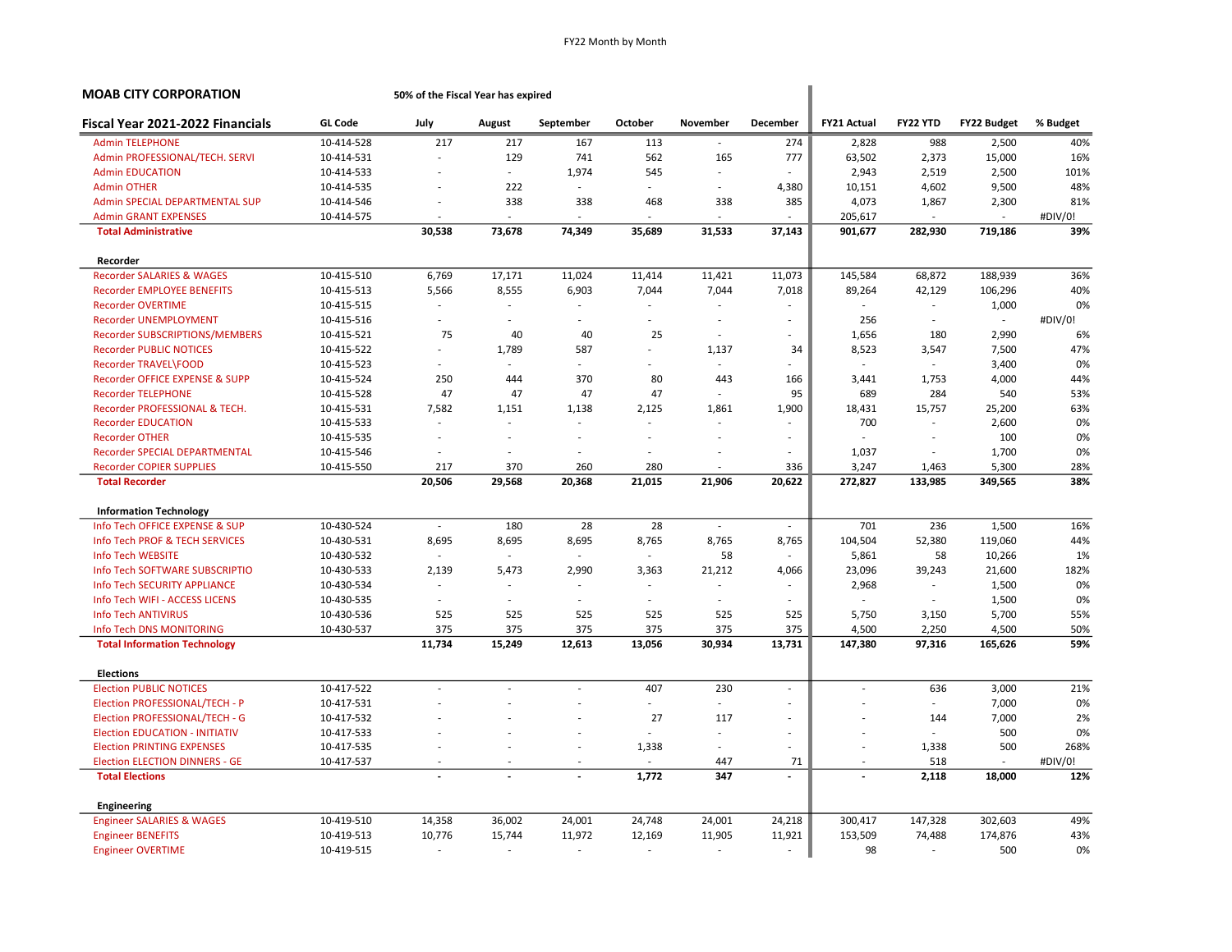| <b>MOAB CITY CORPORATION</b>          |                | 50% of the Fiscal Year has expired |        |                          |                          |                          |                          |                    |                          |                    |          |  |  |
|---------------------------------------|----------------|------------------------------------|--------|--------------------------|--------------------------|--------------------------|--------------------------|--------------------|--------------------------|--------------------|----------|--|--|
| Fiscal Year 2021-2022 Financials      | <b>GL Code</b> | July                               | August | September                | October                  | November                 | December                 | <b>FY21 Actual</b> | FY22 YTD                 | <b>FY22 Budget</b> | % Budget |  |  |
| <b>Admin TELEPHONE</b>                | 10-414-528     | 217                                | 217    | 167                      | 113                      | $\sim$                   | 274                      | 2,828              | 988                      | 2,500              | 40%      |  |  |
| Admin PROFESSIONAL/TECH. SERVI        | 10-414-531     |                                    | 129    | 741                      | 562                      | 165                      | 777                      | 63,502             | 2,373                    | 15,000             | 16%      |  |  |
| <b>Admin EDUCATION</b>                | 10-414-533     |                                    | $\sim$ | 1,974                    | 545                      | $\sim$                   | $\overline{\phantom{a}}$ | 2,943              | 2,519                    | 2,500              | 101%     |  |  |
| <b>Admin OTHER</b>                    | 10-414-535     |                                    | 222    |                          | ä,                       | $\sim$                   | 4,380                    | 10,151             | 4,602                    | 9,500              | 48%      |  |  |
| Admin SPECIAL DEPARTMENTAL SUP        | 10-414-546     | ä,                                 | 338    | 338                      | 468                      | 338                      | 385                      | 4,073              | 1,867                    | 2,300              | 81%      |  |  |
| <b>Admin GRANT EXPENSES</b>           | 10-414-575     |                                    | $\sim$ | $\sim$                   | ä,                       | $\overline{\phantom{a}}$ |                          | 205,617            | $\overline{\phantom{a}}$ | ä,                 | #DIV/0!  |  |  |
| <b>Total Administrative</b>           |                | 30,538                             | 73,678 | 74,349                   | 35,689                   | 31,533                   | 37,143                   | 901,677            | 282,930                  | 719,186            | 39%      |  |  |
| Recorder                              |                |                                    |        |                          |                          |                          |                          |                    |                          |                    |          |  |  |
| <b>Recorder SALARIES &amp; WAGES</b>  | 10-415-510     | 6,769                              | 17,171 | 11,024                   | 11,414                   | 11,421                   | 11,073                   | 145,584            | 68,872                   | 188,939            | 36%      |  |  |
| <b>Recorder EMPLOYEE BENEFITS</b>     | 10-415-513     | 5,566                              | 8,555  | 6,903                    | 7,044                    | 7,044                    | 7,018                    | 89,264             | 42,129                   | 106,296            | 40%      |  |  |
| <b>Recorder OVERTIME</b>              | 10-415-515     |                                    |        |                          |                          |                          |                          |                    | $\sim$                   | 1,000              | 0%       |  |  |
| Recorder UNEMPLOYMENT                 | 10-415-516     | ÷,                                 | $\sim$ | $\sim$                   | ÷.                       | $\sim$                   | $\overline{\phantom{a}}$ | 256                | $\sim$                   | $\sim$             | #DIV/0!  |  |  |
| Recorder SUBSCRIPTIONS/MEMBERS        | 10-415-521     | 75                                 | 40     | 40                       | 25                       | $\sim$                   | $\sim$                   | 1,656              | 180                      | 2,990              | 6%       |  |  |
| <b>Recorder PUBLIC NOTICES</b>        | 10-415-522     | $\overline{\phantom{a}}$           | 1,789  | 587                      | ÷.                       | 1,137                    | 34                       | 8,523              | 3,547                    | 7,500              | 47%      |  |  |
| Recorder TRAVEL\FOOD                  | 10-415-523     |                                    |        |                          |                          | $\sim$                   |                          |                    | ÷.                       | 3,400              | 0%       |  |  |
| Recorder OFFICE EXPENSE & SUPP        | 10-415-524     | 250                                | 444    | 370                      | 80                       | 443                      | 166                      | 3,441              | 1,753                    | 4,000              | 44%      |  |  |
| <b>Recorder TELEPHONE</b>             | 10-415-528     | 47                                 | 47     | 47                       | 47                       | $\sim$                   | 95                       | 689                | 284                      | 540                | 53%      |  |  |
| Recorder PROFESSIONAL & TECH.         | 10-415-531     | 7,582                              | 1,151  | 1,138                    | 2,125                    | 1,861                    | 1,900                    | 18,431             | 15,757                   | 25,200             | 63%      |  |  |
| <b>Recorder EDUCATION</b>             | 10-415-533     | ÷,                                 |        |                          | ÷,                       | $\sim$                   |                          | 700                | $\sim$                   | 2,600              | 0%       |  |  |
| <b>Recorder OTHER</b>                 | 10-415-535     |                                    |        | $\overline{a}$           |                          |                          | $\overline{\phantom{a}}$ |                    |                          | 100                | 0%       |  |  |
| Recorder SPECIAL DEPARTMENTAL         | 10-415-546     |                                    |        | $\overline{\phantom{a}}$ |                          |                          |                          | 1,037              | $\overline{\phantom{a}}$ | 1,700              | 0%       |  |  |
| <b>Recorder COPIER SUPPLIES</b>       | 10-415-550     | 217                                | 370    | 260                      | 280                      |                          | 336                      | 3,247              | 1,463                    | 5,300              | 28%      |  |  |
| <b>Total Recorder</b>                 |                | 20,506                             | 29,568 | 20,368                   | 21,015                   | 21,906                   | 20,622                   | 272,827            | 133,985                  | 349,565            | 38%      |  |  |
| <b>Information Technology</b>         |                |                                    |        |                          |                          |                          |                          |                    |                          |                    |          |  |  |
| Info Tech OFFICE EXPENSE & SUP        | 10-430-524     | $\sim$                             | 180    | 28                       | 28                       | $\omega$                 | $\sim$                   | 701                | 236                      | 1,500              | 16%      |  |  |
| Info Tech PROF & TECH SERVICES        | 10-430-531     | 8,695                              | 8,695  | 8,695                    | 8,765                    | 8,765                    | 8,765                    | 104,504            | 52,380                   | 119,060            | 44%      |  |  |
| Info Tech WEBSITE                     | 10-430-532     |                                    | $\sim$ | $\sim$                   | $\sim$                   | 58                       |                          | 5,861              | 58                       | 10,266             | 1%       |  |  |
| Info Tech SOFTWARE SUBSCRIPTIO        | 10-430-533     | 2,139                              | 5,473  | 2,990                    | 3,363                    | 21,212                   | 4,066                    | 23,096             | 39,243                   | 21,600             | 182%     |  |  |
| Info Tech SECURITY APPLIANCE          | 10-430-534     |                                    |        |                          | ä,                       | $\sim$                   |                          | 2,968              | $\sim$                   | 1,500              | 0%       |  |  |
| Info Tech WIFI - ACCESS LICENS        | 10-430-535     | ä,                                 |        | ÷                        | ä,                       | $\overline{a}$           |                          |                    | ÷.                       | 1,500              | 0%       |  |  |
| <b>Info Tech ANTIVIRUS</b>            | 10-430-536     | 525                                | 525    | 525                      | 525                      | 525                      | 525                      | 5,750              | 3,150                    | 5,700              | 55%      |  |  |
| Info Tech DNS MONITORING              | 10-430-537     | 375                                | 375    | 375                      | 375                      | 375                      | 375                      | 4,500              | 2,250                    | 4,500              | 50%      |  |  |
| <b>Total Information Technology</b>   |                | 11,734                             | 15,249 | 12,613                   | 13,056                   | 30,934                   | 13,731                   | 147,380            | 97,316                   | 165,626            | 59%      |  |  |
| <b>Elections</b>                      |                |                                    |        |                          |                          |                          |                          |                    |                          |                    |          |  |  |
| <b>Election PUBLIC NOTICES</b>        | 10-417-522     | $\sim$                             |        | ÷                        | 407                      | 230                      | $\sim$                   | $\sim$             | 636                      | 3,000              | 21%      |  |  |
| Election PROFESSIONAL/TECH - P        | 10-417-531     | ÷,                                 |        | ÷,                       | ä,                       | $\sim$                   | $\overline{\phantom{a}}$ |                    | $\overline{\phantom{a}}$ | 7,000              | 0%       |  |  |
| Election PROFESSIONAL/TECH - G        | 10-417-532     |                                    |        |                          | 27                       | 117                      | $\overline{\phantom{a}}$ |                    | 144                      | 7,000              | 2%       |  |  |
| <b>Election EDUCATION - INITIATIV</b> | 10-417-533     |                                    |        |                          | ä,                       | $\sim$                   | $\sim$                   |                    | ä,                       | 500                | 0%       |  |  |
| <b>Election PRINTING EXPENSES</b>     | 10-417-535     |                                    |        | ÷                        | 1,338                    | $\sim$                   | ÷                        | ÷,                 | 1,338                    | 500                | 268%     |  |  |
| <b>Election ELECTION DINNERS - GE</b> | 10-417-537     |                                    |        |                          |                          | 447                      | 71                       |                    | 518                      |                    | #DIV/0!  |  |  |
| <b>Total Elections</b>                |                |                                    |        | $\overline{a}$           | 1,772                    | 347                      | $\overline{a}$           |                    | 2,118                    | 18,000             | 12%      |  |  |
| Engineering                           |                |                                    |        |                          |                          |                          |                          |                    |                          |                    |          |  |  |
| <b>Engineer SALARIES &amp; WAGES</b>  | 10-419-510     | 14,358                             | 36,002 | 24,001                   | 24,748                   | 24,001                   | 24,218                   | 300,417            | 147,328                  | 302,603            | 49%      |  |  |
| <b>Engineer BENEFITS</b>              | 10-419-513     | 10,776                             | 15,744 | 11,972                   | 12,169                   | 11,905                   | 11,921                   | 153,509            | 74,488                   | 174,876            | 43%      |  |  |
| <b>Engineer OVERTIME</b>              | 10-419-515     |                                    |        | $\sim$                   | $\overline{\phantom{a}}$ | $\sim$                   |                          | 98                 | $\sim$                   | 500                | 0%       |  |  |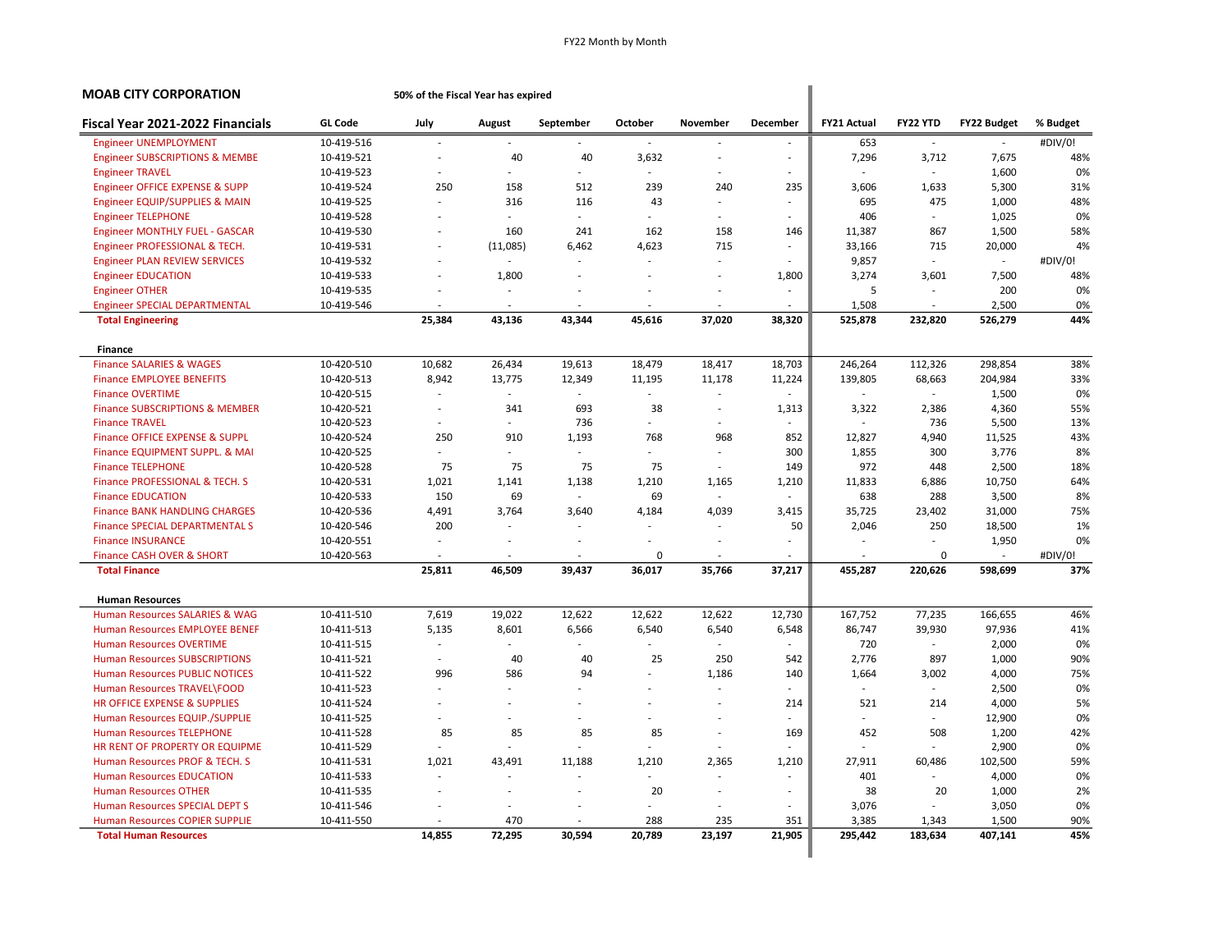| <b>MOAB CITY CORPORATION</b>              |                | 50% of the Fiscal Year has expired |                          |                          |                          |                          |                          |                    |               |                          |          |
|-------------------------------------------|----------------|------------------------------------|--------------------------|--------------------------|--------------------------|--------------------------|--------------------------|--------------------|---------------|--------------------------|----------|
| Fiscal Year 2021-2022 Financials          | <b>GL Code</b> | July                               | August                   | September                | October                  | November                 | December                 | <b>FY21 Actual</b> | FY22 YTD      | FY22 Budget              | % Budget |
| <b>Engineer UNEMPLOYMENT</b>              | 10-419-516     |                                    |                          | $\sim$                   |                          |                          | $\overline{\phantom{a}}$ | 653                | $\sim$        | $\overline{\phantom{a}}$ | #DIV/0!  |
| <b>Engineer SUBSCRIPTIONS &amp; MEMBE</b> | 10-419-521     |                                    | 40                       | 40                       | 3,632                    | $\overline{\phantom{a}}$ | $\overline{\phantom{a}}$ | 7,296              | 3,712         | 7,675                    | 48%      |
| <b>Engineer TRAVEL</b>                    | 10-419-523     |                                    | $\sim$                   | ÷.                       | $\sim$                   | $\overline{\phantom{a}}$ | $\overline{\phantom{a}}$ |                    | $\sim$        | 1,600                    | 0%       |
| Engineer OFFICE EXPENSE & SUPP            | 10-419-524     | 250                                | 158                      | 512                      | 239                      | 240                      | 235                      | 3,606              | 1,633         | 5,300                    | 31%      |
| <b>Engineer EQUIP/SUPPLIES &amp; MAIN</b> | 10-419-525     |                                    | 316                      | 116                      | 43                       | $\overline{\phantom{a}}$ | ÷,                       | 695                | 475           | 1,000                    | 48%      |
| <b>Engineer TELEPHONE</b>                 | 10-419-528     |                                    | $\sim$                   | ÷                        | $\sim$                   |                          |                          | 406                | $\sim$        | 1,025                    | 0%       |
| <b>Engineer MONTHLY FUEL - GASCAR</b>     | 10-419-530     |                                    | 160                      | 241                      | 162                      | 158                      | 146                      | 11,387             | 867           | 1,500                    | 58%      |
| Engineer PROFESSIONAL & TECH.             | 10-419-531     |                                    | (11,085)                 | 6,462                    | 4,623                    | 715                      | ÷,                       | 33,166             | 715           | 20,000                   | 4%       |
| <b>Engineer PLAN REVIEW SERVICES</b>      | 10-419-532     |                                    |                          |                          |                          | ÷                        | ÷,                       | 9,857              | $\sim$        | $\sim$                   | #DIV/0!  |
| <b>Engineer EDUCATION</b>                 | 10-419-533     |                                    | 1,800                    |                          |                          | ä,                       | 1,800                    | 3,274              | 3,601         | 7,500                    | 48%      |
| <b>Engineer OTHER</b>                     | 10-419-535     |                                    |                          |                          |                          |                          | ÷,                       | 5                  |               | 200                      | 0%       |
| <b>Engineer SPECIAL DEPARTMENTAL</b>      | 10-419-546     |                                    | $\overline{\phantom{a}}$ | $\sim$                   |                          | $\overline{\phantom{a}}$ | ä,                       | 1,508              | $\sim$        | 2,500                    | 0%       |
| <b>Total Engineering</b>                  |                | 25,384                             | 43,136                   | 43,344                   | 45,616                   | 37,020                   | 38,320                   | 525,878            | 232,820       | 526,279                  | 44%      |
| Finance                                   |                |                                    |                          |                          |                          |                          |                          |                    |               |                          |          |
| <b>Finance SALARIES &amp; WAGES</b>       | 10-420-510     | 10,682                             | 26,434                   | 19,613                   | 18,479                   | 18,417                   | 18,703                   | 246,264            | 112,326       | 298,854                  | 38%      |
| <b>Finance EMPLOYEE BENEFITS</b>          | 10-420-513     | 8,942                              | 13,775                   | 12,349                   | 11,195                   | 11,178                   | 11,224                   | 139,805            | 68,663        | 204,984                  | 33%      |
| <b>Finance OVERTIME</b>                   | 10-420-515     |                                    | $\sim$                   | $\sim$                   | $\overline{\phantom{a}}$ | $\overline{\phantom{a}}$ | ä,                       |                    | $\sim$        | 1,500                    | 0%       |
| <b>Finance SUBSCRIPTIONS &amp; MEMBER</b> | 10-420-521     | $\sim$                             | 341                      | 693                      | 38                       | ٠                        | 1,313                    | 3,322              | 2,386         | 4,360                    | 55%      |
| <b>Finance TRAVEL</b>                     | 10-420-523     |                                    |                          | 736                      | $\sim$                   | $\overline{\phantom{a}}$ | $\overline{\phantom{a}}$ |                    | 736           | 5,500                    | 13%      |
| <b>Finance OFFICE EXPENSE &amp; SUPPL</b> | 10-420-524     | 250                                | 910                      | 1,193                    | 768                      | 968                      | 852                      | 12,827             | 4,940         | 11,525                   | 43%      |
| Finance EQUIPMENT SUPPL. & MAI            | 10-420-525     |                                    |                          | $\blacksquare$           | $\sim$                   | ä,                       | 300                      | 1,855              | 300           | 3,776                    | 8%       |
| <b>Finance TELEPHONE</b>                  | 10-420-528     | 75                                 | 75                       | 75                       | 75                       | $\sim$                   | 149                      | 972                | 448           | 2,500                    | 18%      |
| Finance PROFESSIONAL & TECH. S            | 10-420-531     | 1,021                              | 1,141                    | 1,138                    | 1,210                    | 1,165                    | 1,210                    | 11,833             | 6,886         | 10,750                   | 64%      |
| <b>Finance EDUCATION</b>                  | 10-420-533     | 150                                | 69                       | $\blacksquare$           | 69                       | $\sim$                   | ä,                       | 638                | 288           | 3,500                    | 8%       |
| <b>Finance BANK HANDLING CHARGES</b>      | 10-420-536     | 4,491                              | 3,764                    | 3,640                    | 4,184                    | 4,039                    | 3,415                    | 35,725             | 23,402        | 31,000                   | 75%      |
| <b>Finance SPECIAL DEPARTMENTAL S</b>     | 10-420-546     | 200                                |                          |                          |                          |                          | 50                       | 2,046              | 250           | 18,500                   | 1%       |
| <b>Finance INSURANCE</b>                  | 10-420-551     |                                    |                          | ÷,                       |                          |                          | ÷,                       |                    |               | 1,950                    | 0%       |
| Finance CASH OVER & SHORT                 | 10-420-563     |                                    |                          |                          | 0                        |                          |                          |                    | $\mathbf 0$   | $\overline{\phantom{a}}$ | #DIV/0!  |
| <b>Total Finance</b>                      |                | 25,811                             | 46,509                   | 39,437                   | 36,017                   | 35,766                   | 37,217                   | 455,287            | 220,626       | 598,699                  | 37%      |
| <b>Human Resources</b>                    |                |                                    |                          |                          |                          |                          |                          |                    |               |                          |          |
| <b>Human Resources SALARIES &amp; WAG</b> | 10-411-510     | 7,619                              | 19,022                   | 12,622                   | 12,622                   | 12,622                   | 12,730                   | 167,752            | 77,235        | 166,655                  | 46%      |
| <b>Human Resources EMPLOYEE BENEF</b>     | 10-411-513     | 5,135                              | 8,601                    | 6,566                    | 6,540                    | 6,540                    | 6,548                    | 86,747             | 39,930        | 97,936                   | 41%      |
| <b>Human Resources OVERTIME</b>           | 10-411-515     |                                    |                          |                          |                          | ÷.                       |                          | 720                | $\sim$        | 2,000                    | 0%       |
| <b>Human Resources SUBSCRIPTIONS</b>      | 10-411-521     | $\sim$                             | 40                       | 40                       | 25                       | 250                      | 542                      | 2,776              | 897           | 1,000                    | 90%      |
| <b>Human Resources PUBLIC NOTICES</b>     | 10-411-522     | 996                                | 586                      | 94                       |                          | 1,186                    | 140                      | 1,664              | 3,002         | 4,000                    | 75%      |
| Human Resources TRAVEL\FOOD               | 10-411-523     |                                    |                          |                          |                          | $\overline{\phantom{a}}$ |                          |                    | $\sim$        | 2,500                    | 0%       |
| HR OFFICE EXPENSE & SUPPLIES              | 10-411-524     |                                    |                          | ÷                        |                          | ÷                        | 214                      | 521                | 214           | 4,000                    | 5%       |
| Human Resources EQUIP./SUPPLIE            | 10-411-525     |                                    |                          | ÷                        | $\sim$                   |                          | ä,                       | ÷.                 | $\mathcal{L}$ | 12,900                   | 0%       |
| <b>Human Resources TELEPHONE</b>          | 10-411-528     | 85                                 | 85                       | 85                       | 85                       | ÷.                       | 169                      | 452                | 508           | 1,200                    | 42%      |
| HR RENT OF PROPERTY OR EQUIPME            | 10-411-529     |                                    |                          | ÷.                       | $\sim$                   | ÷                        |                          |                    | $\sim$        | 2,900                    | 0%       |
| Human Resources PROF & TECH. S            | 10-411-531     | 1,021                              | 43,491                   | 11,188                   | 1,210                    | 2,365                    | 1,210                    | 27,911             | 60,486        | 102,500                  | 59%      |
| <b>Human Resources EDUCATION</b>          | 10-411-533     |                                    |                          |                          |                          |                          |                          | 401                | $\sim$        | 4,000                    | 0%       |
| <b>Human Resources OTHER</b>              | 10-411-535     | $\sim$                             | ÷,                       | $\overline{\phantom{a}}$ | 20                       | $\overline{\phantom{a}}$ | $\overline{\phantom{a}}$ | 38                 | 20            | 1,000                    | 2%       |
| Human Resources SPECIAL DEPT S            | 10-411-546     |                                    |                          |                          |                          |                          |                          | 3,076              |               | 3,050                    | 0%       |
| <b>Human Resources COPIER SUPPLIE</b>     | 10-411-550     |                                    | 470                      |                          | 288                      | 235                      | 351                      | 3,385              | 1,343         | 1,500                    | 90%      |
| <b>Total Human Resources</b>              |                | 14,855                             | 72,295                   | 30,594                   | 20,789                   | 23,197                   | 21,905                   | 295,442            | 183,634       | 407,141                  | 45%      |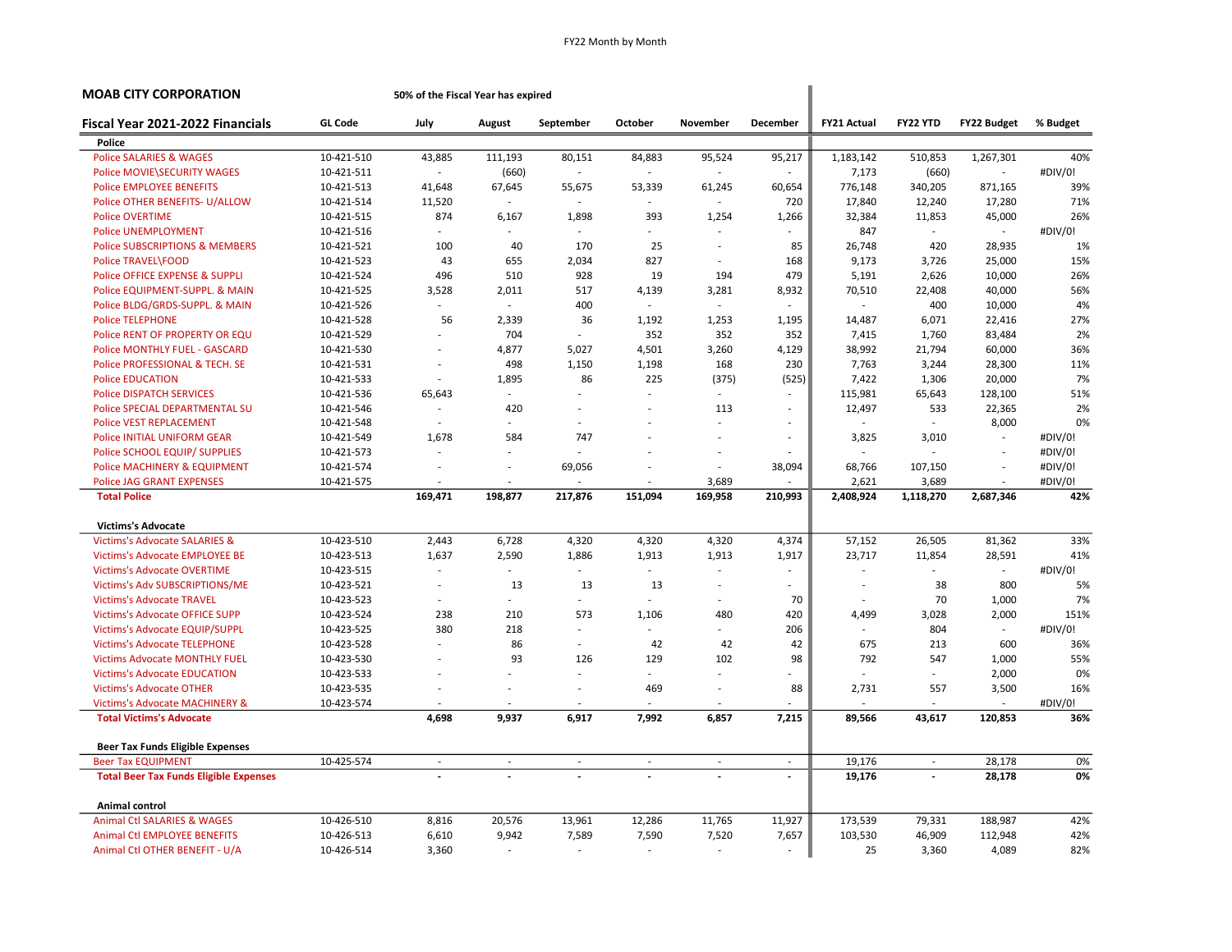| MOAB CITY CORPORATION                         |                | 50% of the Fiscal Year has expired |         |                          |                          |                          |                          |                    |                          |                          |          |
|-----------------------------------------------|----------------|------------------------------------|---------|--------------------------|--------------------------|--------------------------|--------------------------|--------------------|--------------------------|--------------------------|----------|
| Fiscal Year 2021-2022 Financials              | <b>GL Code</b> | July                               | August  | September                | October                  | November                 | December                 | <b>FY21 Actual</b> | FY22 YTD                 | FY22 Budget              | % Budget |
| Police                                        |                |                                    |         |                          |                          |                          |                          |                    |                          |                          |          |
| <b>Police SALARIES &amp; WAGES</b>            | 10-421-510     | 43,885                             | 111,193 | 80,151                   | 84,883                   | 95,524                   | 95,217                   | 1,183,142          | 510,853                  | 1,267,301                | 40%      |
| <b>Police MOVIE SECURITY WAGES</b>            | 10-421-511     |                                    | (660)   | $\overline{a}$           |                          | $\overline{\phantom{a}}$ |                          | 7,173              | (660)                    | ÷.                       | #DIV/0!  |
| <b>Police EMPLOYEE BENEFITS</b>               | 10-421-513     | 41,648                             | 67,645  | 55,675                   | 53,339                   | 61,245                   | 60,654                   | 776,148            | 340,205                  | 871,165                  | 39%      |
| Police OTHER BENEFITS- U/ALLOW                | 10-421-514     | 11,520                             |         |                          |                          | $\overline{a}$           | 720                      | 17,840             | 12,240                   | 17,280                   | 71%      |
| <b>Police OVERTIME</b>                        | 10-421-515     | 874                                | 6,167   | 1,898                    | 393                      | 1,254                    | 1,266                    | 32,384             | 11,853                   | 45,000                   | 26%      |
| <b>Police UNEMPLOYMENT</b>                    | 10-421-516     | ÷                                  |         | $\sim$                   | $\overline{\phantom{a}}$ | $\sim$                   | ÷                        | 847                | $\sim$                   | $\overline{\phantom{a}}$ | #DIV/0!  |
| <b>Police SUBSCRIPTIONS &amp; MEMBERS</b>     | 10-421-521     | 100                                | 40      | 170                      | 25                       | ÷.                       | 85                       | 26,748             | 420                      | 28,935                   | 1%       |
| Police TRAVEL\FOOD                            | 10-421-523     | 43                                 | 655     | 2,034                    | 827                      | $\sim$                   | 168                      | 9,173              | 3,726                    | 25,000                   | 15%      |
| Police OFFICE EXPENSE & SUPPLI                | 10-421-524     | 496                                | 510     | 928                      | 19                       | 194                      | 479                      | 5,191              | 2,626                    | 10,000                   | 26%      |
| Police EQUIPMENT-SUPPL. & MAIN                | 10-421-525     | 3,528                              | 2,011   | 517                      | 4,139                    | 3,281                    | 8,932                    | 70,510             | 22,408                   | 40,000                   | 56%      |
| Police BLDG/GRDS-SUPPL. & MAIN                | 10-421-526     |                                    | ÷.      | 400                      | ÷                        | $\overline{a}$           |                          |                    | 400                      | 10,000                   | 4%       |
| <b>Police TELEPHONE</b>                       | 10-421-528     | 56                                 | 2,339   | 36                       | 1,192                    | 1,253                    | 1,195                    | 14,487             | 6,071                    | 22,416                   | 27%      |
| Police RENT OF PROPERTY OR EQU                | 10-421-529     |                                    | 704     | $\overline{\phantom{a}}$ | 352                      | 352                      | 352                      | 7,415              | 1,760                    | 83,484                   | 2%       |
| <b>Police MONTHLY FUEL - GASCARD</b>          | 10-421-530     |                                    | 4,877   | 5,027                    | 4,501                    | 3,260                    | 4,129                    | 38,992             | 21,794                   | 60,000                   | 36%      |
| Police PROFESSIONAL & TECH. SE                | 10-421-531     |                                    | 498     | 1,150                    | 1,198                    | 168                      | 230                      | 7,763              | 3,244                    | 28,300                   | 11%      |
| <b>Police EDUCATION</b>                       | 10-421-533     |                                    | 1,895   | 86                       | 225                      | (375)                    | (525)                    | 7,422              | 1,306                    | 20,000                   | 7%       |
| <b>Police DISPATCH SERVICES</b>               | 10-421-536     | 65,643                             |         |                          |                          | $\sim$                   |                          | 115,981            | 65,643                   | 128,100                  | 51%      |
| Police SPECIAL DEPARTMENTAL SU                | 10-421-546     | ÷.                                 | 420     | $\sim$                   | ä,                       | 113                      | $\sim$                   | 12,497             | 533                      | 22,365                   | 2%       |
| <b>Police VEST REPLACEMENT</b>                | 10-421-548     |                                    |         |                          |                          | ä,                       |                          |                    | $\sim$                   | 8,000                    | 0%       |
| Police INITIAL UNIFORM GEAR                   | 10-421-549     | 1,678                              | 584     | 747                      |                          | ÷,                       |                          | 3,825              | 3,010                    | $\overline{\phantom{a}}$ | #DIV/0!  |
| Police SCHOOL EQUIP/ SUPPLIES                 | 10-421-573     |                                    |         |                          |                          | ÷.                       |                          |                    | ÷                        | ÷,                       | #DIV/0!  |
| Police MACHINERY & EQUIPMENT                  | 10-421-574     |                                    |         | 69,056                   |                          | ÷,                       | 38,094                   | 68,766             | 107,150                  | ÷,                       | #DIV/0!  |
| <b>Police JAG GRANT EXPENSES</b>              | 10-421-575     |                                    |         |                          |                          | 3,689                    |                          | 2,621              | 3,689                    | ä,                       | #DIV/0!  |
| <b>Total Police</b>                           |                | 169,471                            | 198,877 | 217,876                  | 151,094                  | 169,958                  | 210,993                  | 2,408,924          | 1,118,270                | 2,687,346                | 42%      |
| <b>Victims's Advocate</b>                     |                |                                    |         |                          |                          |                          |                          |                    |                          |                          |          |
| <b>Victims's Advocate SALARIES &amp;</b>      | 10-423-510     | 2,443                              | 6,728   | 4,320                    | 4,320                    | 4,320                    | 4,374                    | 57,152             | 26,505                   | 81,362                   | 33%      |
| Victims's Advocate EMPLOYEE BE                | 10-423-513     | 1,637                              | 2,590   | 1,886                    | 1,913                    | 1,913                    | 1,917                    | 23,717             | 11,854                   | 28,591                   | 41%      |
| <b>Victims's Advocate OVERTIME</b>            | 10-423-515     | $\sim$                             |         | ÷                        | ÷                        | $\sim$                   |                          |                    | $\sim$                   | ÷                        | #DIV/0!  |
| Victims's Adv SUBSCRIPTIONS/ME                | 10-423-521     | $\sim$                             | 13      | 13                       | 13                       | $\sim$                   | $\sim$                   |                    | 38                       | 800                      | 5%       |
| <b>Victims's Advocate TRAVEL</b>              | 10-423-523     |                                    |         |                          |                          | ÷.                       | 70                       |                    | 70                       | 1,000                    | 7%       |
| <b>Victims's Advocate OFFICE SUPP</b>         | 10-423-524     | 238                                | 210     | 573                      | 1,106                    | 480                      | 420                      | 4,499              | 3,028                    | 2,000                    | 151%     |
| Victims's Advocate EQUIP/SUPPL                | 10-423-525     | 380                                | 218     | $\sim$                   | ÷.                       | ÷                        | 206                      |                    | 804                      | ÷.                       | #DIV/0!  |
| <b>Victims's Advocate TELEPHONE</b>           | 10-423-528     |                                    | 86      | ÷                        | 42                       | 42                       | 42                       | 675                | 213                      | 600                      | 36%      |
| <b>Victims Advocate MONTHLY FUEL</b>          | 10-423-530     |                                    | 93      | 126                      | 129                      | 102                      | 98                       | 792                | 547                      | 1,000                    | 55%      |
| <b>Victims's Advocate EDUCATION</b>           | 10-423-533     |                                    |         | ÷.                       | ÷.                       | ÷                        |                          |                    | $\sim$                   | 2,000                    | 0%       |
| <b>Victims's Advocate OTHER</b>               | 10-423-535     |                                    |         | $\overline{\phantom{a}}$ | 469                      | $\overline{\phantom{a}}$ | 88                       | 2,731              | 557                      | 3,500                    | 16%      |
| <b>Victims's Advocate MACHINERY &amp;</b>     | 10-423-574     |                                    |         |                          |                          |                          |                          |                    |                          |                          | #DIV/0!  |
| <b>Total Victims's Advocate</b>               |                | 4,698                              | 9,937   | 6,917                    | 7,992                    | 6,857                    | 7,215                    | 89,566             | 43,617                   | 120,853                  | 36%      |
| <b>Beer Tax Funds Eligible Expenses</b>       |                |                                    |         |                          |                          |                          |                          |                    |                          |                          |          |
| <b>Beer Tax EQUIPMENT</b>                     | 10-425-574     | $\overline{\phantom{a}}$           | $\sim$  | $\overline{\phantom{a}}$ | $\sim$                   | $\overline{\phantom{a}}$ | $\sim$                   | 19,176             | $\overline{\phantom{a}}$ | 28,178                   | 0%       |
| <b>Total Beer Tax Funds Eligible Expenses</b> |                |                                    |         |                          |                          |                          | $\overline{\phantom{a}}$ | 19,176             |                          | 28,178                   | 0%       |
| Animal control                                |                |                                    |         |                          |                          |                          |                          |                    |                          |                          |          |
| Animal Ctl SALARIES & WAGES                   | 10-426-510     | 8,816                              | 20,576  | 13,961                   | 12,286                   | 11,765                   | 11,927                   | 173,539            | 79,331                   | 188,987                  | 42%      |
| <b>Animal Ctl EMPLOYEE BENEFITS</b>           | 10-426-513     | 6,610                              | 9,942   | 7,589                    | 7,590                    | 7,520                    | 7,657                    | 103,530            | 46,909                   | 112,948                  | 42%      |
| Animal Ctl OTHER BENEFIT - U/A                | 10-426-514     | 3,360                              | $\sim$  | $\sim$                   | $\sim$                   | $\sim$                   |                          | 25                 | 3,360                    | 4,089                    | 82%      |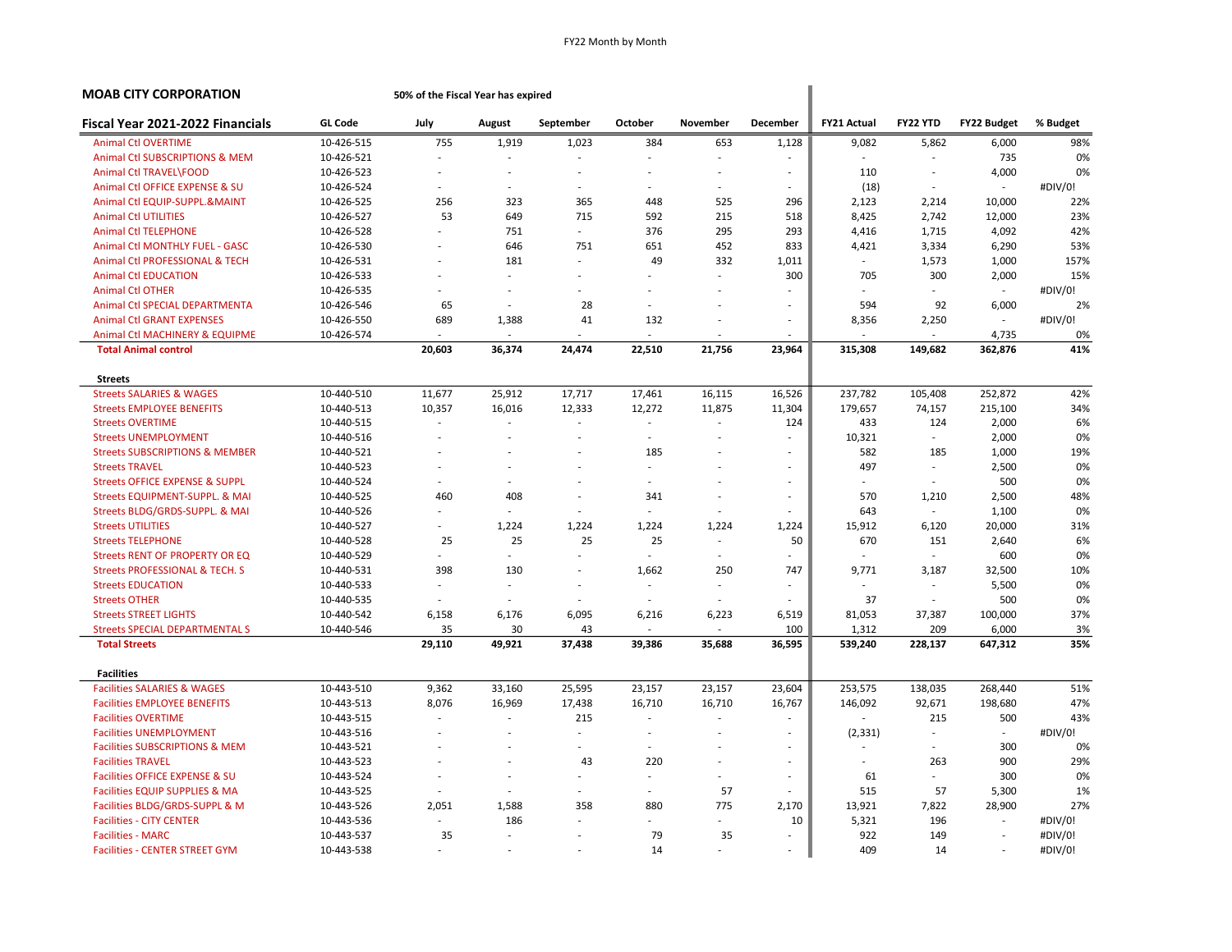| <b>MOAB CITY CORPORATION</b>              |                | 50% of the Fiscal Year has expired |        |                          |                          |                |                          |                    |                             |                          |          |
|-------------------------------------------|----------------|------------------------------------|--------|--------------------------|--------------------------|----------------|--------------------------|--------------------|-----------------------------|--------------------------|----------|
| Fiscal Year 2021-2022 Financials          | <b>GL Code</b> | July                               | August | September                | October                  | November       | December                 | <b>FY21 Actual</b> | FY22 YTD                    | <b>FY22 Budget</b>       | % Budget |
| <b>Animal Ctl OVERTIME</b>                | 10-426-515     | 755                                | 1,919  | 1,023                    | 384                      | 653            | 1,128                    | 9,082              | 5,862                       | 6,000                    | 98%      |
| Animal Ctl SUBSCRIPTIONS & MEM            | 10-426-521     |                                    |        |                          | $\overline{a}$           |                |                          |                    |                             | 735                      | 0%       |
| Animal Ctl TRAVEL\FOOD                    | 10-426-523     |                                    |        | $\sim$                   |                          |                | $\overline{\phantom{a}}$ | 110                | $\sim$                      | 4,000                    | 0%       |
| Animal Ctl OFFICE EXPENSE & SU            | 10-426-524     |                                    |        | $\sim$                   |                          |                |                          | (18)               |                             | $\overline{\phantom{a}}$ | #DIV/0!  |
| Animal Ctl EQUIP-SUPPL.&MAINT             | 10-426-525     | 256                                | 323    | 365                      | 448                      | 525            | 296                      | 2,123              | 2,214                       | 10,000                   | 22%      |
| <b>Animal Ctl UTILITIES</b>               | 10-426-527     | 53                                 | 649    | 715                      | 592                      | 215            | 518                      | 8,425              | 2,742                       | 12,000                   | 23%      |
| <b>Animal Ctl TELEPHONE</b>               | 10-426-528     |                                    | 751    | $\sim$                   | 376                      | 295            | 293                      | 4,416              | 1,715                       | 4,092                    | 42%      |
| Animal Ctl MONTHLY FUEL - GASC            | 10-426-530     | ÷,                                 | 646    | 751                      | 651                      | 452            | 833                      | 4,421              | 3,334                       | 6,290                    | 53%      |
| Animal Ctl PROFESSIONAL & TECH            | 10-426-531     |                                    | 181    | $\sim$                   | 49                       | 332            | 1,011                    |                    | 1,573                       | 1,000                    | 157%     |
| <b>Animal Ctl EDUCATION</b>               | 10-426-533     |                                    |        |                          |                          |                | 300                      | 705                | 300                         | 2,000                    | 15%      |
| <b>Animal Ctl OTHER</b>                   | 10-426-535     | ÷.                                 |        | ÷.                       |                          |                |                          |                    | ÷.                          |                          | #DIV/0!  |
| Animal Ctl SPECIAL DEPARTMENTA            | 10-426-546     | 65                                 | $\sim$ | 28                       | ÷.                       |                | ÷.                       | 594                | 92                          | 6,000                    | 2%       |
| <b>Animal Ctl GRANT EXPENSES</b>          | 10-426-550     | 689                                | 1,388  | 41                       | 132                      |                | $\overline{\phantom{a}}$ | 8,356              | 2,250                       | $\sim$                   | #DIV/0!  |
| Animal Ctl MACHINERY & EQUIPME            | 10-426-574     |                                    | $\sim$ | ÷                        | ÷,                       |                |                          |                    | $\sim$                      | 4,735                    | 0%       |
| <b>Total Animal control</b>               |                | 20,603                             | 36,374 | 24,474                   | 22,510                   | 21,756         | 23,964                   | 315,308            | 149,682                     | 362,876                  | 41%      |
| <b>Streets</b>                            |                |                                    |        |                          |                          |                |                          |                    |                             |                          |          |
| <b>Streets SALARIES &amp; WAGES</b>       | 10-440-510     | 11,677                             | 25,912 | 17,717                   | 17,461                   | 16,115         | 16,526                   | 237,782            | 105,408                     | 252,872                  | 42%      |
| <b>Streets EMPLOYEE BENEFITS</b>          | 10-440-513     | 10,357                             | 16,016 | 12,333                   | 12,272                   | 11,875         | 11,304                   | 179,657            | 74,157                      | 215,100                  | 34%      |
| <b>Streets OVERTIME</b>                   | 10-440-515     | ÷,                                 |        | $\sim$                   | ÷,                       | $\overline{a}$ | 124                      | 433                | 124                         | 2,000                    | 6%       |
| <b>Streets UNEMPLOYMENT</b>               | 10-440-516     |                                    |        | ä,                       |                          |                | ä,                       | 10,321             | $\sim$                      | 2,000                    | 0%       |
| <b>Streets SUBSCRIPTIONS &amp; MEMBER</b> | 10-440-521     |                                    |        | $\sim$                   | 185                      |                | $\sim$                   | 582                | 185                         | 1,000                    | 19%      |
| <b>Streets TRAVEL</b>                     | 10-440-523     |                                    |        |                          | ä,                       |                | ٠                        | 497                | ÷.                          | 2,500                    | 0%       |
| <b>Streets OFFICE EXPENSE &amp; SUPPL</b> | 10-440-524     | $\sim$                             |        | $\overline{\phantom{a}}$ | ä,                       |                | $\overline{\phantom{a}}$ | ÷.                 | $\sim$                      | 500                      | 0%       |
| Streets EQUIPMENT-SUPPL. & MAI            | 10-440-525     | 460                                | 408    | $\overline{\phantom{a}}$ | 341                      |                | $\overline{\phantom{a}}$ | 570                | 1,210                       | 2,500                    | 48%      |
| Streets BLDG/GRDS-SUPPL. & MAI            | 10-440-526     |                                    | ÷.     | $\sim$                   | $\overline{\phantom{a}}$ |                | ÷.                       | 643                | $\mathcal{L}_{\mathcal{A}}$ | 1,100                    | 0%       |
| <b>Streets UTILITIES</b>                  | 10-440-527     | ÷.                                 | 1,224  | 1,224                    | 1,224                    | 1,224          | 1,224                    | 15,912             | 6,120                       | 20,000                   | 31%      |
| <b>Streets TELEPHONE</b>                  | 10-440-528     | 25                                 | 25     | 25                       | 25                       | $\sim$         | 50                       | 670                | 151                         | 2,640                    | 6%       |
| Streets RENT OF PROPERTY OR EQ            | 10-440-529     | ÷                                  | ÷.     | ÷                        | ä,                       | $\sim$         | ÷                        |                    | $\mathcal{L}$               | 600                      | 0%       |
| <b>Streets PROFESSIONAL &amp; TECH. S</b> | 10-440-531     | 398                                | 130    | $\sim$                   | 1,662                    | 250            | 747                      | 9,771              | 3,187                       | 32,500                   | 10%      |
| <b>Streets EDUCATION</b>                  | 10-440-533     | $\sim$                             | $\sim$ | $\overline{\phantom{a}}$ | $\sim$                   |                | ٠                        | ٠                  | $\sim$                      | 5,500                    | 0%       |
| <b>Streets OTHER</b>                      | 10-440-535     |                                    |        |                          |                          |                |                          | 37                 |                             | 500                      | 0%       |
| <b>Streets STREET LIGHTS</b>              | 10-440-542     | 6,158                              | 6,176  | 6,095                    | 6,216                    | 6,223          | 6,519                    | 81,053             | 37,387                      | 100,000                  | 37%      |
| <b>Streets SPECIAL DEPARTMENTAL S</b>     | 10-440-546     | 35                                 | 30     | 43                       |                          | ÷              | 100                      | 1,312              | 209                         | 6,000                    | 3%       |
| <b>Total Streets</b>                      |                | 29,110                             | 49,921 | 37,438                   | 39,386                   | 35,688         | 36,595                   | 539,240            | 228,137                     | 647,312                  | 35%      |
| <b>Facilities</b>                         |                |                                    |        |                          |                          |                |                          |                    |                             |                          |          |
| <b>Facilities SALARIES &amp; WAGES</b>    | 10-443-510     | 9,362                              | 33,160 | 25,595                   | 23,157                   | 23,157         | 23,604                   | 253,575            | 138,035                     | 268,440                  | 51%      |
| <b>Facilities EMPLOYEE BENEFITS</b>       | 10-443-513     | 8,076                              | 16,969 | 17,438                   | 16,710                   | 16,710         | 16,767                   | 146,092            | 92,671                      | 198,680                  | 47%      |
| <b>Facilities OVERTIME</b>                | 10-443-515     | ÷,                                 | $\sim$ | 215                      | ÷,                       | ÷.             | $\overline{\phantom{a}}$ |                    | 215                         | 500                      | 43%      |
| <b>Facilities UNEMPLOYMENT</b>            | 10-443-516     |                                    |        | ÷                        |                          |                | $\sim$                   | (2, 331)           | $\sim$                      | ÷                        | #DIV/0!  |
| <b>Facilities SUBSCRIPTIONS &amp; MEM</b> | 10-443-521     |                                    |        | $\sim$                   | ÷,                       |                |                          | ÷.                 | ÷.                          | 300                      | 0%       |
| <b>Facilities TRAVEL</b>                  | 10-443-523     |                                    |        | 43                       | 220                      |                | $\overline{\phantom{a}}$ | ÷.                 | 263                         | 900                      | 29%      |
| Facilities OFFICE EXPENSE & SU            | 10-443-524     |                                    |        | $\sim$                   | ٠                        |                | $\overline{\phantom{a}}$ | 61                 | ÷.                          | 300                      | 0%       |
| Facilities EQUIP SUPPLIES & MA            | 10-443-525     | ÷,                                 |        | $\sim$                   | $\sim$                   | 57             | ÷.                       | 515                | 57                          | 5,300                    | 1%       |
| Facilities BLDG/GRDS-SUPPL & M            | 10-443-526     | 2,051                              | 1,588  | 358                      | 880                      | 775            | 2,170                    | 13,921             | 7,822                       | 28,900                   | 27%      |
| <b>Facilities - CITY CENTER</b>           | 10-443-536     |                                    | 186    |                          | ä,                       |                | 10                       | 5,321              | 196                         | $\sim$                   | #DIV/0!  |
| <b>Facilities - MARC</b>                  | 10-443-537     | 35                                 |        | $\sim$                   | 79                       | 35             | ÷.                       | 922                | 149                         | $\sim$                   | #DIV/0!  |
| <b>Facilities - CENTER STREET GYM</b>     | 10-443-538     |                                    |        |                          | 14                       |                |                          | 409                | 14                          | $\overline{\phantom{a}}$ | #DIV/0!  |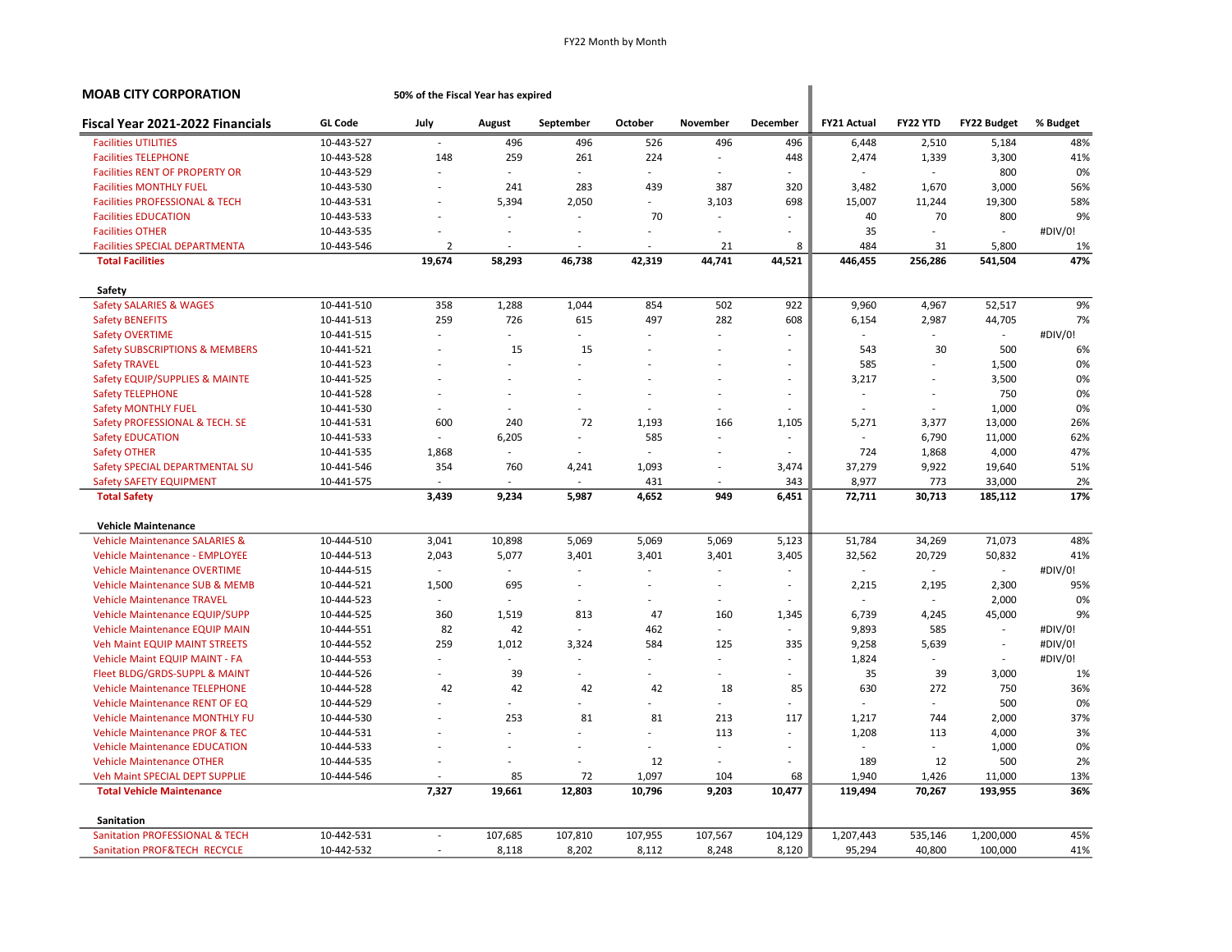| <b>MOAB CITY CORPORATION</b>              |                | 50% of the Fiscal Year has expired |                          |           |                          |                          |                          |                    |          |                          |          |  |  |
|-------------------------------------------|----------------|------------------------------------|--------------------------|-----------|--------------------------|--------------------------|--------------------------|--------------------|----------|--------------------------|----------|--|--|
| Fiscal Year 2021-2022 Financials          | <b>GL Code</b> | July                               | August                   | September | <b>October</b>           | November                 | <b>December</b>          | <b>FY21 Actual</b> | FY22 YTD | <b>FY22 Budget</b>       | % Budget |  |  |
| <b>Facilities UTILITIES</b>               | 10-443-527     |                                    | 496                      | 496       | 526                      | 496                      | 496                      | 6,448              | 2,510    | 5,184                    | 48%      |  |  |
| <b>Facilities TELEPHONE</b>               | 10-443-528     | 148                                | 259                      | 261       | 224                      | $\overline{\phantom{a}}$ | 448                      | 2,474              | 1,339    | 3,300                    | 41%      |  |  |
| <b>Facilities RENT OF PROPERTY OR</b>     | 10-443-529     |                                    | $\overline{a}$           |           | $\overline{\phantom{a}}$ | L,                       |                          |                    | $\sim$   | 800                      | 0%       |  |  |
| <b>Facilities MONTHLY FUEL</b>            | 10-443-530     |                                    | 241                      | 283       | 439                      | 387                      | 320                      | 3,482              | 1,670    | 3,000                    | 56%      |  |  |
| <b>Facilities PROFESSIONAL &amp; TECH</b> | 10-443-531     | ÷,                                 | 5,394                    | 2,050     | $\overline{\phantom{a}}$ | 3,103                    | 698                      | 15,007             | 11,244   | 19,300                   | 58%      |  |  |
| <b>Facilities EDUCATION</b>               | 10-443-533     |                                    |                          |           | 70                       | ä,                       | ÷.                       | 40                 | 70       | 800                      | 9%       |  |  |
| <b>Facilities OTHER</b>                   | 10-443-535     |                                    |                          |           | $\sim$                   |                          |                          | 35                 |          | ÷                        | #DIV/0!  |  |  |
| <b>Facilities SPECIAL DEPARTMENTA</b>     | 10-443-546     | $\overline{2}$                     | $\overline{\phantom{a}}$ |           | ÷                        | 21                       | 8                        | 484                | 31       | 5,800                    | 1%       |  |  |
| <b>Total Facilities</b>                   |                | 19,674                             | 58,293                   | 46,738    | 42,319                   | 44,741                   | 44,521                   | 446,455            | 256,286  | 541,504                  | 47%      |  |  |
| Safety                                    |                |                                    |                          |           |                          |                          |                          |                    |          |                          |          |  |  |
| Safety SALARIES & WAGES                   | 10-441-510     | 358                                | 1,288                    | 1,044     | 854                      | 502                      | 922                      | 9,960              | 4,967    | 52,517                   | 9%       |  |  |
| <b>Safety BENEFITS</b>                    | 10-441-513     | 259                                | 726                      | 615       | 497                      | 282                      | 608                      | 6,154              | 2,987    | 44,705                   | 7%       |  |  |
| <b>Safety OVERTIME</b>                    | 10-441-515     |                                    | $\sim$                   |           | $\sim$                   | ä,                       |                          |                    | $\sim$   | $\overline{\phantom{a}}$ | #DIV/0!  |  |  |
| <b>Safety SUBSCRIPTIONS &amp; MEMBERS</b> | 10-441-521     |                                    | 15                       | 15        | ÷                        | ÷,                       | ä,                       | 543                | 30       | 500                      | 6%       |  |  |
| <b>Safety TRAVEL</b>                      | 10-441-523     |                                    | ÷.                       |           |                          |                          | $\overline{a}$           | 585                |          | 1,500                    | 0%       |  |  |
| Safety EQUIP/SUPPLIES & MAINTE            | 10-441-525     |                                    | ä,                       |           | $\overline{\phantom{a}}$ | ٠                        | $\sim$                   | 3,217              | $\sim$   | 3,500                    | 0%       |  |  |
| <b>Safety TELEPHONE</b>                   | 10-441-528     |                                    |                          |           |                          |                          | $\overline{\phantom{a}}$ | ÷                  |          | 750                      | 0%       |  |  |
| <b>Safety MONTHLY FUEL</b>                | 10-441-530     | ÷                                  | ÷                        | $\sim$    | ÷                        | $\sim$                   | ÷.                       | $\sim$             | $\sim$   | 1,000                    | 0%       |  |  |
| Safety PROFESSIONAL & TECH. SE            | 10-441-531     | 600                                | 240                      | 72        | 1,193                    | 166                      | 1,105                    | 5,271              | 3,377    | 13,000                   | 26%      |  |  |
| <b>Safety EDUCATION</b>                   | 10-441-533     | ÷                                  | 6,205                    |           | 585                      | ä,                       | $\sim$                   |                    | 6,790    | 11,000                   | 62%      |  |  |
| Safety OTHER                              | 10-441-535     | 1,868                              | $\sim$                   |           | $\sim$                   | Ĭ.                       |                          | 724                | 1,868    | 4,000                    | 47%      |  |  |
| Safety SPECIAL DEPARTMENTAL SU            | 10-441-546     | 354                                | 760                      | 4,241     | 1,093                    | ÷,                       | 3,474                    | 37,279             | 9,922    | 19,640                   | 51%      |  |  |
| Safety SAFETY EQUIPMENT                   | 10-441-575     |                                    |                          |           | 431                      | $\overline{\phantom{a}}$ | 343                      | 8,977              | 773      | 33,000                   | 2%       |  |  |
| <b>Total Safety</b>                       |                | 3,439                              | 9,234                    | 5,987     | 4,652                    | 949                      | 6,451                    | 72,711             | 30,713   | 185,112                  | 17%      |  |  |
| <b>Vehicle Maintenance</b>                |                |                                    |                          |           |                          |                          |                          |                    |          |                          |          |  |  |
| <b>Vehicle Maintenance SALARIES &amp;</b> | 10-444-510     | 3,041                              | 10,898                   | 5,069     | 5,069                    | 5,069                    | 5,123                    | 51,784             | 34,269   | 71,073                   | 48%      |  |  |
| <b>Vehicle Maintenance - EMPLOYEE</b>     | 10-444-513     | 2,043                              | 5,077                    | 3,401     | 3,401                    | 3,401                    | 3,405                    | 32,562             | 20,729   | 50,832                   | 41%      |  |  |
| <b>Vehicle Maintenance OVERTIME</b>       | 10-444-515     |                                    | $\sim$                   |           | $\sim$                   | ÷.                       |                          |                    | $\sim$   | $\sim$                   | #DIV/0!  |  |  |
| <b>Vehicle Maintenance SUB &amp; MEMB</b> | 10-444-521     | 1,500                              | 695                      | $\sim$    | $\overline{\phantom{a}}$ | ٠                        | $\sim$                   | 2,215              | 2,195    | 2,300                    | 95%      |  |  |
| <b>Vehicle Maintenance TRAVEL</b>         | 10-444-523     | ÷,                                 |                          |           |                          | ä,                       |                          |                    |          | 2,000                    | 0%       |  |  |
| Vehicle Maintenance EQUIP/SUPP            | 10-444-525     | 360                                | 1,519                    | 813       | 47                       | 160                      | 1,345                    | 6,739              | 4,245    | 45,000                   | 9%       |  |  |
| <b>Vehicle Maintenance EQUIP MAIN</b>     | 10-444-551     | 82                                 | 42                       | ÷         | 462                      | ÷.                       | ÷.                       | 9,893              | 585      | ÷.                       | #DIV/0!  |  |  |
| <b>Veh Maint EQUIP MAINT STREETS</b>      | 10-444-552     | 259                                | 1,012                    | 3,324     | 584                      | 125                      | 335                      | 9,258              | 5,639    | ÷,                       | #DIV/0!  |  |  |
| <b>Vehicle Maint EQUIP MAINT - FA</b>     | 10-444-553     |                                    |                          |           | $\sim$                   |                          | ä,                       | 1,824              | $\sim$   |                          | #DIV/0!  |  |  |
| Fleet BLDG/GRDS-SUPPL & MAINT             | 10-444-526     |                                    | 39                       |           | $\sim$                   | ٠                        | ٠                        | 35                 | 39       | 3,000                    | 1%       |  |  |
| <b>Vehicle Maintenance TELEPHONE</b>      | 10-444-528     | 42                                 | 42                       | 42        | 42                       | 18                       | 85                       | 630                | 272      | 750                      | 36%      |  |  |
| Vehicle Maintenance RENT OF EQ            | 10-444-529     |                                    |                          |           |                          |                          |                          |                    |          | 500                      | 0%       |  |  |
| <b>Vehicle Maintenance MONTHLY FU</b>     | 10-444-530     |                                    | 253                      | 81        | 81                       | 213                      | 117                      | 1,217              | 744      | 2,000                    | 37%      |  |  |
| <b>Vehicle Maintenance PROF &amp; TEC</b> | 10-444-531     |                                    | ÷.                       |           | $\sim$                   | 113                      | ÷.                       | 1,208              | 113      | 4,000                    | 3%       |  |  |
| <b>Vehicle Maintenance EDUCATION</b>      | 10-444-533     |                                    |                          |           | ÷                        | L,                       | ٠                        |                    | $\sim$   | 1,000                    | 0%       |  |  |
| <b>Vehicle Maintenance OTHER</b>          | 10-444-535     |                                    |                          |           | 12                       | $\overline{a}$           |                          | 189                | 12       | 500                      | 2%       |  |  |
| Veh Maint SPECIAL DEPT SUPPLIE            | 10-444-546     |                                    | 85                       | 72        | 1,097                    | 104                      | 68                       | 1,940              | 1,426    | 11,000                   | 13%      |  |  |
| <b>Total Vehicle Maintenance</b>          |                | 7,327                              | 19,661                   | 12,803    | 10,796                   | 9,203                    | 10,477                   | 119,494            | 70,267   | 193,955                  | 36%      |  |  |
| <b>Sanitation</b>                         |                |                                    |                          |           |                          |                          |                          |                    |          |                          |          |  |  |
| Sanitation PROFESSIONAL & TECH            | 10-442-531     | $\overline{a}$                     | 107,685                  | 107,810   | 107,955                  | 107,567                  | 104,129                  | 1,207,443          | 535,146  | 1,200,000                | 45%      |  |  |
| Sanitation PROF&TECH RECYCLE              | 10-442-532     |                                    | 8,118                    | 8,202     | 8,112                    | 8,248                    | 8,120                    | 95,294             | 40,800   | 100,000                  | 41%      |  |  |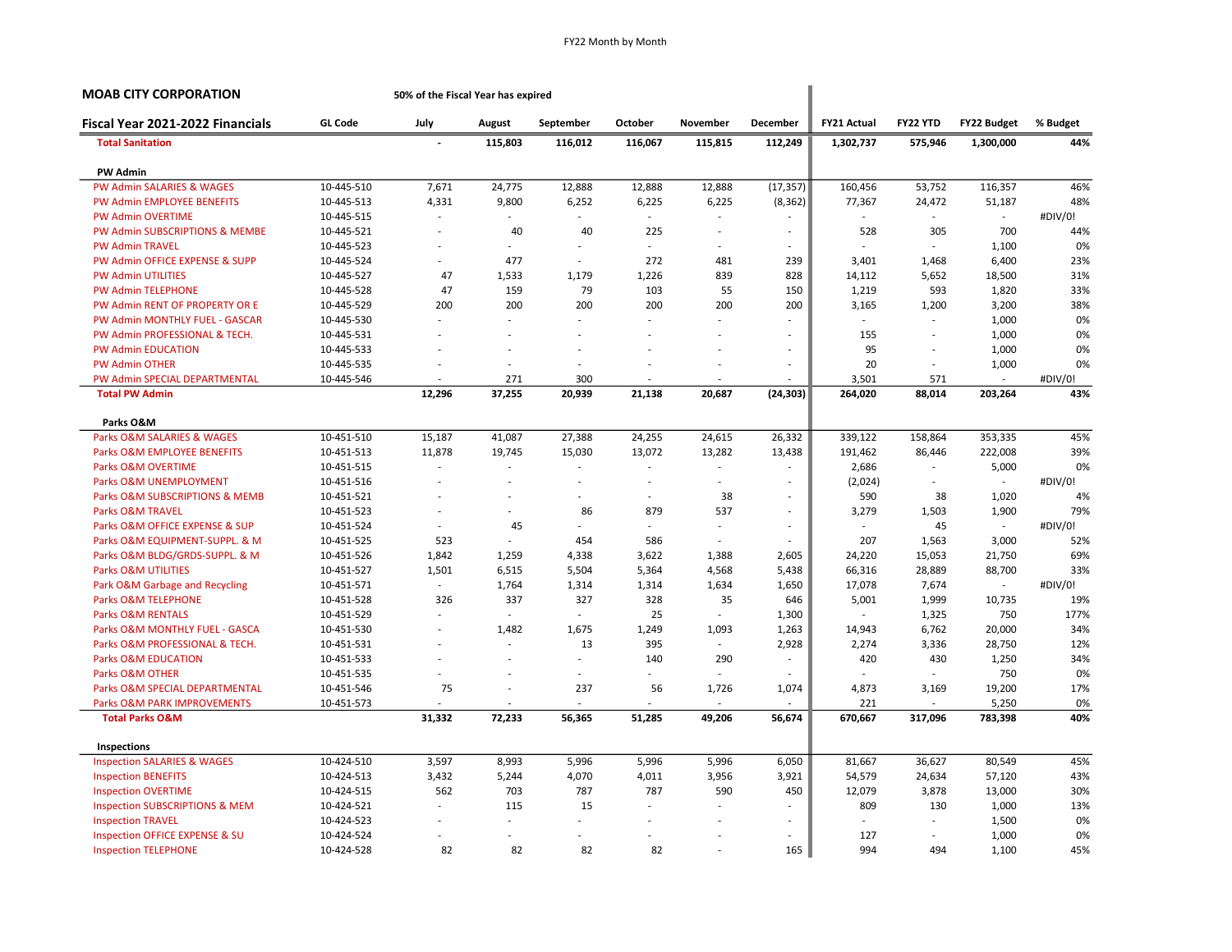| <b>MOAB CITY CORPORATION</b>                            | 50% of the Fiscal Year has expired |         |                          |              |                          |                          |              |              |                          |          |
|---------------------------------------------------------|------------------------------------|---------|--------------------------|--------------|--------------------------|--------------------------|--------------|--------------|--------------------------|----------|
| <b>GL Code</b><br>Fiscal Year 2021-2022 Financials      | July                               | August  | September                | October      | November                 | <b>December</b>          | FY21 Actual  | FY22 YTD     | <b>FY22 Budget</b>       | % Budget |
| <b>Total Sanitation</b>                                 |                                    | 115,803 | 116,012                  | 116,067      | 115,815                  | 112,249                  | 1,302,737    | 575,946      | 1,300,000                | 44%      |
| <b>PW Admin</b>                                         |                                    |         |                          |              |                          |                          |              |              |                          |          |
| <b>PW Admin SALARIES &amp; WAGES</b><br>10-445-510      | 7,671                              | 24,775  | 12,888                   | 12,888       | 12,888                   | (17, 357)                | 160,456      | 53,752       | 116,357                  | 46%      |
| PW Admin EMPLOYEE BENEFITS<br>10-445-513                | 4,331                              | 9,800   | 6,252                    | 6,225        | 6,225                    | (8, 362)                 | 77,367       | 24,472       | 51,187                   | 48%      |
| <b>PW Admin OVERTIME</b><br>10-445-515                  |                                    |         |                          | $\mathbf{r}$ |                          |                          |              | $\sim$       | $\sim$                   | #DIV/0!  |
| PW Admin SUBSCRIPTIONS & MEMBE<br>10-445-521            |                                    | 40      | 40                       | 225          |                          | $\sim$                   | 528          | 305          | 700                      | 44%      |
| <b>PW Admin TRAVEL</b><br>10-445-523                    |                                    |         | $\sim$                   | $\mathbf{r}$ |                          | $\sim$                   |              | $\mathbf{r}$ | 1,100                    | 0%       |
| PW Admin OFFICE EXPENSE & SUPP<br>10-445-524            | ä,                                 | 477     | $\sim$                   | 272          | 481                      | 239                      | 3,401        | 1,468        | 6,400                    | 23%      |
| <b>PW Admin UTILITIES</b><br>10-445-527                 | 47                                 | 1,533   | 1,179                    | 1,226        | 839                      | 828                      | 14,112       | 5,652        | 18,500                   | 31%      |
| <b>PW Admin TELEPHONE</b><br>10-445-528                 | 47                                 | 159     | 79                       | 103          | 55                       | 150                      | 1,219        | 593          | 1,820                    | 33%      |
| PW Admin RENT OF PROPERTY OR E<br>10-445-529            | 200                                | 200     | 200                      | 200          | 200                      | 200                      | 3,165        | 1,200        | 3,200                    | 38%      |
| PW Admin MONTHLY FUEL - GASCAR<br>10-445-530            | ÷                                  | $\sim$  | ÷.                       | ÷.           | ÷                        |                          | $\mathbf{r}$ | $\sim$       | 1,000                    | 0%       |
| PW Admin PROFESSIONAL & TECH.<br>10-445-531             | ٠                                  |         |                          |              |                          | $\sim$                   | 155          | L.           | 1,000                    | 0%       |
| <b>PW Admin EDUCATION</b><br>10-445-533                 |                                    |         |                          |              |                          | $\sim$                   | 95           |              | 1,000                    | 0%       |
| <b>PW Admin OTHER</b><br>10-445-535                     |                                    |         | $\overline{\phantom{a}}$ |              |                          | $\sim$                   | 20           | $\sim$       | 1,000                    | 0%       |
| PW Admin SPECIAL DEPARTMENTAL<br>10-445-546             | ÷.                                 | 271     | 300                      | ÷.           | ÷                        | ÷                        | 3,501        | 571          | ÷                        | #DIV/0!  |
| <b>Total PW Admin</b>                                   | 12,296                             | 37,255  | 20,939                   | 21,138       | 20,687                   | (24, 303)                | 264,020      | 88,014       | 203,264                  | 43%      |
| Parks O&M                                               |                                    |         |                          |              |                          |                          |              |              |                          |          |
| Parks O&M SALARIES & WAGES<br>10-451-510                | 15,187                             | 41,087  | 27,388                   | 24,255       | 24,615                   | 26,332                   | 339,122      | 158,864      | 353,335                  | 45%      |
| Parks O&M EMPLOYEE BENEFITS<br>10-451-513               | 11,878                             | 19,745  | 15,030                   | 13,072       | 13,282                   | 13,438                   | 191,462      | 86,446       | 222,008                  | 39%      |
| Parks O&M OVERTIME<br>10-451-515                        |                                    |         |                          |              |                          |                          | 2,686        | $\sim$       | 5,000                    | 0%       |
| Parks O&M UNEMPLOYMENT<br>10-451-516                    | ÷,                                 |         | Ĭ.                       | ÷,           | $\overline{\phantom{a}}$ | $\sim$                   | (2,024)      | $\sim$       | $\sim$                   | #DIV/0!  |
| Parks O&M SUBSCRIPTIONS & MEMB<br>10-451-521            |                                    |         | $\overline{\phantom{a}}$ | ä,           | 38                       | $\overline{\phantom{a}}$ | 590          | 38           | 1,020                    | 4%       |
| Parks O&M TRAVEL<br>10-451-523                          | ٠                                  |         | 86                       | 879          | 537                      | $\sim$                   | 3,279        | 1,503        | 1,900                    | 79%      |
| Parks O&M OFFICE EXPENSE & SUP<br>10-451-524            | ÷.                                 | 45      | ÷                        |              | $\overline{\phantom{a}}$ | $\sim$                   |              | 45           | $\overline{\phantom{a}}$ | #DIV/0!  |
| Parks O&M EQUIPMENT-SUPPL. & M<br>10-451-525            | 523                                | $\sim$  | 454                      | 586          | $\sim$                   | $\sim$                   | 207          | 1,563        | 3,000                    | 52%      |
| Parks O&M BLDG/GRDS-SUPPL. & M<br>10-451-526            | 1,842                              | 1,259   | 4,338                    | 3,622        | 1,388                    | 2,605                    | 24,220       | 15,053       | 21,750                   | 69%      |
| <b>Parks O&amp;M UTILITIES</b><br>10-451-527            | 1,501                              | 6,515   | 5,504                    | 5,364        | 4,568                    | 5,438                    | 66,316       | 28,889       | 88,700                   | 33%      |
| Park O&M Garbage and Recycling<br>10-451-571            | $\overline{\phantom{a}}$           | 1,764   | 1,314                    | 1,314        | 1,634                    | 1,650                    | 17,078       | 7,674        | ÷.                       | #DIV/0!  |
| <b>Parks O&amp;M TELEPHONE</b><br>10-451-528            | 326                                | 337     | 327                      | 328          | 35                       | 646                      | 5,001        | 1,999        | 10,735                   | 19%      |
| <b>Parks O&amp;M RENTALS</b><br>10-451-529              |                                    | $\sim$  | ÷.                       | 25           | $\sim$                   | 1,300                    |              | 1,325        | 750                      | 177%     |
| Parks O&M MONTHLY FUEL - GASCA<br>10-451-530            | ÷                                  | 1,482   | 1,675                    | 1,249        | 1,093                    | 1,263                    | 14,943       | 6,762        | 20,000                   | 34%      |
| Parks O&M PROFESSIONAL & TECH.<br>10-451-531            |                                    |         | 13                       | 395          | $\sim$                   | 2,928                    | 2,274        | 3,336        | 28,750                   | 12%      |
| <b>Parks O&amp;M EDUCATION</b><br>10-451-533            | ÷.                                 | ÷.      | ÷                        | 140          | 290                      | $\overline{\phantom{a}}$ | 420          | 430          | 1,250                    | 34%      |
| Parks O&M OTHER<br>10-451-535                           |                                    |         | $\overline{\phantom{a}}$ | ٠            |                          |                          |              | ÷.           | 750                      | 0%       |
| Parks O&M SPECIAL DEPARTMENTAL<br>10-451-546            | 75                                 |         | 237                      | 56           | 1,726                    | 1,074                    | 4,873        | 3,169        | 19,200                   | 17%      |
| Parks O&M PARK IMPROVEMENTS<br>10-451-573               |                                    |         |                          |              |                          |                          | 221          |              | 5,250                    | 0%       |
| <b>Total Parks O&amp;M</b>                              | 31,332                             | 72,233  | 56,365                   | 51,285       | 49,206                   | 56,674                   | 670,667      | 317,096      | 783,398                  | 40%      |
| Inspections                                             |                                    |         |                          |              |                          |                          |              |              |                          |          |
| 10-424-510<br><b>Inspection SALARIES &amp; WAGES</b>    | 3,597                              | 8,993   | 5,996                    | 5,996        | 5,996                    | 6,050                    | 81,667       | 36,627       | 80,549                   | 45%      |
| <b>Inspection BENEFITS</b><br>10-424-513                | 3,432                              | 5,244   | 4,070                    | 4,011        | 3,956                    | 3,921                    | 54,579       | 24,634       | 57,120                   | 43%      |
| <b>Inspection OVERTIME</b><br>10-424-515                | 562                                | 703     | 787                      | 787          | 590                      | 450                      | 12,079       | 3,878        | 13,000                   | 30%      |
| <b>Inspection SUBSCRIPTIONS &amp; MEM</b><br>10-424-521 | ä,                                 | 115     | 15                       | ä,           |                          |                          | 809          | 130          | 1,000                    | 13%      |
| <b>Inspection TRAVEL</b><br>10-424-523                  |                                    |         |                          |              |                          |                          |              | ÷.           | 1,500                    | 0%       |
| Inspection OFFICE EXPENSE & SU<br>10-424-524            |                                    |         |                          |              |                          | $\sim$                   | 127          | $\sim$       | 1,000                    | 0%       |
| 10-424-528<br><b>Inspection TELEPHONE</b>               | 82                                 | 82      | 82                       | 82           |                          | 165                      | 994          | 494          | 1,100                    | 45%      |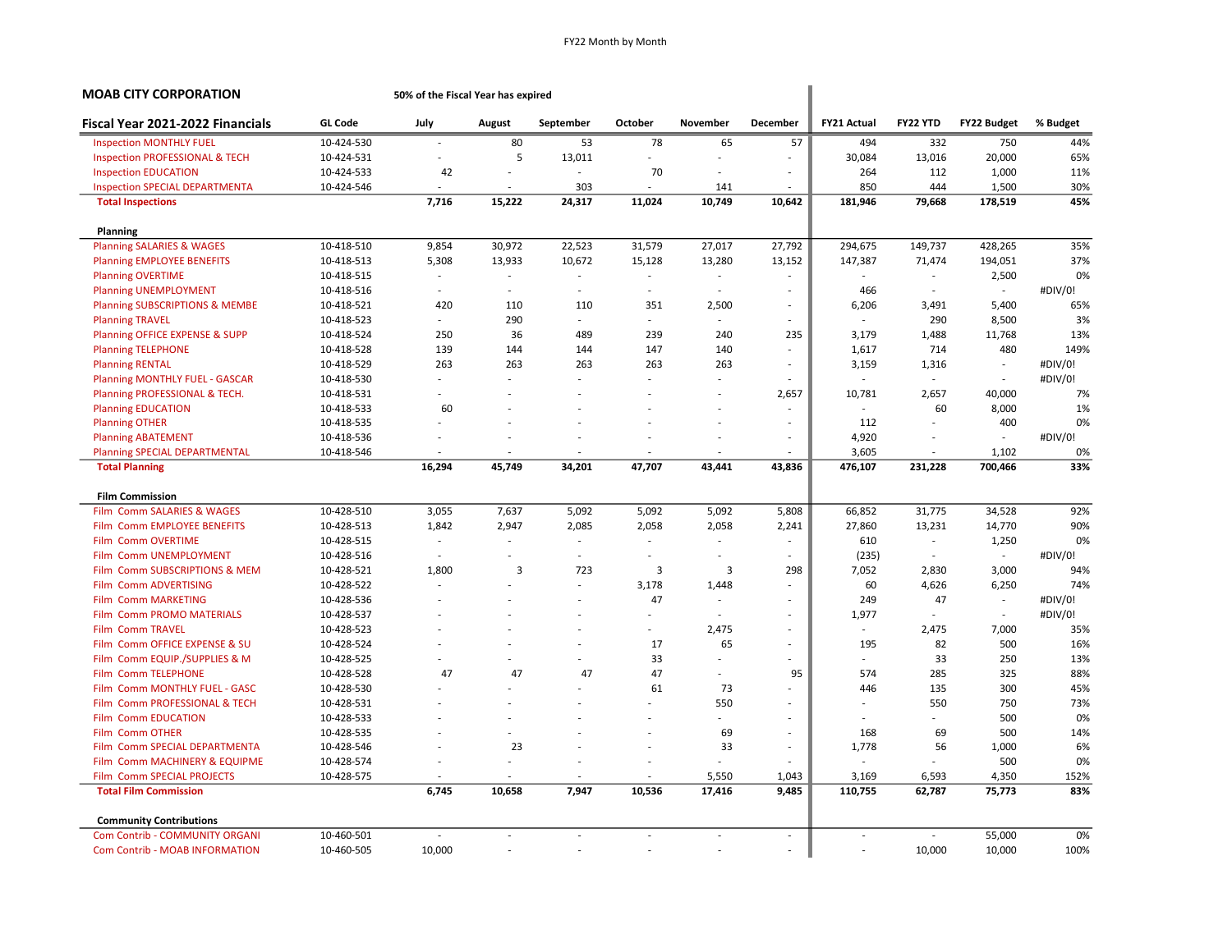| <b>MOAB CITY CORPORATION</b>                       |                | 50% of the Fiscal Year has expired |                          |           |                          |          |                          |                          |          |                          |          |
|----------------------------------------------------|----------------|------------------------------------|--------------------------|-----------|--------------------------|----------|--------------------------|--------------------------|----------|--------------------------|----------|
| Fiscal Year 2021-2022 Financials                   | <b>GL Code</b> | July                               | August                   | September | October                  | November | December                 | <b>FY21 Actual</b>       | FY22 YTD | <b>FY22 Budget</b>       | % Budget |
| <b>Inspection MONTHLY FUEL</b>                     | 10-424-530     | ÷                                  | 80                       | 53        | 78                       | 65       | 57                       | 494                      | 332      | 750                      | 44%      |
| <b>Inspection PROFESSIONAL &amp; TECH</b>          | 10-424-531     | ٠                                  | 5                        | 13,011    | $\sim$                   | $\sim$   | $\overline{\phantom{a}}$ | 30,084                   | 13,016   | 20,000                   | 65%      |
| <b>Inspection EDUCATION</b>                        | 10-424-533     | 42                                 |                          |           | 70                       |          | ÷,                       | 264                      | 112      | 1,000                    | 11%      |
| <b>Inspection SPECIAL DEPARTMENTA</b>              | 10-424-546     | ×.                                 | $\sim$                   | 303       | ÷.                       | 141      | ÷                        | 850                      | 444      | 1,500                    | 30%      |
| <b>Total Inspections</b>                           |                | 7,716                              | 15,222                   | 24,317    | 11,024                   | 10,749   | 10,642                   | 181,946                  | 79,668   | 178,519                  | 45%      |
| Planning                                           |                |                                    |                          |           |                          |          |                          |                          |          |                          |          |
| <b>Planning SALARIES &amp; WAGES</b>               | 10-418-510     | 9,854                              | 30,972                   | 22,523    | 31,579                   | 27,017   | 27,792                   | 294,675                  | 149,737  | 428,265                  | 35%      |
| <b>Planning EMPLOYEE BENEFITS</b>                  | 10-418-513     | 5,308                              | 13,933                   | 10,672    | 15,128                   | 13,280   | 13,152                   | 147,387                  | 71,474   | 194,051                  | 37%      |
| <b>Planning OVERTIME</b>                           | 10-418-515     | $\overline{a}$                     | ÷.                       | ÷.        | ÷.                       | $\sim$   | ÷.                       |                          | $\sim$   | 2,500                    | 0%       |
| <b>Planning UNEMPLOYMENT</b>                       | 10-418-516     | ÷                                  | ÷.                       | ÷,        | ÷.                       | ÷.       | ٠                        | 466                      |          | $\overline{\phantom{a}}$ | #DIV/0!  |
| <b>Planning SUBSCRIPTIONS &amp; MEMBE</b>          | 10-418-521     | 420                                | 110                      | 110       | 351                      | 2,500    | $\overline{\phantom{a}}$ | 6,206                    | 3,491    | 5,400                    | 65%      |
| <b>Planning TRAVEL</b>                             | 10-418-523     | $\overline{\phantom{a}}$           | 290                      | ÷.        | $\sim$                   | $\sim$   | $\sim$                   | ÷.                       | 290      | 8,500                    | 3%       |
| Planning OFFICE EXPENSE & SUPP                     | 10-418-524     | 250                                | 36                       | 489       | 239                      | 240      | 235                      | 3,179                    | 1,488    | 11,768                   | 13%      |
| <b>Planning TELEPHONE</b>                          | 10-418-528     | 139                                | 144                      | 144       | 147                      | 140      | ÷                        | 1,617                    | 714      | 480                      | 149%     |
| <b>Planning RENTAL</b>                             | 10-418-529     | 263                                | 263                      | 263       | 263                      | 263      | ٠                        | 3,159                    | 1,316    | $\overline{\phantom{a}}$ | #DIV/0!  |
| <b>Planning MONTHLY FUEL - GASCAR</b>              | 10-418-530     | ÷,                                 | ÷                        | L.        | ÷.                       | $\sim$   | ÷                        | $\overline{\phantom{a}}$ | $\sim$   | $\overline{\phantom{a}}$ | #DIV/0!  |
| Planning PROFESSIONAL & TECH.                      | 10-418-531     |                                    |                          |           |                          |          | 2,657                    | 10,781                   | 2,657    | 40,000                   | 7%       |
| <b>Planning EDUCATION</b>                          | 10-418-533     | 60                                 |                          |           |                          |          | ÷                        | ÷.                       | 60       | 8,000                    | 1%       |
| <b>Planning OTHER</b>                              | 10-418-535     |                                    |                          |           |                          | ÷.       | ÷.                       | 112                      |          | 400                      | 0%       |
| <b>Planning ABATEMENT</b>                          | 10-418-536     |                                    |                          |           |                          | $\sim$   | ÷,                       | 4,920                    |          | $\overline{\phantom{a}}$ | #DIV/0!  |
| <b>Planning SPECIAL DEPARTMENTAL</b>               | 10-418-546     |                                    |                          |           |                          |          |                          | 3,605                    |          | 1,102                    | 0%       |
| <b>Total Planning</b>                              |                | 16,294                             | 45,749                   | 34,201    | 47,707                   | 43,441   | 43,836                   | 476,107                  | 231,228  | 700,466                  | 33%      |
| <b>Film Commission</b>                             |                |                                    |                          |           |                          |          |                          |                          |          |                          |          |
| Film Comm SALARIES & WAGES                         | 10-428-510     | 3,055                              | 7,637                    | 5,092     | 5,092                    | 5,092    | 5,808                    | 66,852                   | 31,775   | 34,528                   | 92%      |
| Film Comm EMPLOYEE BENEFITS                        | 10-428-513     | 1,842                              | 2,947                    | 2,085     | 2,058                    | 2,058    | 2,241                    | 27,860                   | 13,231   | 14,770                   | 90%      |
| Film Comm OVERTIME                                 | 10-428-515     | ÷.                                 | $\sim$                   | $\sim$    | ÷.                       | $\sim$   | ٠                        | 610                      | $\sim$   | 1,250                    | 0%       |
| Film Comm UNEMPLOYMENT                             | 10-428-516     | $\sim$                             | $\sim$                   | ÷         | $\sim$                   | ÷.       | $\sim$                   | (235)                    | $\sim$   | $\sim$                   | #DIV/0!  |
| <b>Film</b><br><b>Comm SUBSCRIPTIONS &amp; MEM</b> | 10-428-521     | 1,800                              | 3                        | 723       | 3                        | 3        | 298                      | 7,052                    | 2,830    | 3,000                    | 94%      |
| Film Comm ADVERTISING                              | 10-428-522     |                                    |                          | ÷         | 3,178                    | 1,448    | ÷                        | 60                       | 4,626    | 6,250                    | 74%      |
| <b>Comm MARKETING</b><br><b>Film</b>               | 10-428-536     |                                    |                          |           | 47                       | $\sim$   | ÷.                       | 249                      | 47       | ÷.                       | #DIV/0!  |
| Film Comm PROMO MATERIALS                          | 10-428-537     |                                    |                          |           |                          | $\sim$   | $\overline{\phantom{a}}$ | 1,977                    | ÷        | $\sim$                   | #DIV/0!  |
| <b>Film Comm TRAVEL</b>                            | 10-428-523     |                                    |                          |           | ÷.                       | 2,475    | $\sim$                   | $\overline{\phantom{a}}$ | 2,475    | 7,000                    | 35%      |
| Comm OFFICE EXPENSE & SU<br><b>Film</b>            | 10-428-524     |                                    |                          |           | 17                       | 65       | $\overline{\phantom{a}}$ | 195                      | 82       | 500                      | 16%      |
| Film Comm EQUIP./SUPPLIES & M                      | 10-428-525     |                                    |                          | ÷,        | 33                       | $\sim$   | ä,                       | ä,                       | 33       | 250                      | 13%      |
| Film Comm TELEPHONE                                | 10-428-528     | 47                                 | 47                       | 47        | 47                       | ÷        | 95                       | 574                      | 285      | 325                      | 88%      |
| Film Comm MONTHLY FUEL - GASC                      | 10-428-530     |                                    |                          |           | 61                       | 73       |                          | 446                      | 135      | 300                      | 45%      |
| Film Comm PROFESSIONAL & TECH                      | 10-428-531     |                                    |                          |           | ä,                       | 550      | $\sim$                   | $\overline{\phantom{a}}$ | 550      | 750                      | 73%      |
| Film Comm EDUCATION                                | 10-428-533     |                                    |                          |           |                          |          | ٠                        |                          |          | 500                      | 0%       |
| Film Comm OTHER                                    | 10-428-535     |                                    |                          |           |                          | 69       | $\overline{\phantom{a}}$ | 168                      | 69       | 500                      | 14%      |
| Film Comm SPECIAL DEPARTMENTA                      | 10-428-546     |                                    | 23                       |           |                          | 33       | ÷                        | 1,778                    | 56       | 1,000                    | 6%       |
| Film Comm MACHINERY & EQUIPME                      | 10-428-574     |                                    |                          |           |                          |          |                          |                          |          | 500                      | 0%       |
| Film Comm SPECIAL PROJECTS                         | 10-428-575     | i.                                 |                          | J.        | ÷.                       | 5,550    | 1,043                    | 3,169                    | 6,593    | 4,350                    | 152%     |
| <b>Total Film Commission</b>                       |                | 6,745                              | 10,658                   | 7,947     | 10,536                   | 17,416   | 9,485                    | 110,755                  | 62,787   | 75,773                   | 83%      |
| <b>Community Contributions</b>                     |                |                                    |                          |           |                          |          |                          |                          |          |                          |          |
| Com Contrib - COMMUNITY ORGANI                     | 10-460-501     | $\overline{\phantom{a}}$           | $\overline{\phantom{a}}$ | ÷,        | $\overline{\phantom{a}}$ | $\sim$   | $\sim$                   | $\overline{\phantom{a}}$ | $\sim$   | 55,000                   | 0%       |
| <b>Com Contrib - MOAB INFORMATION</b>              | 10-460-505     | 10,000                             | ÷.                       | ÷,        | ä,                       | ÷.       | ÷,                       | J.                       | 10,000   | 10,000                   | 100%     |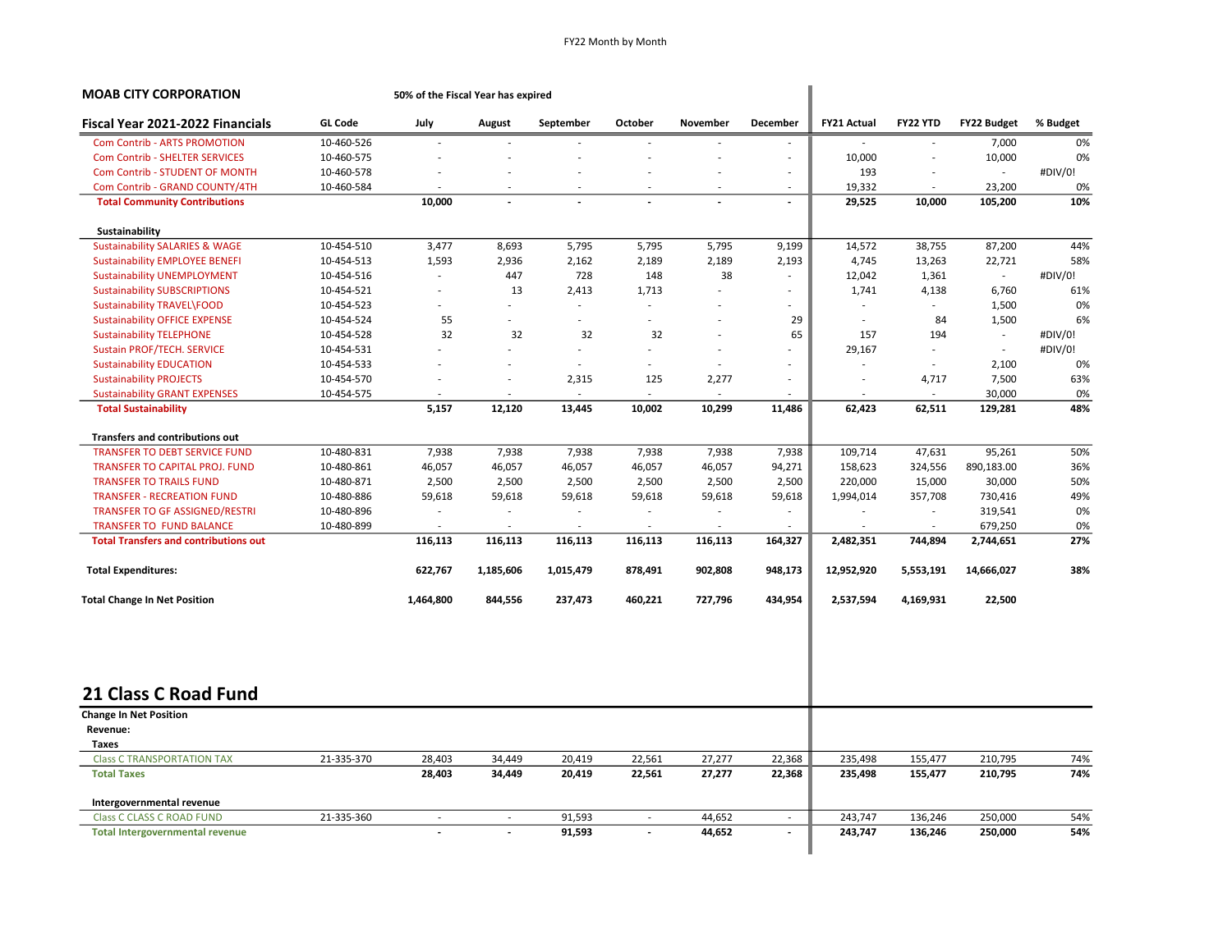| <b>MOAB CITY CORPORATION</b>                 |                | 50% of the Fiscal Year has expired |                          |                          |                          |          |                          |                    |                             |                          |          |
|----------------------------------------------|----------------|------------------------------------|--------------------------|--------------------------|--------------------------|----------|--------------------------|--------------------|-----------------------------|--------------------------|----------|
| Fiscal Year 2021-2022 Financials             | <b>GL Code</b> | July                               | August                   | September                | October                  | November | December                 | <b>FY21 Actual</b> | FY22 YTD                    | <b>FY22 Budget</b>       | % Budget |
| <b>Com Contrib - ARTS PROMOTION</b>          | 10-460-526     |                                    |                          |                          |                          |          |                          |                    |                             | 7,000                    | 0%       |
| <b>Com Contrib - SHELTER SERVICES</b>        | 10-460-575     |                                    |                          |                          |                          |          | ٠                        | 10,000             |                             | 10,000                   | 0%       |
| Com Contrib - STUDENT OF MONTH               | 10-460-578     |                                    |                          |                          |                          |          | $\overline{\phantom{a}}$ | 193                |                             | $\overline{\phantom{a}}$ | #DIV/0!  |
| Com Contrib - GRAND COUNTY/4TH               | 10-460-584     |                                    |                          |                          |                          |          | ÷                        | 19,332             |                             | 23,200                   | 0%       |
| <b>Total Community Contributions</b>         |                | 10,000                             | $\overline{a}$           |                          |                          |          | $\overline{a}$           | 29,525             | 10,000                      | 105,200                  | 10%      |
| Sustainability                               |                |                                    |                          |                          |                          |          |                          |                    |                             |                          |          |
| <b>Sustainability SALARIES &amp; WAGE</b>    | 10-454-510     | 3,477                              | 8,693                    | 5,795                    | 5,795                    | 5,795    | 9,199                    | 14,572             | 38,755                      | 87,200                   | 44%      |
| <b>Sustainability EMPLOYEE BENEFI</b>        | 10-454-513     | 1,593                              | 2,936                    | 2,162                    | 2,189                    | 2,189    | 2,193                    | 4,745              | 13,263                      | 22,721                   | 58%      |
| <b>Sustainability UNEMPLOYMENT</b>           | 10-454-516     |                                    | 447                      | 728                      | 148                      | 38       | ÷,                       | 12,042             | 1,361                       | $\overline{\phantom{a}}$ | #DIV/0!  |
| <b>Sustainability SUBSCRIPTIONS</b>          | 10-454-521     | $\overline{\phantom{a}}$           | 13                       | 2,413                    | 1,713                    | ÷,       | $\overline{\phantom{a}}$ | 1,741              | 4,138                       | 6,760                    | 61%      |
| Sustainability TRAVEL\FOOD                   | 10-454-523     |                                    | ÷.                       | $\sim$                   |                          |          | ÷                        |                    | $\mathcal{L}^{\mathcal{A}}$ | 1,500                    | 0%       |
| <b>Sustainability OFFICE EXPENSE</b>         | 10-454-524     | 55                                 | ä,                       |                          | L,                       |          | 29                       |                    | 84                          | 1,500                    | 6%       |
| <b>Sustainability TELEPHONE</b>              | 10-454-528     | 32                                 | 32                       | 32                       | 32                       |          | 65                       | 157                | 194                         | $\sim$                   | #DIV/0!  |
| <b>Sustain PROF/TECH. SERVICE</b>            | 10-454-531     |                                    | ä,                       | $\sim$                   | ÷.                       |          | ÷.                       | 29,167             | $\sim$                      | $\sim$                   | #DIV/0!  |
| <b>Sustainability EDUCATION</b>              | 10-454-533     |                                    |                          |                          | ٠                        |          | ÷                        |                    | ÷.                          | 2,100                    | 0%       |
| <b>Sustainability PROJECTS</b>               | 10-454-570     |                                    | ÷,                       | 2,315                    | 125                      | 2,277    | $\overline{\phantom{a}}$ |                    | 4,717                       | 7,500                    | 63%      |
| <b>Sustainability GRANT EXPENSES</b>         | 10-454-575     |                                    |                          |                          |                          |          |                          |                    |                             | 30,000                   | 0%       |
| <b>Total Sustainability</b>                  |                | 5,157                              | 12,120                   | 13,445                   | 10,002                   | 10,299   | 11,486                   | 62,423             | 62,511                      | 129,281                  | 48%      |
| <b>Transfers and contributions out</b>       |                |                                    |                          |                          |                          |          |                          |                    |                             |                          |          |
| <b>TRANSFER TO DEBT SERVICE FUND</b>         | 10-480-831     | 7,938                              | 7,938                    | 7,938                    | 7,938                    | 7,938    | 7,938                    | 109,714            | 47,631                      | 95,261                   | 50%      |
| <b>TRANSFER TO CAPITAL PROJ. FUND</b>        | 10-480-861     | 46,057                             | 46,057                   | 46,057                   | 46,057                   | 46,057   | 94,271                   | 158,623            | 324,556                     | 890,183.00               | 36%      |
| <b>TRANSFER TO TRAILS FUND</b>               | 10-480-871     | 2,500                              | 2,500                    | 2,500                    | 2,500                    | 2,500    | 2,500                    | 220,000            | 15,000                      | 30,000                   | 50%      |
| <b>TRANSFER - RECREATION FUND</b>            | 10-480-886     | 59,618                             | 59,618                   | 59,618                   | 59,618                   | 59,618   | 59,618                   | 1,994,014          | 357,708                     | 730,416                  | 49%      |
| TRANSFER TO GF ASSIGNED/RESTRI               | 10-480-896     |                                    | $\overline{\phantom{a}}$ | $\overline{\phantom{a}}$ | $\overline{\phantom{a}}$ | $\sim$   | $\overline{\phantom{a}}$ |                    | $\overline{\phantom{a}}$    | 319,541                  | 0%       |
| TRANSFER TO FUND BALANCE                     | 10-480-899     |                                    | ÷.                       | ÷                        |                          | ÷.       | ÷.                       |                    | ÷                           | 679,250                  | 0%       |
| <b>Total Transfers and contributions out</b> |                | 116,113                            | 116,113                  | 116,113                  | 116,113                  | 116,113  | 164,327                  | 2,482,351          | 744,894                     | 2,744,651                | 27%      |
| <b>Total Expenditures:</b>                   |                | 622,767                            | 1,185,606                | 1,015,479                | 878,491                  | 902,808  | 948,173                  | 12,952,920         | 5,553,191                   | 14,666,027               | 38%      |
|                                              |                |                                    |                          |                          |                          |          |                          |                    |                             |                          |          |
| <b>Total Change In Net Position</b>          |                | 1,464,800                          | 844,556                  | 237,473                  | 460,221                  | 727,796  | 434,954                  | 2,537,594          | 4,169,931                   | 22,500                   |          |
|                                              |                |                                    |                          |                          |                          |          |                          |                    |                             |                          |          |
| 21 Class C Road Fund                         |                |                                    |                          |                          |                          |          |                          |                    |                             |                          |          |
| <b>Change In Net Position</b>                |                |                                    |                          |                          |                          |          |                          |                    |                             |                          |          |
| Revenue:                                     |                |                                    |                          |                          |                          |          |                          |                    |                             |                          |          |
| Taxes                                        |                |                                    |                          |                          |                          |          |                          |                    |                             |                          |          |
| <b>Class C TRANSPORTATION TAX</b>            | 21-335-370     | 28,403                             | 34,449                   | 20,419                   | 22,561                   | 27,277   | 22,368                   | 235,498            | 155,477                     | 210,795                  | 74%      |
| <b>Total Taxes</b>                           |                | 28,403                             | 34,449                   | 20,419                   | 22,561                   | 27,277   | 22,368                   | 235,498            | 155,477                     | 210,795                  | 74%      |
| Intergovernmental revenue                    |                |                                    |                          |                          |                          |          |                          |                    |                             |                          |          |
| <b>Class C CLASS C ROAD FUND</b>             | 21-335-360     |                                    |                          | 91,593                   | $\overline{\phantom{a}}$ | 44,652   | $\overline{\phantom{a}}$ | 243,747            | 136,246                     | 250,000                  | 54%      |
| <b>Total Intergovernmental revenue</b>       |                |                                    |                          | 91,593                   | $\blacksquare$           | 44,652   | $\blacksquare$           | 243,747            | 136,246                     | 250,000                  | 54%      |
|                                              |                |                                    |                          |                          |                          |          |                          |                    |                             |                          |          |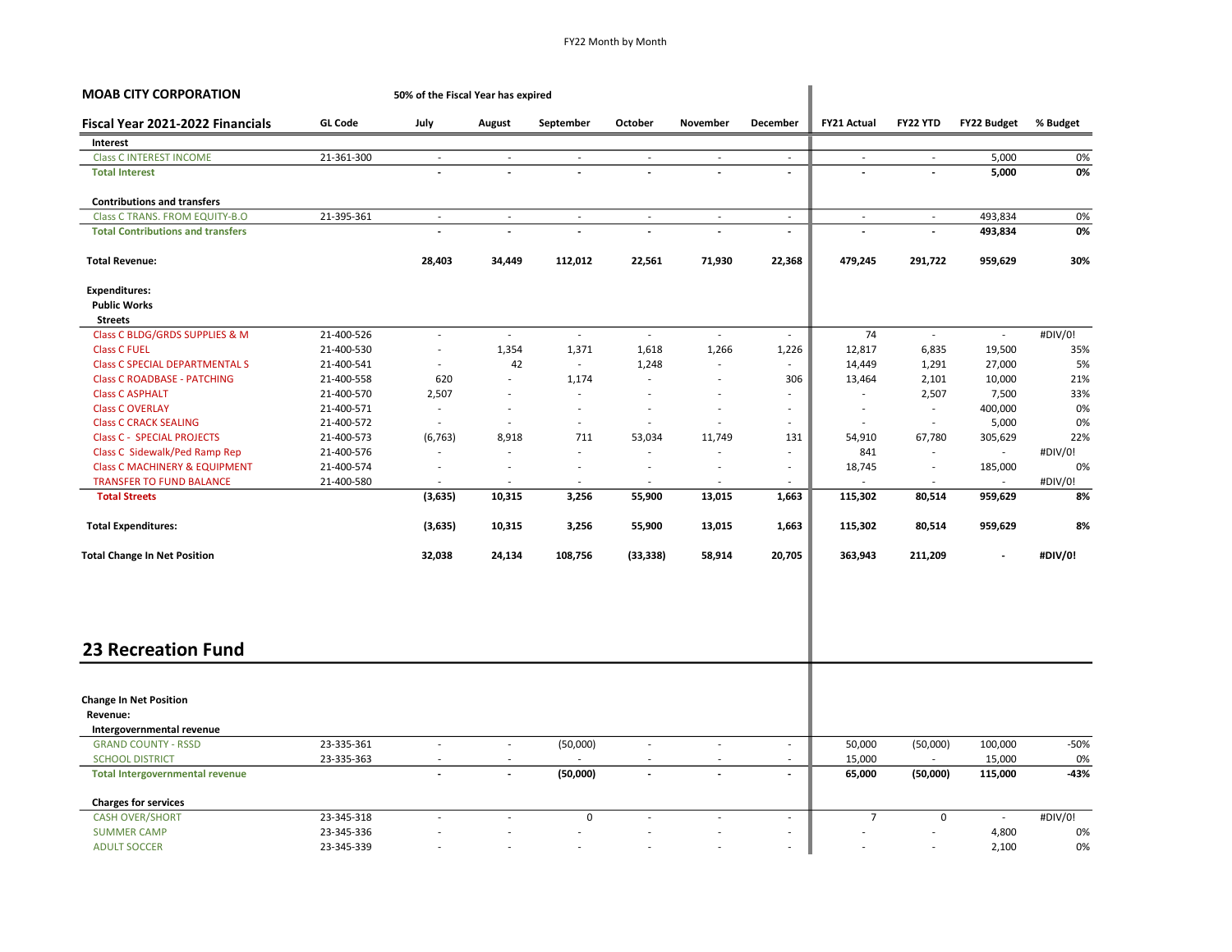| <b>MOAB CITY CORPORATION</b>              | 50% of the Fiscal Year has expired |                          |                          |                          |                          |                          |                                            |                          |                             |                          |              |
|-------------------------------------------|------------------------------------|--------------------------|--------------------------|--------------------------|--------------------------|--------------------------|--------------------------------------------|--------------------------|-----------------------------|--------------------------|--------------|
| Fiscal Year 2021-2022 Financials          | <b>GL Code</b>                     | July                     | August                   | September                | October                  | November                 | <b>December</b>                            | <b>FY21 Actual</b>       | FY22 YTD                    | <b>FY22 Budget</b>       | % Budget     |
| Interest                                  |                                    |                          |                          |                          |                          |                          |                                            |                          |                             |                          |              |
| <b>Class C INTEREST INCOME</b>            | 21-361-300                         | $\sim$                   | $\overline{\phantom{a}}$ | $\sim$                   | $\sim$                   | $\sim$                   | $\sim$                                     | $\sim$                   | $\sim$                      | 5,000                    | 0%           |
| <b>Total Interest</b>                     |                                    |                          |                          |                          |                          |                          | $\blacksquare$                             | $\overline{\phantom{a}}$ | $\overline{a}$              | 5,000                    | 0%           |
| <b>Contributions and transfers</b>        |                                    |                          |                          |                          |                          |                          |                                            |                          |                             |                          |              |
| Class C TRANS. FROM EQUITY-B.O            | 21-395-361                         | $\sim$                   | ÷.                       | $\mathcal{L}$            | $\mathcal{L}$            | $\sim$                   | $\mathcal{L}$                              | $\sim$                   | $\mathcal{L}^{\mathcal{A}}$ | 493,834                  | 0%           |
| <b>Total Contributions and transfers</b>  |                                    |                          |                          | $\overline{\phantom{a}}$ |                          | $\overline{\phantom{a}}$ | $\overline{\phantom{a}}$                   |                          | $\blacksquare$              | 493,834                  | 0%           |
| <b>Total Revenue:</b>                     |                                    | 28,403                   | 34,449                   | 112,012                  | 22,561                   | 71,930                   | 22,368                                     | 479,245                  | 291,722                     | 959,629                  | 30%          |
| <b>Expenditures:</b>                      |                                    |                          |                          |                          |                          |                          |                                            |                          |                             |                          |              |
| <b>Public Works</b>                       |                                    |                          |                          |                          |                          |                          |                                            |                          |                             |                          |              |
| <b>Streets</b>                            |                                    |                          |                          |                          |                          |                          |                                            |                          |                             |                          |              |
| Class C BLDG/GRDS SUPPLIES & M            | 21-400-526                         | $\overline{\phantom{a}}$ | $\sim$                   | $\sim$                   | $\sim$                   | $\sim$                   | $\sim$                                     | 74                       | $\sim$                      | $\sim$                   | #DIV/0!      |
| <b>Class C FUEL</b>                       | 21-400-530                         | $\overline{\phantom{a}}$ | 1,354                    | 1,371                    | 1,618                    | 1,266                    | 1,226                                      | 12,817                   | 6,835                       | 19,500                   | 35%          |
| <b>Class C SPECIAL DEPARTMENTAL S</b>     | 21-400-541                         | $\overline{\phantom{a}}$ | 42                       | $\sim$                   | 1,248                    | $\overline{\phantom{a}}$ |                                            | 14,449                   | 1,291                       | 27,000                   | 5%           |
| <b>Class C ROADBASE - PATCHING</b>        | 21-400-558                         | 620                      | ÷.                       | 1,174                    | ÷,                       | $\sim$                   | 306                                        | 13,464                   | 2,101                       | 10,000                   | 21%          |
| <b>Class C ASPHALT</b>                    | 21-400-570                         | 2,507                    |                          | $\sim$                   | ٠                        |                          | $\sim$                                     |                          | 2,507                       | 7,500                    | 33%          |
| <b>Class C OVERLAY</b>                    | 21-400-571                         | ÷,                       |                          | $\sim$                   | ä,                       | $\sim$                   |                                            | $\sim$                   | $\overline{\phantom{a}}$    | 400,000                  | 0%           |
| <b>Class C CRACK SEALING</b>              | 21-400-572                         | $\overline{a}$           | $\sim$                   | $\overline{\phantom{a}}$ | $\overline{a}$           | $\sim$                   |                                            | $\sim$                   | $\overline{\phantom{a}}$    | 5,000                    | 0%           |
| <b>Class C - SPECIAL PROJECTS</b>         | 21-400-573                         | (6, 763)                 | 8,918                    | 711                      | 53,034                   | 11,749                   | 131                                        | 54,910                   | 67,780                      | 305,629                  | 22%          |
| Class C Sidewalk/Ped Ramp Rep             | 21-400-576                         | ٠                        |                          | $\sim$                   | ä,                       | $\sim$                   | $\sim$                                     | 841                      | $\overline{\phantom{a}}$    | $\overline{\phantom{a}}$ | #DIV/0!      |
| <b>Class C MACHINERY &amp; EQUIPMENT</b>  | 21-400-574                         | ÷,                       | ÷.                       | ÷,                       | Ĭ.                       | $\sim$                   | $\sim$                                     | 18,745                   | $\sim$                      | 185,000                  | 0%           |
| <b>TRANSFER TO FUND BALANCE</b>           | 21-400-580                         | ÷.                       |                          | ÷.                       |                          | ÷.                       |                                            |                          | $\sim$                      | ÷.                       | #DIV/0!      |
| <b>Total Streets</b>                      |                                    | (3,635)                  | 10,315                   | 3,256                    | 55,900                   | 13,015                   | 1,663                                      | 115,302                  | 80,514                      | 959,629                  | 8%           |
| <b>Total Expenditures:</b>                |                                    | (3,635)                  | 10,315                   | 3,256                    | 55,900                   | 13,015                   | 1,663                                      | 115,302                  | 80,514                      | 959,629                  | 8%           |
| <b>Total Change In Net Position</b>       |                                    | 32,038                   | 24,134                   | 108,756                  | (33, 338)                | 58,914                   | 20,705                                     | 363,943                  | 211,209                     | $\overline{\phantom{a}}$ | #DIV/0!      |
| <b>23 Recreation Fund</b>                 |                                    |                          |                          |                          |                          |                          |                                            |                          |                             |                          |              |
|                                           |                                    |                          |                          |                          |                          |                          |                                            |                          |                             |                          |              |
| <b>Change In Net Position</b><br>Revenue: |                                    |                          |                          |                          |                          |                          |                                            |                          |                             |                          |              |
| Intergovernmental revenue                 |                                    |                          |                          |                          |                          |                          |                                            |                          |                             |                          |              |
| <b>GRAND COUNTY - RSSD</b>                | 23-335-361                         | $\sim$                   | ÷.                       |                          | $\overline{\phantom{a}}$ | $\sim$                   | $\sim$                                     | 50,000                   |                             | 100,000                  | $-50%$       |
| <b>SCHOOL DISTRICT</b>                    | 23-335-363                         |                          |                          | (50,000)                 |                          |                          |                                            |                          | (50,000)                    |                          |              |
| <b>Total Intergovernmental revenue</b>    |                                    |                          |                          | (50,000)                 | $\overline{a}$           |                          | $\overline{\phantom{a}}$<br>$\overline{a}$ | 15,000<br>65,000         | (50,000)                    | 15,000<br>115,000        | 0%<br>$-43%$ |
| <b>Charges for services</b>               |                                    |                          |                          |                          |                          |                          |                                            |                          |                             |                          |              |
| <b>CASH OVER/SHORT</b>                    | 23-345-318                         | ÷,                       |                          | 0                        |                          | ä,                       | $\sim$                                     | $\overline{7}$           | $\mathsf 0$                 | $\sim$                   | #DIV/0!      |
| <b>SUMMER CAMP</b>                        | 23-345-336                         |                          |                          | $\overline{\phantom{a}}$ |                          |                          | $\sim$                                     |                          | $\overline{\phantom{a}}$    | 4,800                    | 0%           |
| <b>ADULT SOCCER</b>                       | 23-345-339                         |                          |                          |                          |                          |                          | $\sim$                                     |                          |                             | 2,100                    | 0%           |
|                                           |                                    |                          |                          |                          |                          |                          |                                            |                          |                             |                          |              |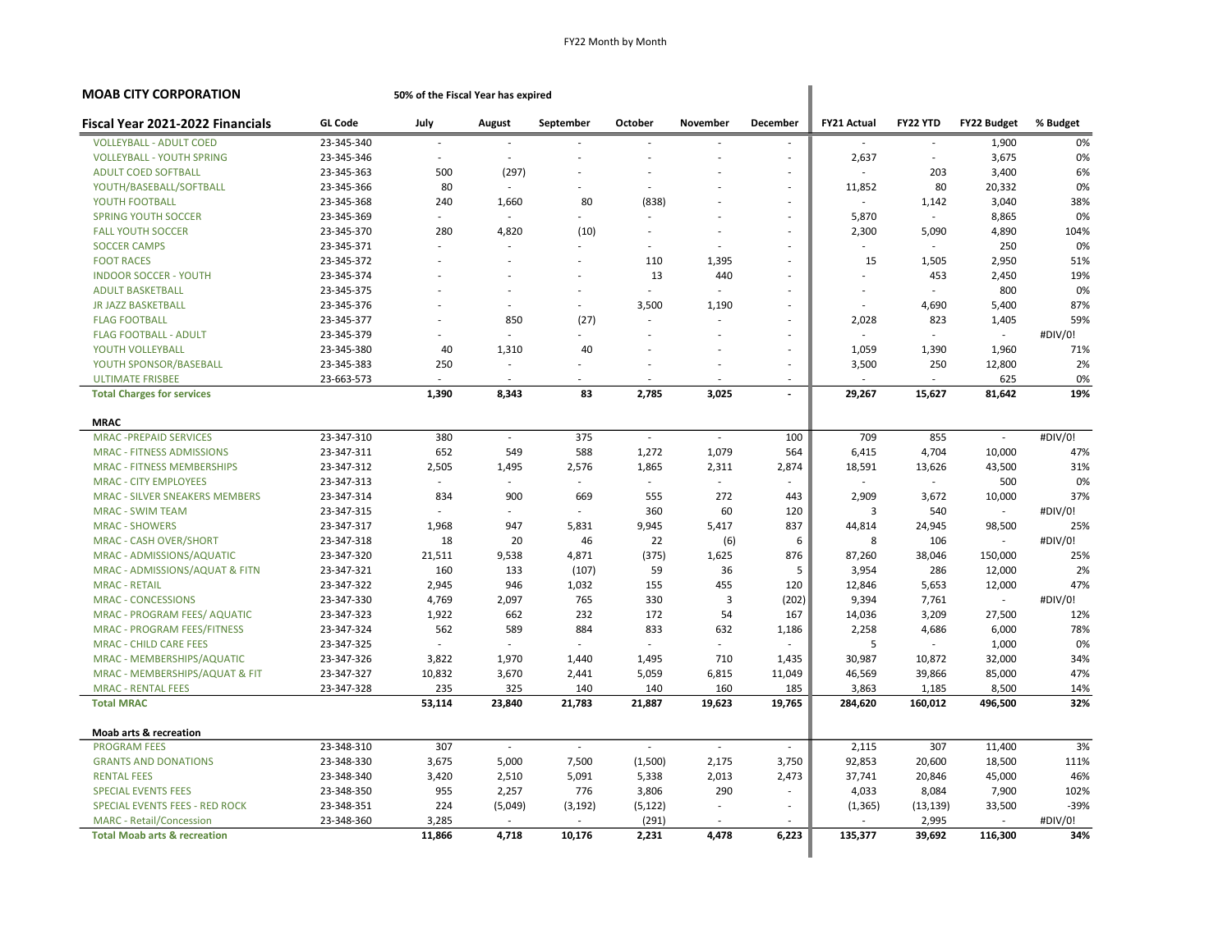| <b>MOAB CITY CORPORATION</b>                                        |                | 50% of the Fiscal Year has expired |               |                             |                          |                             |                          |                    |                  |                             |            |
|---------------------------------------------------------------------|----------------|------------------------------------|---------------|-----------------------------|--------------------------|-----------------------------|--------------------------|--------------------|------------------|-----------------------------|------------|
| Fiscal Year 2021-2022 Financials                                    | <b>GL Code</b> | July                               | August        | September                   | October                  | November                    | <b>December</b>          | <b>FY21 Actual</b> | FY22 YTD         | <b>FY22 Budget</b>          | % Budget   |
| <b>VOLLEYBALL - ADULT COED</b>                                      | 23-345-340     | ÷,                                 |               |                             | ÷                        |                             | $\sim$                   |                    | ÷                | 1,900                       | 0%         |
| <b>VOLLEYBALL - YOUTH SPRING</b>                                    | 23-345-346     |                                    |               |                             |                          |                             | ä,                       | 2,637              | $\sim$           | 3,675                       | 0%         |
| <b>ADULT COED SOFTBALL</b>                                          | 23-345-363     | 500                                | (297)         | ÷                           | ÷.                       |                             | ÷                        |                    | 203              | 3,400                       | 6%         |
| YOUTH/BASEBALL/SOFTBALL                                             | 23-345-366     | 80                                 | in 19         | ÷                           | $\sim$                   |                             | $\overline{\phantom{a}}$ | 11,852             | 80               | 20,332                      | 0%         |
| YOUTH FOOTBALL                                                      | 23-345-368     | 240                                | 1,660         | 80                          | (838)                    |                             | ÷,                       |                    | 1,142            | 3,040                       | 38%        |
| <b>SPRING YOUTH SOCCER</b>                                          | 23-345-369     | ä,                                 | $\sim$        | ÷.                          | $\overline{\phantom{a}}$ |                             | ÷,                       | 5,870              | $\sim$           | 8,865                       | 0%         |
| <b>FALL YOUTH SOCCER</b>                                            | 23-345-370     | 280                                | 4,820         | (10)                        | $\sim$                   |                             | ÷,                       | 2,300              | 5,090            | 4,890                       | 104%       |
| <b>SOCCER CAMPS</b>                                                 | 23-345-371     | ÷,                                 |               |                             | ٠                        |                             | ٠                        | ۰.                 | ÷                | 250                         | 0%         |
| <b>FOOT RACES</b>                                                   | 23-345-372     |                                    |               |                             | 110                      | 1,395                       | ÷,                       | 15                 | 1,505            | 2,950                       | 51%        |
| <b>INDOOR SOCCER - YOUTH</b>                                        | 23-345-374     | ÷                                  |               | ÷.                          | 13                       | 440                         | ÷                        |                    | 453              | 2,450                       | 19%        |
| <b>ADULT BASKETBALL</b>                                             | 23-345-375     |                                    |               | $\sim$                      | ÷.                       |                             | ÷.                       | ٠                  | i.               | 800                         | 0%         |
| <b>JR JAZZ BASKETBALL</b>                                           | 23-345-376     |                                    |               | ÷.                          | 3,500                    | 1,190                       | ÷,                       |                    | 4,690            | 5,400                       | 87%        |
| <b>FLAG FOOTBALL</b>                                                | 23-345-377     |                                    | 850           | (27)                        | $\sim$                   |                             | ÷,                       | 2,028              | 823              | 1,405                       | 59%        |
| <b>FLAG FOOTBALL - ADULT</b>                                        | 23-345-379     |                                    |               |                             | ٠                        |                             | ٠                        |                    |                  | $\sim$                      | #DIV/0!    |
| YOUTH VOLLEYBALL                                                    | 23-345-380     | 40                                 | 1,310         | 40                          | ÷,                       |                             | ÷,                       | 1,059              | 1,390            | 1,960                       | 71%        |
| YOUTH SPONSOR/BASEBALL                                              | 23-345-383     | 250                                | $\sim$        |                             | $\overline{a}$           |                             | ä,                       | 3,500              | 250              | 12,800                      | 2%         |
| <b>ULTIMATE FRISBEE</b>                                             | 23-663-573     |                                    |               | ÷.                          | ÷                        |                             | ÷                        |                    | ÷                | 625                         | 0%         |
| <b>Total Charges for services</b>                                   |                | 1,390                              | 8,343         | 83                          | 2,785                    | 3,025                       | $\blacksquare$           | 29,267             | 15,627           | 81,642                      | 19%        |
| <b>MRAC</b>                                                         |                |                                    |               |                             |                          |                             |                          |                    |                  |                             |            |
| <b>MRAC-PREPAID SERVICES</b>                                        | 23-347-310     | 380                                | ÷.            | 375                         | $\sim$                   | $\sim$                      | 100                      | 709                | 855              | $\mathcal{L}_{\mathcal{A}}$ | #DIV/0!    |
| <b>MRAC - FITNESS ADMISSIONS</b>                                    | 23-347-311     | 652                                | 549           | 588                         | 1,272                    | 1,079                       | 564                      | 6,415              | 4,704            | 10,000                      | 47%        |
| <b>MRAC - FITNESS MEMBERSHIPS</b>                                   | 23-347-312     | 2,505                              | 1,495         | 2,576                       | 1,865                    | 2,311                       | 2,874                    | 18,591             | 13,626           | 43,500                      | 31%        |
| <b>MRAC - CITY EMPLOYEES</b>                                        | 23-347-313     | $\sim$                             |               | $\mathcal{L}_{\mathcal{A}}$ | $\sim$                   | $\mathcal{L}_{\mathcal{A}}$ | $\sim$                   | ÷.                 | $\mathcal{L}$    | 500                         | 0%         |
| MRAC - SILVER SNEAKERS MEMBERS                                      | 23-347-314     | 834                                | 900           | 669                         | 555                      | 272                         | 443                      | 2,909              | 3,672            | 10,000                      | 37%        |
| <b>MRAC - SWIM TEAM</b>                                             | 23-347-315     |                                    |               | ÷.                          | 360                      | 60                          | 120                      | 3                  | 540              | ÷.                          | #DIV/0!    |
| <b>MRAC - SHOWERS</b>                                               | 23-347-317     | 1,968                              | 947           | 5,831                       | 9,945                    | 5,417                       | 837                      | 44,814             | 24,945           | 98,500                      | 25%        |
| <b>MRAC - CASH OVER/SHORT</b>                                       | 23-347-318     | 18                                 | 20            | 46                          | 22                       | (6)                         | 6                        | 8                  | 106              | $\sim$                      | #DIV/0!    |
| MRAC - ADMISSIONS/AQUATIC                                           | 23-347-320     | 21,511                             | 9,538         | 4,871                       | (375)                    | 1,625                       | 876                      | 87,260             | 38,046           | 150,000                     | 25%        |
| MRAC - ADMISSIONS/AQUAT & FITN                                      | 23-347-321     | 160                                | 133           | (107)                       | 59                       | 36                          | 5                        | 3,954              | 286              | 12,000                      | 2%         |
| <b>MRAC - RETAIL</b>                                                | 23-347-322     | 2,945                              | 946           | 1,032                       | 155                      | 455                         | 120                      | 12,846             | 5,653            | 12,000                      | 47%        |
| <b>MRAC - CONCESSIONS</b>                                           | 23-347-330     | 4,769                              | 2,097         | 765                         | 330                      | 3                           | (202)                    | 9,394              | 7,761            | ÷.                          | #DIV/0!    |
|                                                                     | 23-347-323     |                                    |               | 232                         | 172                      | 54                          | 167                      |                    |                  |                             | 12%        |
| MRAC - PROGRAM FEES/ AQUATIC                                        | 23-347-324     | 1,922<br>562                       | 662<br>589    | 884                         | 833                      | 632                         | 1,186                    | 14,036<br>2,258    | 3,209<br>4.686   | 27,500<br>6,000             | 78%        |
| <b>MRAC - PROGRAM FEES/FITNESS</b><br><b>MRAC - CHILD CARE FEES</b> | 23-347-325     |                                    |               |                             | $\sim$                   |                             |                          | 5                  | $\sim$           | 1,000                       | 0%         |
|                                                                     |                |                                    |               |                             |                          | 710                         |                          |                    |                  |                             |            |
| MRAC - MEMBERSHIPS/AQUATIC                                          | 23-347-326     | 3,822                              | 1,970         | 1,440                       | 1,495                    |                             | 1,435                    | 30,987             | 10,872           | 32,000                      | 34%        |
| MRAC - MEMBERSHIPS/AQUAT & FIT                                      | 23-347-327     | 10,832                             | 3,670         | 2,441                       | 5,059                    | 6,815                       | 11,049                   | 46,569             | 39,866           | 85,000                      | 47%        |
| <b>MRAC - RENTAL FEES</b><br><b>Total MRAC</b>                      | 23-347-328     | 235<br>53,114                      | 325<br>23,840 | 140<br>21,783               | 140<br>21,887            | 160<br>19,623               | 185<br>19,765            | 3,863<br>284,620   | 1,185<br>160,012 | 8,500<br>496,500            | 14%<br>32% |
|                                                                     |                |                                    |               |                             |                          |                             |                          |                    |                  |                             |            |
| <b>Moab arts &amp; recreation</b>                                   |                |                                    |               |                             |                          |                             |                          |                    |                  |                             |            |
| <b>PROGRAM FEES</b>                                                 | 23-348-310     | 307                                | $\sim$        | ÷                           | $\overline{\phantom{a}}$ | $\sim$                      | $\overline{\phantom{a}}$ | 2,115              | 307              | 11,400                      | 3%         |
| <b>GRANTS AND DONATIONS</b>                                         | 23-348-330     | 3,675                              | 5,000         | 7,500                       | (1,500)                  | 2,175                       | 3,750                    | 92,853             | 20,600           | 18,500                      | 111%       |
| <b>RENTAL FEES</b>                                                  | 23-348-340     | 3,420                              | 2,510         | 5,091                       | 5,338                    | 2,013                       | 2,473                    | 37,741             | 20,846           | 45,000                      | 46%        |
| <b>SPECIAL EVENTS FEES</b>                                          | 23-348-350     | 955                                | 2,257         | 776                         | 3,806                    | 290                         | $\overline{\phantom{a}}$ | 4,033              | 8,084            | 7,900                       | 102%       |
| SPECIAL EVENTS FEES - RED ROCK                                      | 23-348-351     | 224                                | (5,049)       | (3, 192)                    | (5, 122)                 | $\sim$                      | ÷                        | (1, 365)           | (13, 139)        | 33,500                      | $-39%$     |
| <b>MARC</b> - Retail/Concession                                     | 23-348-360     | 3,285                              |               |                             | (291)                    |                             |                          |                    | 2,995            |                             | #DIV/0!    |
| <b>Total Moab arts &amp; recreation</b>                             |                | 11,866                             | 4.718         | 10,176                      | 2,231                    | 4,478                       | 6,223                    | 135,377            | 39,692           | 116,300                     | 34%        |
|                                                                     |                |                                    |               |                             |                          |                             |                          |                    |                  |                             |            |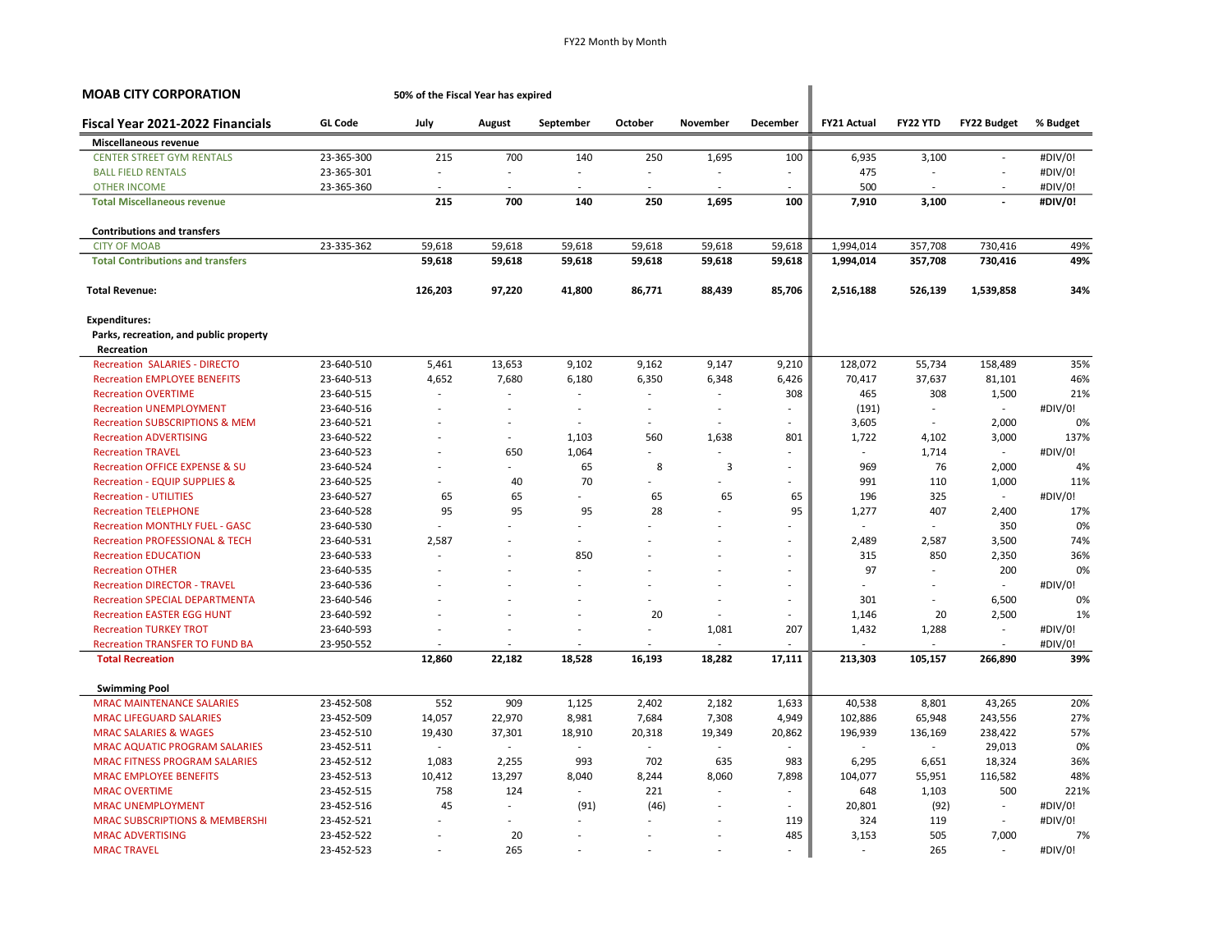| <b>MOAB CITY CORPORATION</b>              |                | 50% of the Fiscal Year has expired |                          |                          |         |                          |          |                    |          |                             |          |
|-------------------------------------------|----------------|------------------------------------|--------------------------|--------------------------|---------|--------------------------|----------|--------------------|----------|-----------------------------|----------|
| Fiscal Year 2021-2022 Financials          | <b>GL Code</b> | July                               | August                   | September                | October | November                 | December | <b>FY21 Actual</b> | FY22 YTD | <b>FY22 Budget</b>          | % Budget |
| Miscellaneous revenue                     |                |                                    |                          |                          |         |                          |          |                    |          |                             |          |
| <b>CENTER STREET GYM RENTALS</b>          | 23-365-300     | 215                                | 700                      | 140                      | 250     | 1,695                    | 100      | 6,935              | 3,100    | ÷.                          | #DIV/0!  |
| <b>BALL FIELD RENTALS</b>                 | 23-365-301     | $\overline{\phantom{a}}$           |                          |                          |         |                          | $\sim$   | 475                |          | $\overline{\phantom{a}}$    | #DIV/0!  |
| <b>OTHER INCOME</b>                       | 23-365-360     |                                    |                          |                          |         | ÷                        | ÷        | 500                |          |                             | #DIV/0!  |
| <b>Total Miscellaneous revenue</b>        |                | 215                                | 700                      | 140                      | 250     | 1,695                    | 100      | 7,910              | 3,100    | $\overline{a}$              | #DIV/0!  |
| <b>Contributions and transfers</b>        |                |                                    |                          |                          |         |                          |          |                    |          |                             |          |
| <b>CITY OF MOAB</b>                       | 23-335-362     | 59,618                             | 59,618                   | 59,618                   | 59,618  | 59,618                   | 59,618   | 1,994,014          | 357,708  | 730,416                     | 49%      |
| <b>Total Contributions and transfers</b>  |                | 59,618                             | 59,618                   | 59,618                   | 59,618  | 59,618                   | 59,618   | 1,994,014          | 357,708  | 730,416                     | 49%      |
| <b>Total Revenue:</b>                     |                | 126,203                            | 97,220                   | 41,800                   | 86,771  | 88,439                   | 85,706   | 2,516,188          | 526,139  | 1,539,858                   | 34%      |
| <b>Expenditures:</b>                      |                |                                    |                          |                          |         |                          |          |                    |          |                             |          |
| Parks, recreation, and public property    |                |                                    |                          |                          |         |                          |          |                    |          |                             |          |
| Recreation                                |                |                                    |                          |                          |         |                          |          |                    |          |                             |          |
| <b>Recreation SALARIES - DIRECTO</b>      | 23-640-510     | 5,461                              | 13,653                   | 9,102                    | 9,162   | 9,147                    | 9,210    | 128,072            | 55,734   | 158,489                     | 35%      |
| <b>Recreation EMPLOYEE BENEFITS</b>       | 23-640-513     | 4,652                              | 7,680                    | 6,180                    | 6,350   | 6,348                    | 6,426    | 70,417             | 37,637   | 81,101                      | 46%      |
| <b>Recreation OVERTIME</b>                | 23-640-515     |                                    | $\overline{a}$           | ٠                        |         | $\sim$                   | 308      | 465                | 308      | 1,500                       | 21%      |
| <b>Recreation UNEMPLOYMENT</b>            | 23-640-516     |                                    | ÷,                       | ÷,                       |         | $\overline{\phantom{a}}$ | $\sim$   | (191)              | $\sim$   | ÷.                          | #DIV/0!  |
| <b>Recreation SUBSCRIPTIONS &amp; MEM</b> | 23-640-521     |                                    |                          | $\overline{\phantom{a}}$ |         | $\sim$                   |          | 3,605              | $\sim$   | 2,000                       | 0%       |
| <b>Recreation ADVERTISING</b>             | 23-640-522     |                                    | $\overline{\phantom{a}}$ | 1,103                    | 560     | 1,638                    | 801      | 1,722              | 4,102    | 3,000                       | 137%     |
| <b>Recreation TRAVEL</b>                  | 23-640-523     |                                    | 650                      | 1,064                    |         |                          |          |                    | 1,714    | $\mathcal{L}_{\mathcal{A}}$ | #DIV/0!  |
| <b>Recreation OFFICE EXPENSE &amp; SU</b> | 23-640-524     |                                    | ÷.                       | 65                       | 8       | 3                        | ٠        | 969                | 76       | 2,000                       | 4%       |
| <b>Recreation - EQUIP SUPPLIES &amp;</b>  | 23-640-525     |                                    | 40                       | 70                       |         |                          | ٠        | 991                | 110      | 1,000                       | 11%      |
| <b>Recreation - UTILITIES</b>             | 23-640-527     | 65                                 | 65                       |                          | 65      | 65                       | 65       | 196                | 325      |                             | #DIV/0!  |
| <b>Recreation TELEPHONE</b>               | 23-640-528     | 95                                 | 95                       | 95                       | 28      | $\sim$                   | 95       | 1,277              | 407      | 2,400                       | 17%      |
| <b>Recreation MONTHLY FUEL - GASC</b>     | 23-640-530     |                                    |                          |                          |         |                          |          |                    |          | 350                         | 0%       |
| <b>Recreation PROFESSIONAL &amp; TECH</b> | 23-640-531     | 2,587                              |                          |                          |         |                          | ä,       | 2,489              | 2,587    | 3,500                       | 74%      |
| <b>Recreation EDUCATION</b>               | 23-640-533     |                                    | $\overline{\phantom{a}}$ | 850                      |         |                          | ٠        | 315                | 850      | 2,350                       | 36%      |
| <b>Recreation OTHER</b>                   | 23-640-535     |                                    |                          |                          |         |                          | ÷,       | 97                 |          | 200                         | 0%       |
| <b>Recreation DIRECTOR - TRAVEL</b>       | 23-640-536     |                                    |                          |                          |         |                          | ٠        |                    |          | ÷.                          | #DIV/0!  |
| <b>Recreation SPECIAL DEPARTMENTA</b>     | 23-640-546     |                                    |                          |                          |         | ÷.                       | ÷        | 301                | ÷        | 6,500                       | 0%       |
| <b>Recreation EASTER EGG HUNT</b>         | 23-640-592     |                                    |                          |                          | 20      | ÷                        | ä,       | 1,146              | 20       | 2,500                       | 1%       |
| <b>Recreation TURKEY TROT</b>             | 23-640-593     |                                    |                          |                          |         | 1,081                    | 207      | 1,432              | 1,288    | $\overline{\phantom{a}}$    | #DIV/0!  |
| <b>Recreation TRANSFER TO FUND BA</b>     | 23-950-552     |                                    |                          |                          |         |                          |          |                    |          |                             | #DIV/0!  |
| <b>Total Recreation</b>                   |                | 12,860                             | 22,182                   | 18,528                   | 16,193  | 18,282                   | 17,111   | 213,303            | 105,157  | 266,890                     | 39%      |
| <b>Swimming Pool</b>                      |                |                                    |                          |                          |         |                          |          |                    |          |                             |          |
| <b>MRAC MAINTENANCE SALARIES</b>          | 23-452-508     | 552                                | 909                      | 1,125                    | 2,402   | 2,182                    | 1,633    | 40,538             | 8,801    | 43,265                      | 20%      |
| <b>MRAC LIFEGUARD SALARIES</b>            | 23-452-509     | 14,057                             | 22,970                   | 8,981                    | 7,684   | 7,308                    | 4,949    | 102,886            | 65,948   | 243,556                     | 27%      |
| <b>MRAC SALARIES &amp; WAGES</b>          | 23-452-510     | 19,430                             | 37,301                   | 18,910                   | 20,318  | 19,349                   | 20,862   | 196,939            | 136,169  | 238,422                     | 57%      |
| <b>MRAC AQUATIC PROGRAM SALARIES</b>      | 23-452-511     |                                    | $\overline{a}$           |                          | $\sim$  | ÷                        | ä,       |                    | $\sim$   | 29,013                      | 0%       |
| <b>MRAC FITNESS PROGRAM SALARIES</b>      | 23-452-512     | 1,083                              | 2,255                    | 993                      | 702     | 635                      | 983      | 6,295              | 6,651    | 18,324                      | 36%      |
| <b>MRAC EMPLOYEE BENEFITS</b>             | 23-452-513     | 10,412                             | 13,297                   | 8,040                    | 8,244   | 8,060                    | 7,898    | 104,077            | 55,951   | 116,582                     | 48%      |
| <b>MRAC OVERTIME</b>                      | 23-452-515     | 758                                | 124                      |                          | 221     | $\sim$                   | ٠        | 648                | 1,103    | 500                         | 221%     |
| <b>MRAC UNEMPLOYMENT</b>                  | 23-452-516     | 45                                 | $\sim$                   | (91)                     | (46)    | ÷,                       |          | 20,801             | (92)     | $\overline{\phantom{a}}$    | #DIV/0!  |
| <b>MRAC SUBSCRIPTIONS &amp; MEMBERSHI</b> | 23-452-521     |                                    | $\sim$                   |                          |         | ÷.                       | 119      | 324                | 119      | ÷                           | #DIV/0!  |
| <b>MRAC ADVERTISING</b>                   | 23-452-522     |                                    | 20                       |                          |         |                          | 485      | 3,153              | 505      | 7,000                       | 7%       |
| <b>MRAC TRAVEL</b>                        | 23-452-523     |                                    | 265                      |                          |         | ÷,                       |          | $\sim$             | 265      | ÷                           | #DIV/0!  |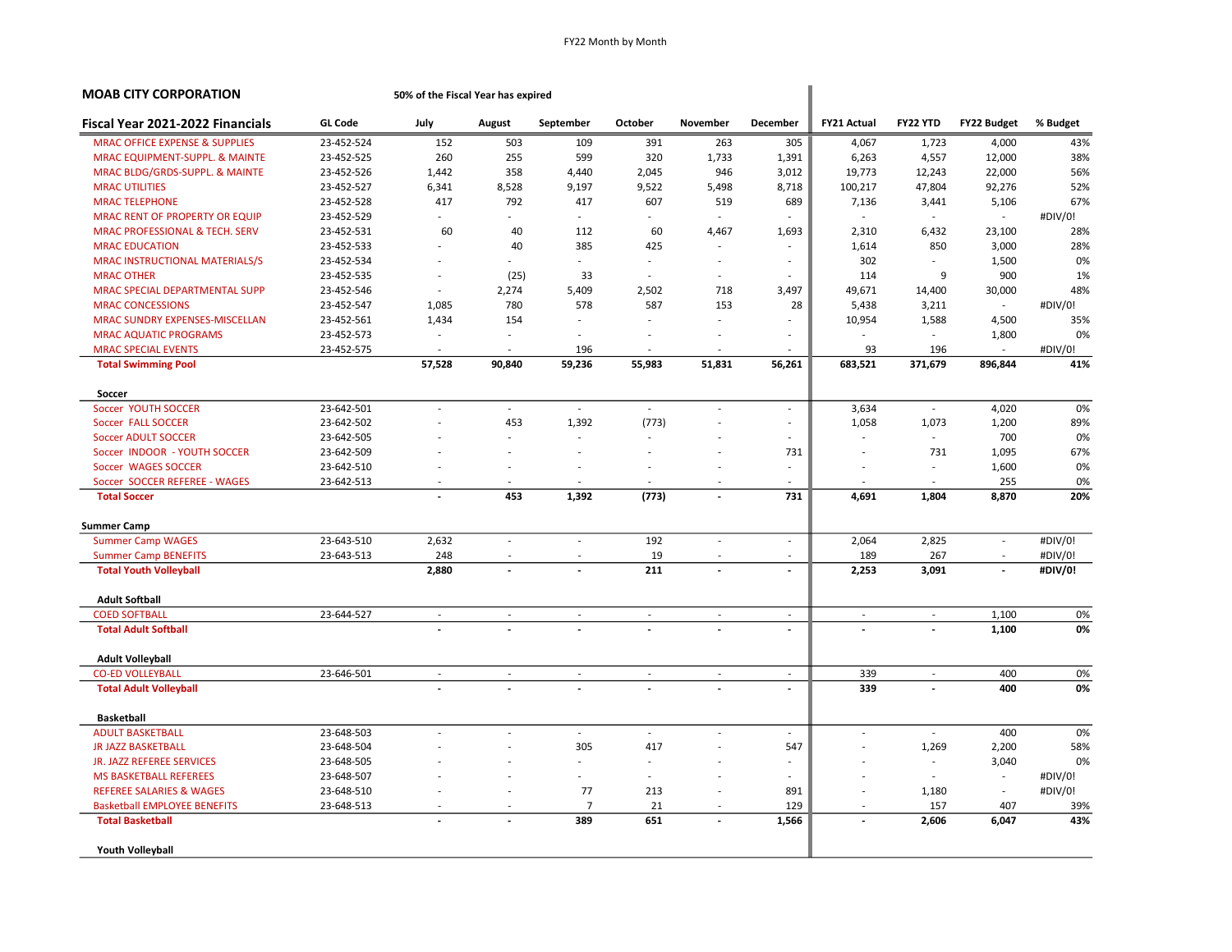| <b>MOAB CITY CORPORATION</b>              |                | 50% of the Fiscal Year has expired |                          |                             |         |                          |                          |                          |                             |                          |          |
|-------------------------------------------|----------------|------------------------------------|--------------------------|-----------------------------|---------|--------------------------|--------------------------|--------------------------|-----------------------------|--------------------------|----------|
| Fiscal Year 2021-2022 Financials          | <b>GL Code</b> | July                               | August                   | September                   | October | November                 | <b>December</b>          | <b>FY21 Actual</b>       | FY22 YTD                    | <b>FY22 Budget</b>       | % Budget |
| <b>MRAC OFFICE EXPENSE &amp; SUPPLIES</b> | 23-452-524     | 152                                | 503                      | 109                         | 391     | 263                      | 305                      | 4,067                    | 1,723                       | 4,000                    | 43%      |
| MRAC EQUIPMENT-SUPPL. & MAINTE            | 23-452-525     | 260                                | 255                      | 599                         | 320     | 1,733                    | 1,391                    | 6,263                    | 4,557                       | 12,000                   | 38%      |
| MRAC BLDG/GRDS-SUPPL. & MAINTE            | 23-452-526     | 1,442                              | 358                      | 4,440                       | 2,045   | 946                      | 3,012                    | 19,773                   | 12,243                      | 22,000                   | 56%      |
| <b>MRAC UTILITIES</b>                     | 23-452-527     | 6,341                              | 8,528                    | 9,197                       | 9,522   | 5,498                    | 8,718                    | 100,217                  | 47,804                      | 92,276                   | 52%      |
| <b>MRAC TELEPHONE</b>                     | 23-452-528     | 417                                | 792                      | 417                         | 607     | 519                      | 689                      | 7,136                    | 3,441                       | 5,106                    | 67%      |
| <b>MRAC RENT OF PROPERTY OR EQUIP</b>     | 23-452-529     | ÷.                                 | $\sim$                   | $\sim$                      | $\sim$  | $\sim$                   |                          | $\sim$                   | $\sim$                      | $\sim$                   | #DIV/0!  |
| MRAC PROFESSIONAL & TECH. SERV            | 23-452-531     | 60                                 | 40                       | 112                         | 60      | 4,467                    | 1,693                    | 2,310                    | 6,432                       | 23,100                   | 28%      |
| <b>MRAC EDUCATION</b>                     | 23-452-533     |                                    | 40                       | 385                         | 425     |                          |                          | 1,614                    | 850                         | 3,000                    | 28%      |
| MRAC INSTRUCTIONAL MATERIALS/S            | 23-452-534     | ÷.                                 |                          | ÷.                          |         | ÷                        |                          | 302                      | $\sim$                      | 1,500                    | 0%       |
| <b>MRAC OTHER</b>                         | 23-452-535     | $\overline{\phantom{a}}$           | (25)                     | 33                          |         | ÷,                       |                          | 114                      | 9                           | 900                      | 1%       |
| MRAC SPECIAL DEPARTMENTAL SUPP            | 23-452-546     | ÷.                                 | 2,274                    | 5,409                       | 2,502   | 718                      | 3,497                    | 49,671                   | 14,400                      | 30,000                   | 48%      |
| <b>MRAC CONCESSIONS</b>                   | 23-452-547     | 1,085                              | 780                      | 578                         | 587     | 153                      | 28                       | 5,438                    | 3,211                       | $\overline{\phantom{a}}$ | #DIV/0!  |
| MRAC SUNDRY EXPENSES-MISCELLAN            | 23-452-561     | 1,434                              | 154                      | $\sim$                      |         |                          |                          | 10,954                   | 1,588                       | 4,500                    | 35%      |
| <b>MRAC AQUATIC PROGRAMS</b>              | 23-452-573     | $\overline{\phantom{a}}$           |                          |                             |         |                          |                          |                          | $\overline{\phantom{a}}$    | 1,800                    | 0%       |
| <b>MRAC SPECIAL EVENTS</b>                | 23-452-575     |                                    |                          | 196                         |         |                          |                          | 93                       | 196                         |                          | #DIV/0!  |
| <b>Total Swimming Pool</b>                |                | 57,528                             | 90,840                   | 59,236                      | 55,983  | 51,831                   | 56,261                   | 683,521                  | 371,679                     | 896,844                  | 41%      |
| Soccer                                    |                |                                    |                          |                             |         |                          |                          |                          |                             |                          |          |
| Soccer YOUTH SOCCER                       | 23-642-501     | ÷,                                 | $\sim$                   | $\overline{\phantom{a}}$    | $\sim$  | ÷,                       | $\overline{\phantom{a}}$ | 3,634                    | $\sim$                      | 4,020                    | 0%       |
| Soccer FALL SOCCER                        | 23-642-502     |                                    | 453                      | 1,392                       | (773)   |                          | $\overline{\phantom{a}}$ | 1,058                    | 1,073                       | 1,200                    | 89%      |
| <b>Soccer ADULT SOCCER</b>                | 23-642-505     |                                    |                          | ÷,                          |         |                          |                          |                          | $\overline{\phantom{a}}$    | 700                      | 0%       |
| Soccer INDOOR - YOUTH SOCCER              | 23-642-509     |                                    |                          | ÷,                          |         |                          | 731                      | ÷,                       | 731                         | 1,095                    | 67%      |
| Soccer WAGES SOCCER                       | 23-642-510     |                                    |                          |                             |         |                          | $\sim$                   | $\overline{\phantom{a}}$ | $\sim$                      | 1,600                    | 0%       |
| Soccer SOCCER REFEREE - WAGES             | 23-642-513     |                                    |                          |                             |         |                          |                          |                          | $\sim$                      | 255                      | 0%       |
| <b>Total Soccer</b>                       |                |                                    | 453                      | 1,392                       | (773)   |                          | 731                      | 4,691                    | 1,804                       | 8,870                    | 20%      |
| <b>Summer Camp</b>                        |                |                                    |                          |                             |         |                          |                          |                          |                             |                          |          |
| <b>Summer Camp WAGES</b>                  | 23-643-510     | 2,632                              |                          | ÷,                          | 192     |                          | $\sim$                   | 2,064                    | 2,825                       | $\sim$                   | #DIV/0!  |
| <b>Summer Camp BENEFITS</b>               | 23-643-513     | 248                                |                          |                             | 19      |                          |                          | 189                      | 267                         | $\overline{\phantom{a}}$ | #DIV/0!  |
| <b>Total Youth Volleyball</b>             |                | 2,880                              |                          |                             | 211     |                          | $\overline{\phantom{a}}$ | 2,253                    | 3,091                       | $\overline{a}$           | #DIV/0!  |
| <b>Adult Softball</b>                     |                |                                    |                          |                             |         |                          |                          |                          |                             |                          |          |
| <b>COED SOFTBALL</b>                      | 23-644-527     | $\overline{\phantom{a}}$           | $\sim$                   | $\sim$                      | $\sim$  | $\sim$                   | $\sim$                   | $\overline{\phantom{a}}$ | $\sim$                      | 1,100                    | 0%       |
| <b>Total Adult Softball</b>               |                |                                    |                          |                             |         |                          |                          |                          |                             | 1,100                    | 0%       |
| <b>Adult Volleyball</b>                   |                |                                    |                          |                             |         |                          |                          |                          |                             |                          |          |
| <b>CO-ED VOLLEYBALL</b>                   | 23-646-501     | $\sim$                             | $\overline{\phantom{a}}$ | $\mathcal{L}_{\mathcal{A}}$ | $\sim$  | $\overline{\phantom{a}}$ | $\sim$                   | 339                      | $\mathcal{L}_{\mathcal{A}}$ | 400                      | 0%       |
| <b>Total Adult Volleyball</b>             |                |                                    |                          |                             |         |                          | $\overline{\phantom{a}}$ | 339                      |                             | 400                      | 0%       |
| <b>Basketball</b>                         |                |                                    |                          |                             |         |                          |                          |                          |                             |                          |          |
| <b>ADULT BASKETBALL</b>                   | 23-648-503     | ÷,                                 |                          | ÷.                          | $\sim$  | ٠                        | $\sim$                   | $\sim$                   | $\sim$                      | 400                      | 0%       |
| <b>JR JAZZ BASKETBALL</b>                 | 23-648-504     |                                    |                          | 305                         | 417     |                          | 547                      |                          | 1,269                       | 2,200                    | 58%      |
| JR. JAZZ REFEREE SERVICES                 | 23-648-505     |                                    |                          | ÷                           |         |                          |                          |                          | $\sim$                      | 3,040                    | 0%       |
| <b>MS BASKETBALL REFEREES</b>             | 23-648-507     |                                    |                          |                             |         |                          |                          |                          | $\sim$                      | $\overline{\phantom{a}}$ | #DIV/0!  |
| <b>REFEREE SALARIES &amp; WAGES</b>       | 23-648-510     |                                    |                          | 77                          | 213     |                          | 891                      |                          | 1,180                       | $\sim$                   | #DIV/0!  |
| <b>Basketball EMPLOYEE BENEFITS</b>       | 23-648-513     |                                    |                          | 7                           | 21      |                          | 129                      | $\overline{\phantom{a}}$ | 157                         | 407                      | 39%      |
| <b>Total Basketball</b>                   |                |                                    |                          | 389                         | 651     |                          | 1,566                    | $\overline{\phantom{a}}$ | 2,606                       | 6,047                    | 43%      |
| <b>Youth Volleyball</b>                   |                |                                    |                          |                             |         |                          |                          |                          |                             |                          |          |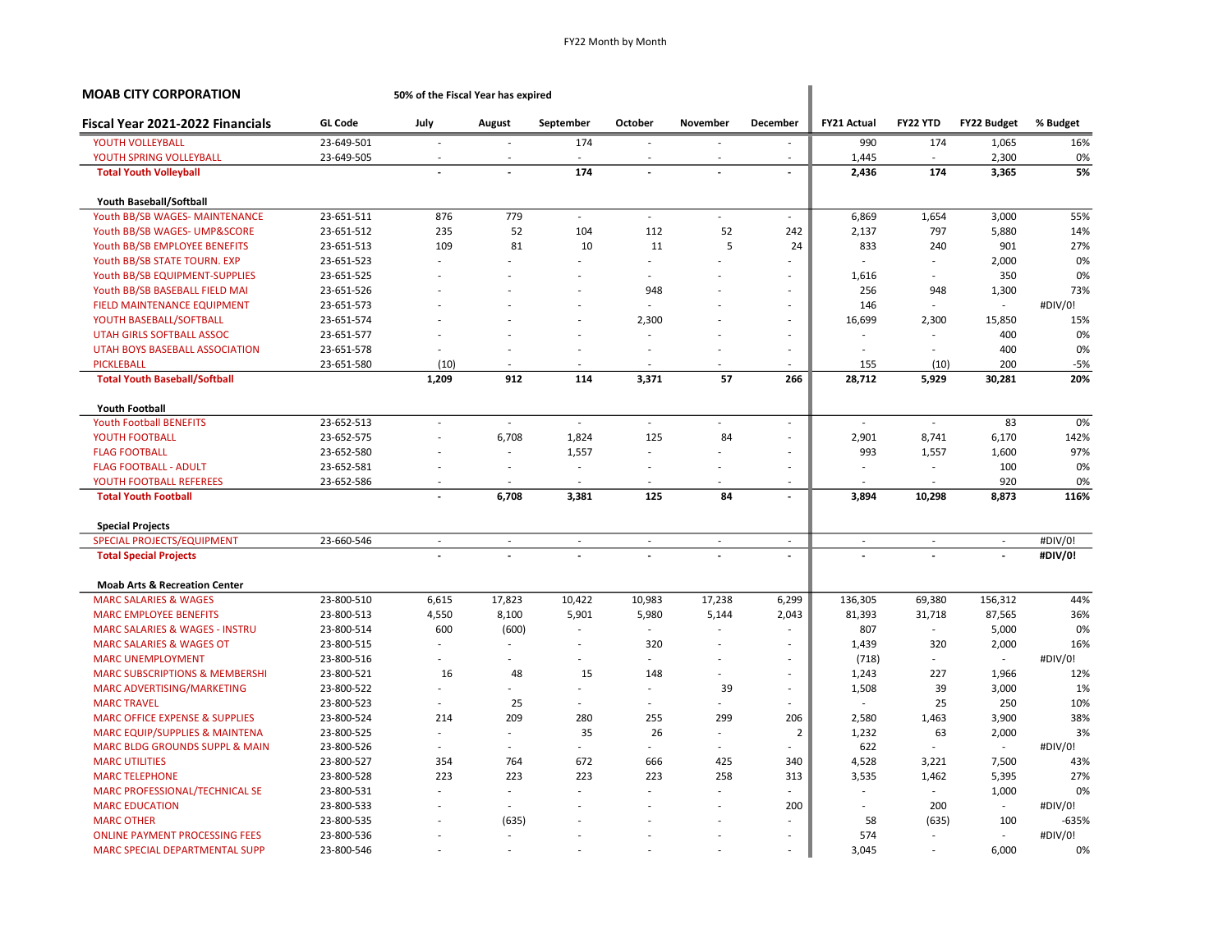| <b>MOAB CITY CORPORATION</b>              |                | 50% of the Fiscal Year has expired |                          |                          |                          |                          |                          |                          |                          |                          |          |
|-------------------------------------------|----------------|------------------------------------|--------------------------|--------------------------|--------------------------|--------------------------|--------------------------|--------------------------|--------------------------|--------------------------|----------|
| Fiscal Year 2021-2022 Financials          | <b>GL Code</b> | July                               | August                   | September                | October                  | November                 | <b>December</b>          | <b>FY21 Actual</b>       | FY22 YTD                 | <b>FY22 Budget</b>       | % Budget |
| YOUTH VOLLEYBALL                          | 23-649-501     | ä,                                 | $\overline{\phantom{a}}$ | 174                      | ä,                       | $\overline{\phantom{a}}$ | $\sim$                   | 990                      | 174                      | 1,065                    | 16%      |
| YOUTH SPRING VOLLEYBALL                   | 23-649-505     |                                    |                          |                          |                          |                          |                          | 1,445                    |                          | 2,300                    | 0%       |
| <b>Total Youth Volleyball</b>             |                |                                    |                          | 174                      | $\overline{a}$           |                          |                          | 2,436                    | 174                      | 3,365                    | 5%       |
| Youth Baseball/Softball                   |                |                                    |                          |                          |                          |                          |                          |                          |                          |                          |          |
| Youth BB/SB WAGES- MAINTENANCE            | 23-651-511     | 876                                | 779                      | $\omega$                 | L.                       | ä,                       | $\sim$                   | 6,869                    | 1,654                    | 3,000                    | 55%      |
| Youth BB/SB WAGES- UMP&SCORE              | 23-651-512     | 235                                | 52                       | 104                      | 112                      | 52                       | 242                      | 2,137                    | 797                      | 5,880                    | 14%      |
| Youth BB/SB EMPLOYEE BENEFITS             | 23-651-513     | 109                                | 81                       | 10                       | 11                       | 5                        | 24                       | 833                      | 240                      | 901                      | 27%      |
| Youth BB/SB STATE TOURN. EXP              | 23-651-523     | ä,                                 |                          |                          |                          |                          |                          |                          | $\sim$                   | 2,000                    | 0%       |
| Youth BB/SB EQUIPMENT-SUPPLIES            | 23-651-525     |                                    |                          |                          |                          |                          |                          | 1,616                    |                          | 350                      | 0%       |
| Youth BB/SB BASEBALL FIELD MAI            | 23-651-526     |                                    |                          |                          | 948                      |                          | -                        | 256                      | 948                      | 1,300                    | 73%      |
| FIELD MAINTENANCE EQUIPMENT               | 23-651-573     |                                    |                          |                          |                          |                          |                          | 146                      |                          |                          | #DIV/0!  |
| YOUTH BASEBALL/SOFTBALL                   | 23-651-574     | ÷.                                 |                          |                          | 2,300                    |                          | $\sim$                   | 16,699                   | 2,300                    | 15,850                   | 15%      |
| UTAH GIRLS SOFTBALL ASSOC                 | 23-651-577     |                                    |                          |                          | ÷,                       |                          |                          |                          |                          | 400                      | 0%       |
| UTAH BOYS BASEBALL ASSOCIATION            | 23-651-578     |                                    |                          |                          |                          |                          |                          |                          |                          | 400                      | 0%       |
| <b>PICKLEBALL</b>                         | 23-651-580     | (10)                               |                          |                          |                          | ÷                        |                          | 155                      | (10)                     | 200                      | $-5%$    |
| <b>Total Youth Baseball/Softball</b>      |                | 1,209                              | 912                      | 114                      | 3,371                    | 57                       | 266                      | 28,712                   | 5,929                    | 30,281                   | 20%      |
| <b>Youth Football</b>                     |                |                                    |                          |                          |                          |                          |                          |                          |                          |                          |          |
| <b>Youth Football BENEFITS</b>            | 23-652-513     | ÷.                                 | $\sim$                   | $\overline{\phantom{a}}$ | $\sim$                   | $\overline{\phantom{a}}$ | $\overline{\phantom{a}}$ | $\sim$                   | $\sim$                   | 83                       | 0%       |
| YOUTH FOOTBALL                            | 23-652-575     | ä,                                 | 6,708                    | 1,824                    | 125                      | 84                       |                          | 2,901                    | 8,741                    | 6,170                    | 142%     |
| <b>FLAG FOOTBALL</b>                      | 23-652-580     |                                    | $\sim$                   | 1,557                    | ä,                       |                          |                          | 993                      | 1,557                    | 1,600                    | 97%      |
| <b>FLAG FOOTBALL - ADULT</b>              | 23-652-581     |                                    | ÷,                       | $\sim$                   | ÷,                       | ÷,                       |                          |                          |                          | 100                      | 0%       |
| YOUTH FOOTBALL REFEREES                   | 23-652-586     | ٠                                  |                          |                          |                          |                          |                          |                          |                          | 920                      | 0%       |
| <b>Total Youth Football</b>               |                | $\overline{a}$                     | 6,708                    | 3,381                    | 125                      | 84                       | $\overline{\phantom{a}}$ | 3,894                    | 10,298                   | 8,873                    | 116%     |
| <b>Special Projects</b>                   |                |                                    |                          |                          |                          |                          |                          |                          |                          |                          |          |
| <b>SPECIAL PROJECTS/EQUIPMENT</b>         | 23-660-546     | $\overline{\phantom{a}}$           | $\overline{\phantom{a}}$ | $\overline{\phantom{a}}$ | $\overline{\phantom{a}}$ | $\overline{\phantom{a}}$ | $\sim$                   | $\overline{\phantom{a}}$ | $\overline{\phantom{a}}$ | $\overline{\phantom{a}}$ | #DIV/0!  |
| <b>Total Special Projects</b>             |                |                                    |                          |                          | $\overline{a}$           |                          | $\overline{\phantom{a}}$ |                          |                          | $\overline{\phantom{a}}$ | #DIV/0!  |
| <b>Moab Arts &amp; Recreation Center</b>  |                |                                    |                          |                          |                          |                          |                          |                          |                          |                          |          |
| <b>MARC SALARIES &amp; WAGES</b>          | 23-800-510     | 6,615                              | 17,823                   | 10,422                   | 10,983                   | 17,238                   | 6,299                    | 136,305                  | 69,380                   | 156,312                  | 44%      |
| <b>MARC EMPLOYEE BENEFITS</b>             | 23-800-513     | 4,550                              | 8,100                    | 5,901                    | 5,980                    | 5,144                    | 2,043                    | 81,393                   | 31,718                   | 87,565                   | 36%      |
| MARC SALARIES & WAGES - INSTRU            | 23-800-514     | 600                                | (600)                    |                          | ÷,                       |                          |                          | 807                      | $\sim$                   | 5,000                    | 0%       |
| <b>MARC SALARIES &amp; WAGES OT</b>       | 23-800-515     | ä,                                 | $\sim$                   |                          | 320                      |                          | $\sim$                   | 1,439                    | 320                      | 2,000                    | 16%      |
| <b>MARC UNEMPLOYMENT</b>                  | 23-800-516     | ÷.                                 |                          |                          | ä,                       |                          |                          | (718)                    |                          | ÷.                       | #DIV/0!  |
| <b>MARC SUBSCRIPTIONS &amp; MEMBERSHI</b> | 23-800-521     | 16                                 | 48                       | 15                       | 148                      |                          |                          | 1,243                    | 227                      | 1,966                    | 12%      |
| MARC ADVERTISING/MARKETING                | 23-800-522     | ÷,                                 | $\sim$                   |                          | ÷,                       | 39                       | $\overline{\phantom{a}}$ | 1,508                    | 39                       | 3,000                    | 1%       |
| <b>MARC TRAVEL</b>                        | 23-800-523     | ä,                                 | 25                       |                          |                          |                          |                          |                          | 25                       | 250                      | 10%      |
| <b>MARC OFFICE EXPENSE &amp; SUPPLIES</b> | 23-800-524     | 214                                | 209                      | 280                      | 255                      | 299                      | 206                      | 2,580                    | 1,463                    | 3,900                    | 38%      |
| <b>MARC EQUIP/SUPPLIES &amp; MAINTENA</b> | 23-800-525     | ÷.                                 | ÷.                       | 35                       | 26                       | ÷                        | $\overline{2}$           | 1,232                    | 63                       | 2,000                    | 3%       |
| MARC BLDG GROUNDS SUPPL & MAIN            | 23-800-526     | ÷.                                 | $\sim$                   | ÷.                       | ä,                       | $\overline{\phantom{a}}$ |                          | 622                      | $\sim$                   | $\sim$                   | #DIV/0!  |
| <b>MARC UTILITIES</b>                     | 23-800-527     | 354                                | 764                      | 672                      | 666                      | 425                      | 340                      | 4,528                    | 3,221                    | 7,500                    | 43%      |
| <b>MARC TELEPHONE</b>                     | 23-800-528     | 223                                | 223                      | 223                      | 223                      | 258                      | 313                      | 3,535                    | 1,462                    | 5,395                    | 27%      |
| MARC PROFESSIONAL/TECHNICAL SE            | 23-800-531     | ä,                                 | $\overline{\phantom{a}}$ | ÷.                       | ä,                       | $\overline{\phantom{a}}$ |                          |                          | $\sim$                   | 1,000                    | 0%       |
| <b>MARC EDUCATION</b>                     | 23-800-533     |                                    | ÷                        |                          |                          |                          | 200                      |                          | 200                      | $\sim$                   | #DIV/0!  |
| <b>MARC OTHER</b>                         | 23-800-535     |                                    | (635)                    |                          |                          |                          |                          | 58                       | (635)                    | 100                      | $-635%$  |
| <b>ONLINE PAYMENT PROCESSING FEES</b>     | 23-800-536     |                                    | $\sim$                   |                          |                          | ÷                        |                          | 574                      |                          | ÷.                       | #DIV/0!  |
|                                           |                |                                    |                          |                          |                          |                          |                          |                          |                          |                          |          |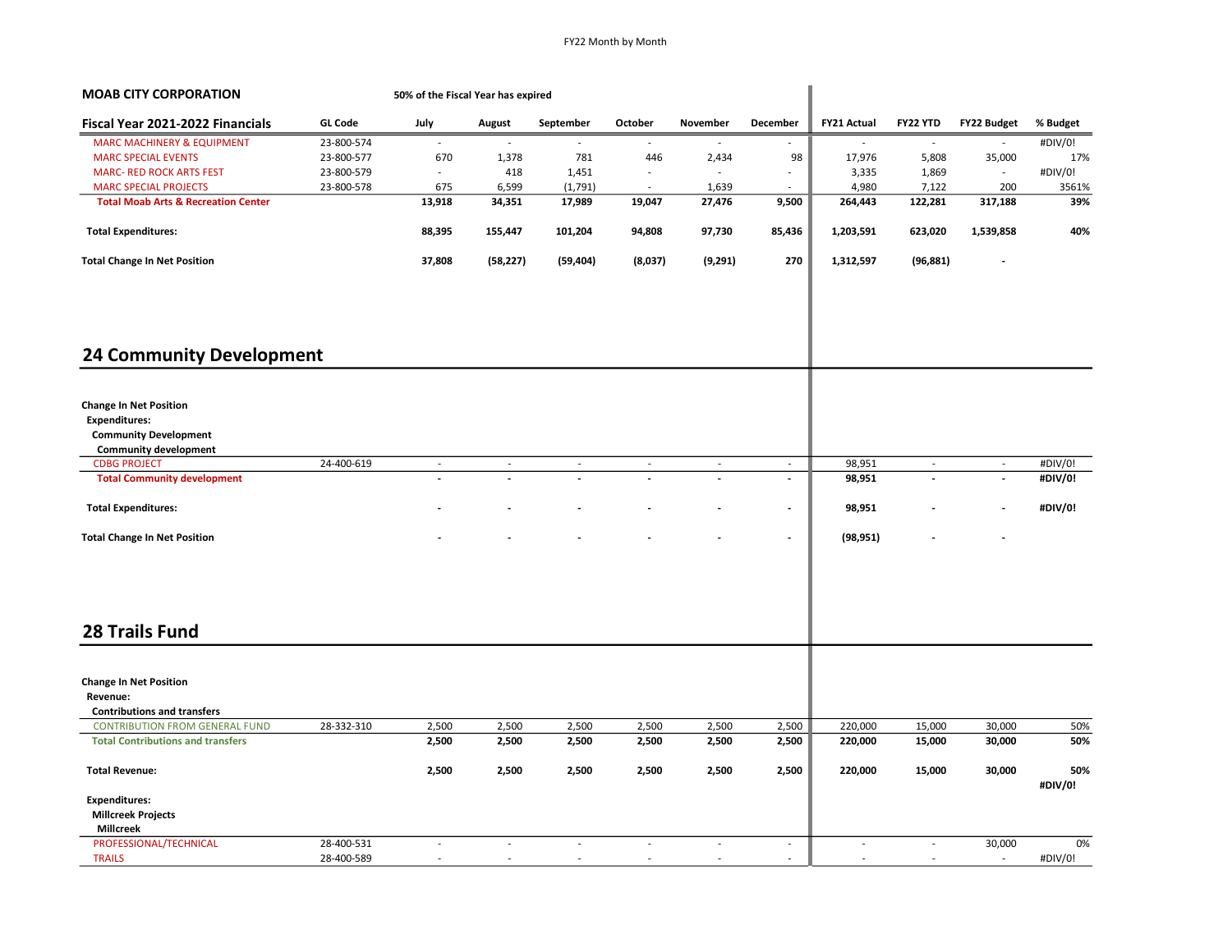| <b>MOAB CITY CORPORATION</b>                   |                | 50% of the Fiscal Year has expired |                          |           |         |                |                          |             |                          |                    |                |
|------------------------------------------------|----------------|------------------------------------|--------------------------|-----------|---------|----------------|--------------------------|-------------|--------------------------|--------------------|----------------|
| Fiscal Year 2021-2022 Financials               | <b>GL Code</b> | July                               | August                   | September | October | November       | December                 | FY21 Actual | FY22 YTD                 | <b>FY22 Budget</b> | % Budget       |
| <b>MARC MACHINERY &amp; EQUIPMENT</b>          | 23-800-574     |                                    |                          |           |         |                |                          |             |                          |                    | #DIV/0!        |
| <b>MARC SPECIAL EVENTS</b>                     | 23-800-577     | 670                                | 1,378                    | 781       | 446     | 2,434          | 98                       | 17,976      | 5,808                    | 35,000             | 17%            |
| <b>MARC- RED ROCK ARTS FEST</b>                | 23-800-579     | ÷                                  | 418                      | 1,451     | $\sim$  | $\sim$         | $\sim$                   | 3,335       | 1,869                    | $\sim$             | #DIV/0!        |
| <b>MARC SPECIAL PROJECTS</b>                   | 23-800-578     | 675                                | 6,599                    | (1,791)   |         | 1,639          |                          | 4,980       | 7,122                    | 200                | 3561%          |
| <b>Total Moab Arts &amp; Recreation Center</b> |                | 13,918                             | 34,351                   | 17,989    | 19,047  | 27,476         | 9,500                    | 264,443     | 122,281                  | 317,188            | 39%            |
| <b>Total Expenditures:</b>                     |                | 88,395                             | 155,447                  | 101,204   | 94,808  | 97,730         | 85,436                   | 1,203,591   | 623,020                  | 1,539,858          | 40%            |
| <b>Total Change In Net Position</b>            |                | 37,808                             | (58, 227)                | (59, 404) | (8,037) | (9,291)        | 270                      | 1,312,597   | (96, 881)                |                    |                |
| <b>24 Community Development</b>                |                |                                    |                          |           |         |                |                          |             |                          |                    |                |
|                                                |                |                                    |                          |           |         |                |                          |             |                          |                    |                |
| <b>Change In Net Position</b>                  |                |                                    |                          |           |         |                |                          |             |                          |                    |                |
| <b>Expenditures:</b>                           |                |                                    |                          |           |         |                |                          |             |                          |                    |                |
| <b>Community Development</b>                   |                |                                    |                          |           |         |                |                          |             |                          |                    |                |
| <b>Community development</b>                   |                |                                    |                          |           |         |                |                          |             |                          |                    |                |
| <b>CDBG PROJECT</b>                            | 24-400-619     | $\overline{\phantom{a}}$           | $\overline{\phantom{a}}$ | $\sim$    | $\sim$  | $\sim$         | $\sim$                   | 98,951      | $\overline{\phantom{a}}$ | $\sim$             | #DIV/0!        |
| <b>Total Community development</b>             |                |                                    |                          |           |         | $\overline{a}$ | $\blacksquare$           | 98,951      | $\frac{1}{2}$            | $\blacksquare$     | #DIV/0!        |
|                                                |                |                                    |                          |           |         |                |                          |             |                          |                    |                |
| <b>Total Expenditures:</b>                     |                |                                    |                          |           |         |                | $\overline{\phantom{a}}$ | 98,951      |                          | $\blacksquare$     | #DIV/0!        |
| <b>Total Change In Net Position</b>            |                |                                    |                          |           |         |                | $\overline{\phantom{a}}$ | (98, 951)   |                          |                    |                |
| <b>28 Trails Fund</b>                          |                |                                    |                          |           |         |                |                          |             |                          |                    |                |
|                                                |                |                                    |                          |           |         |                |                          |             |                          |                    |                |
| <b>Change In Net Position</b>                  |                |                                    |                          |           |         |                |                          |             |                          |                    |                |
| Revenue:                                       |                |                                    |                          |           |         |                |                          |             |                          |                    |                |
| <b>Contributions and transfers</b>             |                |                                    |                          |           |         |                |                          |             |                          |                    |                |
| <b>CONTRIBUTION FROM GENERAL FUND</b>          | 28-332-310     | 2,500                              | 2,500                    | 2,500     | 2,500   | 2,500          | 2,500                    | 220,000     | 15,000                   | 30,000             | 50%            |
| <b>Total Contributions and transfers</b>       |                | 2,500                              | 2,500                    | 2,500     | 2,500   | 2,500          | 2,500                    | 220,000     | 15,000                   | 30,000             | 50%            |
| <b>Total Revenue:</b>                          |                | 2,500                              | 2,500                    | 2,500     | 2,500   | 2,500          | 2,500                    | 220,000     | 15,000                   | 30,000             | 50%<br>#DIV/0! |
| <b>Expenditures:</b>                           |                |                                    |                          |           |         |                |                          |             |                          |                    |                |
| <b>Millcreek Projects</b>                      |                |                                    |                          |           |         |                |                          |             |                          |                    |                |
| <b>Millcreek</b>                               |                |                                    |                          |           |         |                |                          |             |                          |                    |                |
| PROFESSIONAL/TECHNICAL                         | 28-400-531     | L.                                 | ÷.                       | ÷         | ÷.      | $\sim$         | $\mathcal{L}$            | ÷           | $\overline{\phantom{a}}$ | 30,000             | 0%             |
| <b>TRAILS</b>                                  | 28-400-589     |                                    |                          |           |         |                | $\sim$                   |             | ÷.                       | ÷.                 | #DIV/0!        |
|                                                |                |                                    |                          |           |         |                |                          |             |                          |                    |                |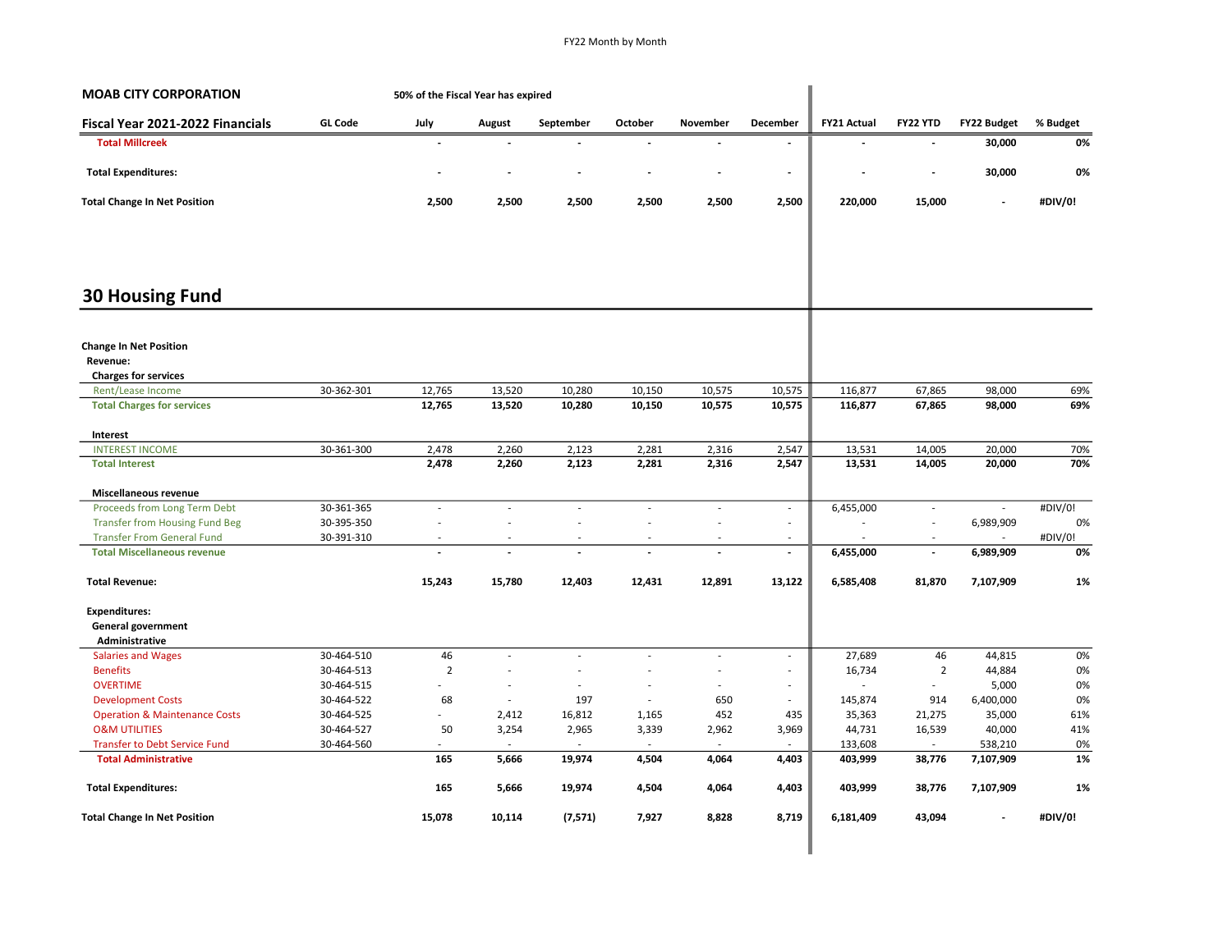| <b>MOAB CITY CORPORATION</b>                                             |                | 50% of the Fiscal Year has expired |                          |                |                          |                          |                          |                    |                          |                      |          |
|--------------------------------------------------------------------------|----------------|------------------------------------|--------------------------|----------------|--------------------------|--------------------------|--------------------------|--------------------|--------------------------|----------------------|----------|
| Fiscal Year 2021-2022 Financials                                         | <b>GL Code</b> | July                               | August                   | September      | October                  | November                 | <b>December</b>          | <b>FY21 Actual</b> | <b>FY22 YTD</b>          | <b>FY22 Budget</b>   | % Budget |
| <b>Total Millcreek</b>                                                   |                |                                    |                          |                |                          |                          | $\blacksquare$           |                    |                          | 30,000               | 0%       |
| <b>Total Expenditures:</b>                                               |                |                                    |                          |                |                          |                          | $\overline{\phantom{a}}$ |                    | $\overline{\phantom{a}}$ | 30,000               | 0%       |
| <b>Total Change In Net Position</b>                                      |                | 2,500                              | 2,500                    | 2,500          | 2,500                    | 2,500                    | 2,500                    | 220,000            | 15,000                   |                      | #DIV/0!  |
| <b>30 Housing Fund</b>                                                   |                |                                    |                          |                |                          |                          |                          |                    |                          |                      |          |
| <b>Change In Net Position</b><br>Revenue:<br><b>Charges for services</b> |                |                                    |                          |                |                          |                          |                          |                    |                          |                      |          |
| Rent/Lease Income                                                        | 30-362-301     | 12,765                             | 13,520                   | 10,280         | 10,150                   | 10,575                   | 10,575                   | 116,877            | 67,865                   | 98,000               | 69%      |
| <b>Total Charges for services</b>                                        |                | 12,765                             | 13,520                   | 10,280         | 10,150                   | 10,575                   | 10,575                   | 116,877            | 67,865                   | 98,000               | 69%      |
| Interest                                                                 |                |                                    |                          |                |                          |                          |                          |                    |                          |                      |          |
| <b>INTEREST INCOME</b>                                                   | 30-361-300     | 2,478                              | 2,260                    | 2,123          | 2,281                    | 2,316                    | 2,547                    | 13,531             | 14,005                   | 20,000               | 70%      |
| <b>Total Interest</b>                                                    |                | 2,478                              | 2,260                    | 2,123          | 2,281                    | 2,316                    | 2,547                    | 13,531             | 14,005                   | 20,000               | 70%      |
| Miscellaneous revenue                                                    |                |                                    |                          |                |                          |                          |                          |                    |                          |                      |          |
| Proceeds from Long Term Debt                                             | 30-361-365     | ÷,                                 | ÷,                       | $\sim$         | ÷,                       | ÷                        | $\overline{\phantom{a}}$ | 6,455,000          | $\frac{1}{2}$            | $\sim$               | #DIV/0!  |
| <b>Transfer from Housing Fund Beg</b>                                    | 30-395-350     | ÷,                                 | $\overline{\phantom{a}}$ |                |                          | $\overline{a}$           | $\sim$                   |                    | ä,                       | 6,989,909            | 0%       |
| <b>Transfer From General Fund</b>                                        | 30-391-310     |                                    | $\overline{\phantom{a}}$ | $\sim$         | $\overline{\phantom{a}}$ | $\sim$                   | $\sim$                   |                    | ٠                        |                      | #DIV/0!  |
| <b>Total Miscellaneous revenue</b>                                       |                |                                    | $\overline{\phantom{a}}$ | $\blacksquare$ | $\overline{\phantom{a}}$ | $\overline{\phantom{a}}$ | $\overline{\phantom{a}}$ | 6,455,000          | $\overline{\phantom{a}}$ | 6,989,909            | 0%       |
| <b>Total Revenue:</b>                                                    |                | 15,243                             | 15,780                   | 12,403         | 12,431                   | 12,891                   | 13,122                   | 6,585,408          | 81,870                   | 7,107,909            | 1%       |
| <b>Expenditures:</b>                                                     |                |                                    |                          |                |                          |                          |                          |                    |                          |                      |          |
| General government                                                       |                |                                    |                          |                |                          |                          |                          |                    |                          |                      |          |
| Administrative                                                           |                |                                    |                          |                |                          |                          |                          |                    |                          |                      |          |
| <b>Salaries and Wages</b>                                                | 30-464-510     | 46                                 | $\sim$                   | $\sim$         | ä,                       | $\overline{\phantom{a}}$ | $\sim$                   | 27,689             | 46                       | 44,815               | 0%       |
| <b>Benefits</b>                                                          | 30-464-513     | $\overline{2}$                     | ÷,                       |                | Ĩ.                       | $\overline{\phantom{a}}$ | $\sim$                   | 16,734             | $\overline{2}$           | 44,884               | 0%       |
| <b>OVERTIME</b>                                                          | 30-464-515     |                                    | ÷,                       |                | ÷,                       | $\overline{\phantom{a}}$ | $\sim$                   | $\sim$             | $\blacksquare$           | 5,000                | 0%       |
| <b>Development Costs</b>                                                 | 30-464-522     | 68                                 | $\overline{\phantom{a}}$ | 197            | ÷,                       | 650                      | $\sim$                   | 145,874            | 914                      | 6,400,000            | 0%       |
| <b>Operation &amp; Maintenance Costs</b>                                 | 30-464-525     | ÷.                                 | 2,412                    | 16,812         | 1,165                    | 452                      | 435                      | 35,363             | 21,275                   | 35,000               | 61%      |
| <b>O&amp;M UTILITIES</b>                                                 | 30-464-527     | 50                                 | 3,254                    | 2,965          | 3,339                    | 2,962                    | 3,969                    | 44,731             | 16,539                   | 40,000               | 41%      |
| Transfer to Debt Service Fund<br><b>Total Administrative</b>             | 30-464-560     | 165                                | $\sim$<br>5,666          | 19,974         | 4,504                    | $\sim$<br>4,064          | 4,403                    | 133,608<br>403,999 | $\sim$<br>38,776         | 538,210<br>7,107,909 | 0%<br>1% |
|                                                                          |                |                                    |                          |                |                          |                          |                          |                    |                          |                      |          |
| <b>Total Expenditures:</b>                                               |                | 165                                | 5,666                    | 19,974         | 4,504                    | 4,064                    | 4,403                    | 403,999            | 38,776                   | 7,107,909            | 1%       |
| <b>Total Change In Net Position</b>                                      |                | 15,078                             | 10,114                   | (7,571)        | 7,927                    | 8,828                    | 8,719                    | 6,181,409          | 43,094                   |                      | #DIV/0!  |
|                                                                          |                |                                    |                          |                |                          |                          |                          |                    |                          |                      |          |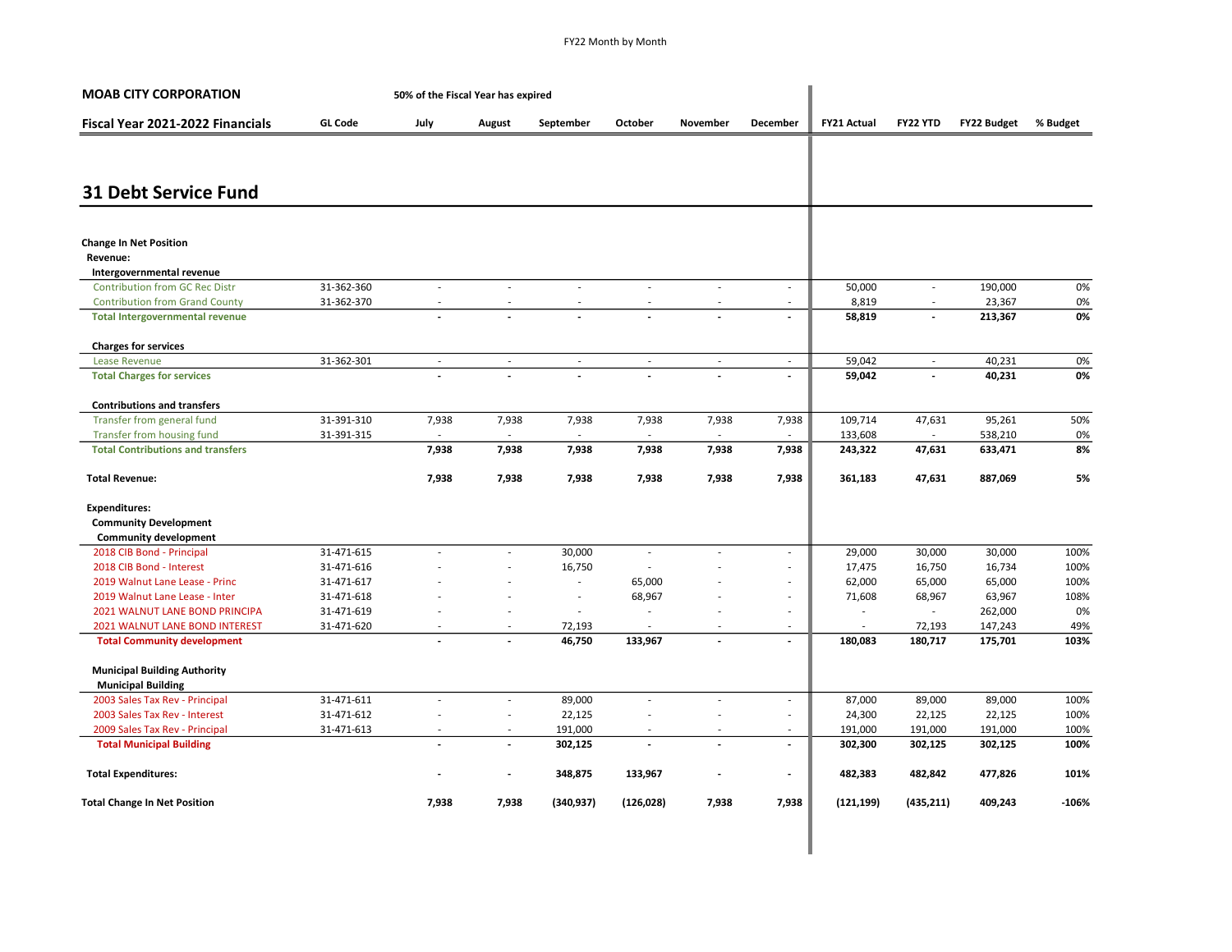| <b>MOAB CITY CORPORATION</b>                                       |                | 50% of the Fiscal Year has expired |                          |                          |                          |                          |                          |                    |                             |                    |          |
|--------------------------------------------------------------------|----------------|------------------------------------|--------------------------|--------------------------|--------------------------|--------------------------|--------------------------|--------------------|-----------------------------|--------------------|----------|
| Fiscal Year 2021-2022 Financials                                   | <b>GL Code</b> | July                               | August                   | September                | October                  | November                 | December                 | <b>FY21 Actual</b> | FY22 YTD                    | <b>FY22 Budget</b> | % Budget |
|                                                                    |                |                                    |                          |                          |                          |                          |                          |                    |                             |                    |          |
| <b>31 Debt Service Fund</b>                                        |                |                                    |                          |                          |                          |                          |                          |                    |                             |                    |          |
| <b>Change In Net Position</b>                                      |                |                                    |                          |                          |                          |                          |                          |                    |                             |                    |          |
| Revenue:                                                           |                |                                    |                          |                          |                          |                          |                          |                    |                             |                    |          |
| Intergovernmental revenue<br><b>Contribution from GC Rec Distr</b> | 31-362-360     | $\sim$                             | ä,                       | $\overline{\phantom{a}}$ | $\sim$                   | $\overline{\phantom{a}}$ | $\sim$                   | 50,000             | $\sim$                      | 190,000            | 0%       |
| <b>Contribution from Grand County</b>                              | 31-362-370     | $\overline{\phantom{a}}$           | Ĭ.                       |                          | $\overline{\phantom{a}}$ | $\sim$                   | $\overline{\phantom{a}}$ | 8,819              | $\overline{\phantom{a}}$    | 23,367             |          |
| <b>Total Intergovernmental revenue</b>                             |                |                                    |                          |                          |                          |                          | $\overline{\phantom{a}}$ | 58,819             | $\overline{\phantom{a}}$    | 213,367            | 0%<br>0% |
|                                                                    |                |                                    |                          |                          |                          |                          |                          |                    |                             |                    |          |
| <b>Charges for services</b>                                        |                |                                    |                          |                          |                          |                          |                          |                    |                             |                    |          |
| <b>Lease Revenue</b>                                               | 31-362-301     | $\overline{\phantom{a}}$           | $\sim$                   | $\sim$                   | $\sim$                   | $\sim$                   | $\sim$                   | 59,042             | $\sim$                      | 40,231             | 0%       |
| <b>Total Charges for services</b>                                  |                |                                    |                          |                          |                          |                          | $\sim$                   | 59,042             |                             | 40,231             | 0%       |
| <b>Contributions and transfers</b>                                 |                |                                    |                          |                          |                          |                          |                          |                    |                             |                    |          |
| Transfer from general fund                                         | 31-391-310     | 7,938                              | 7,938                    | 7,938                    | 7,938                    | 7,938                    | 7,938                    | 109,714            | 47,631                      | 95,261             | 50%      |
| Transfer from housing fund                                         | 31-391-315     |                                    |                          |                          |                          | $\overline{\phantom{a}}$ |                          | 133,608            | $\overline{\phantom{a}}$    | 538,210            | 0%       |
| <b>Total Contributions and transfers</b>                           |                | 7,938                              | 7,938                    | 7,938                    | 7,938                    | 7,938                    | 7,938                    | 243,322            | 47,631                      | 633,471            | 8%       |
| <b>Total Revenue:</b>                                              |                | 7,938                              | 7,938                    | 7,938                    | 7,938                    | 7,938                    | 7,938                    | 361,183            | 47,631                      | 887,069            | 5%       |
| <b>Expenditures:</b>                                               |                |                                    |                          |                          |                          |                          |                          |                    |                             |                    |          |
| <b>Community Development</b>                                       |                |                                    |                          |                          |                          |                          |                          |                    |                             |                    |          |
| <b>Community development</b>                                       |                |                                    |                          |                          |                          |                          |                          |                    |                             |                    |          |
| 2018 CIB Bond - Principal                                          | 31-471-615     | $\sim$                             | ÷,                       | 30,000                   | $\mathcal{L}$            | $\sim$                   | $\overline{\phantom{a}}$ | 29,000             | 30,000                      | 30,000             | 100%     |
| 2018 CIB Bond - Interest                                           | 31-471-616     |                                    | ä,                       | 16,750                   |                          |                          |                          | 17,475             | 16,750                      | 16,734             | 100%     |
| 2019 Walnut Lane Lease - Princ                                     | 31-471-617     |                                    | $\overline{\phantom{a}}$ | ÷                        | 65,000                   | ä,                       | $\sim$                   | 62,000             | 65,000                      | 65,000             | 100%     |
| 2019 Walnut Lane Lease - Inter                                     | 31-471-618     |                                    |                          | $\sim$                   | 68,967                   |                          | $\overline{\phantom{a}}$ | 71,608             | 68,967                      | 63,967             | 108%     |
| 2021 WALNUT LANE BOND PRINCIPA                                     | 31-471-619     |                                    | ä,                       | $\sim$                   | $\overline{\phantom{a}}$ | $\overline{a}$           | ٠                        | $\sim$             | $\mathcal{L}_{\mathcal{A}}$ | 262,000            | 0%       |
| 2021 WALNUT LANE BOND INTEREST                                     | 31-471-620     |                                    | ٠                        | 72,193                   |                          | ٠                        | $\overline{\phantom{a}}$ |                    | 72,193                      | 147,243            | 49%      |
| <b>Total Community development</b>                                 |                |                                    |                          | 46,750                   | 133,967                  |                          | $\overline{\phantom{a}}$ | 180,083            | 180,717                     | 175,701            | 103%     |
| <b>Municipal Building Authority</b><br><b>Municipal Building</b>   |                |                                    |                          |                          |                          |                          |                          |                    |                             |                    |          |
| 2003 Sales Tax Rev - Principal                                     | 31-471-611     | ÷                                  | ä,                       | 89,000                   | ÷                        | L.                       | $\overline{\phantom{a}}$ | 87,000             | 89,000                      | 89,000             | 100%     |
| 2003 Sales Tax Rev - Interest                                      | 31-471-612     | $\overline{a}$                     | ä,                       | 22,125                   | $\overline{\phantom{a}}$ | ä,                       | $\sim$                   | 24,300             | 22,125                      | 22,125             | 100%     |
| 2009 Sales Tax Rev - Principal                                     | 31-471-613     | $\sim$                             | ÷,                       | 191,000                  | $\sim$                   | $\sim$                   | $\sim$                   | 191,000            | 191,000                     | 191,000            | 100%     |
| <b>Total Municipal Building</b>                                    |                | $\overline{\phantom{a}}$           | $\overline{\phantom{a}}$ | 302,125                  | $\overline{a}$           | $\overline{\phantom{a}}$ | $\overline{\phantom{a}}$ | 302,300            | 302,125                     | 302,125            | 100%     |
| <b>Total Expenditures:</b>                                         |                |                                    | $\centerdot$             | 348,875                  | 133,967                  | $\overline{\phantom{a}}$ | $\overline{\phantom{a}}$ | 482,383            | 482,842                     | 477,826            | 101%     |
| <b>Total Change In Net Position</b>                                |                | 7,938                              | 7,938                    | (340, 937)               | (126, 028)               | 7,938                    | 7,938                    | (121, 199)         | (435, 211)                  | 409,243            | $-106%$  |
|                                                                    |                |                                    |                          |                          |                          |                          |                          |                    |                             |                    |          |
|                                                                    |                |                                    |                          |                          |                          |                          |                          |                    |                             |                    |          |

ı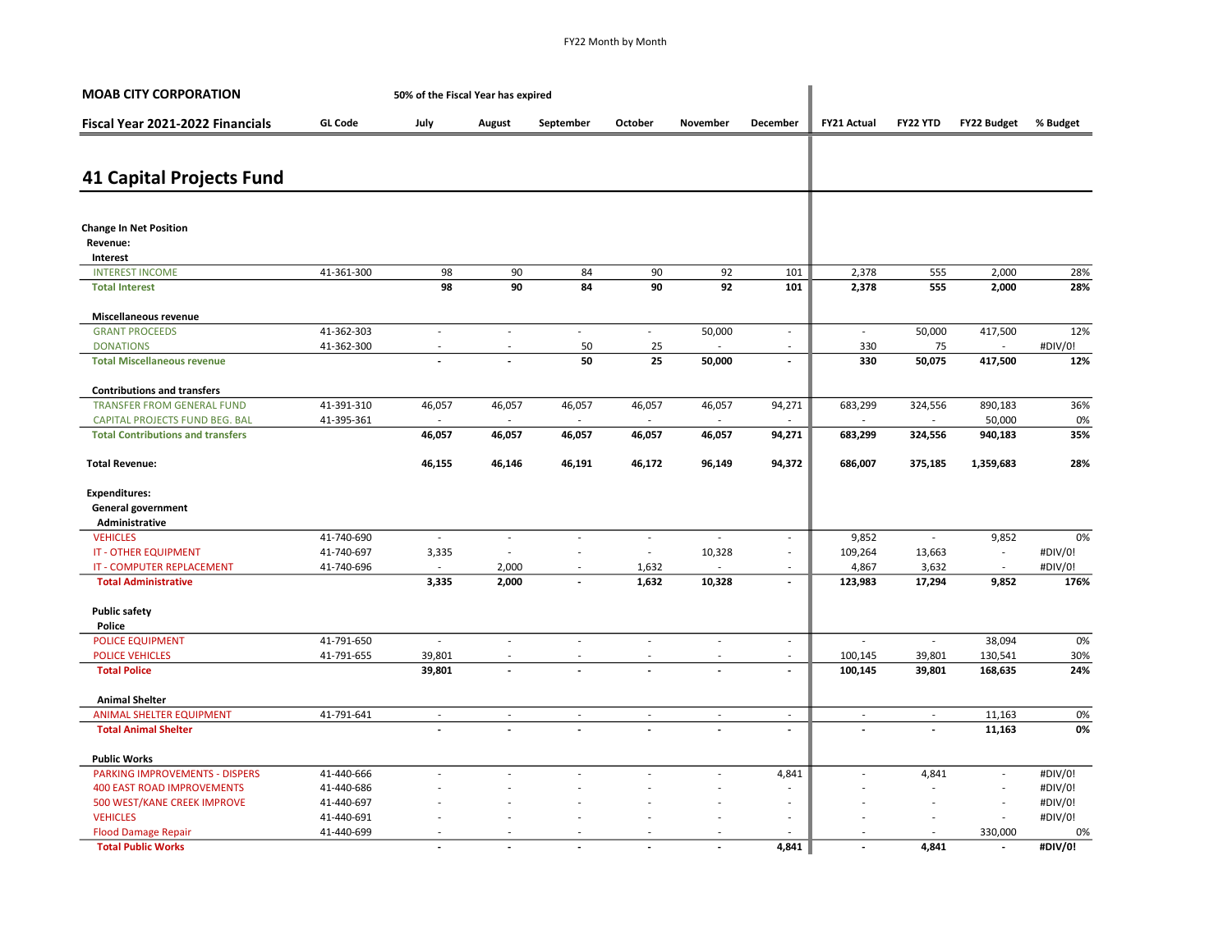| <b>MOAB CITY CORPORATION</b>             |                | 50% of the Fiscal Year has expired |                |                          |                |                |                             |                    |                          |                          |            |
|------------------------------------------|----------------|------------------------------------|----------------|--------------------------|----------------|----------------|-----------------------------|--------------------|--------------------------|--------------------------|------------|
| Fiscal Year 2021-2022 Financials         | <b>GL Code</b> | July                               | August         | September                | October        | November       | December                    | <b>FY21 Actual</b> | FY22 YTD                 | <b>FY22 Budget</b>       | % Budget   |
| <b>41 Capital Projects Fund</b>          |                |                                    |                |                          |                |                |                             |                    |                          |                          |            |
|                                          |                |                                    |                |                          |                |                |                             |                    |                          |                          |            |
| <b>Change In Net Position</b>            |                |                                    |                |                          |                |                |                             |                    |                          |                          |            |
| Revenue:                                 |                |                                    |                |                          |                |                |                             |                    |                          |                          |            |
| Interest                                 |                |                                    |                |                          |                |                |                             |                    |                          |                          |            |
| <b>INTEREST INCOME</b>                   | 41-361-300     | 98<br>98                           | 90<br>90       | 84<br>84                 | 90<br>90       | 92<br>92       | 101<br>101                  | 2,378              | 555<br>555               | 2,000                    | 28%<br>28% |
| <b>Total Interest</b>                    |                |                                    |                |                          |                |                |                             | 2,378              |                          | 2,000                    |            |
| Miscellaneous revenue                    |                |                                    |                |                          |                |                |                             |                    |                          |                          |            |
| <b>GRANT PROCEEDS</b>                    | 41-362-303     | $\sim$                             | L.             | $\sim$                   | $\mathcal{L}$  | 50,000         | $\mathcal{L}_{\mathcal{A}}$ | $\sim$             | 50,000                   | 417,500                  | 12%        |
| <b>DONATIONS</b>                         | 41-362-300     | $\overline{\phantom{a}}$           |                | 50                       | 25             |                | $\sim$                      | 330                | 75                       |                          | #DIV/0!    |
| <b>Total Miscellaneous revenue</b>       |                |                                    |                | 50                       | 25             | 50,000         | $\blacksquare$              | 330                | 50,075                   | 417,500                  | 12%        |
| <b>Contributions and transfers</b>       |                |                                    |                |                          |                |                |                             |                    |                          |                          |            |
| <b>TRANSFER FROM GENERAL FUND</b>        | 41-391-310     | 46,057                             | 46,057         | 46,057                   | 46,057         | 46,057         | 94,271                      | 683,299            | 324,556                  | 890,183                  | 36%        |
| CAPITAL PROJECTS FUND BEG. BAL           | 41-395-361     |                                    |                | $\sim$                   |                |                |                             |                    | $\sim$                   | 50,000                   | 0%         |
| <b>Total Contributions and transfers</b> |                | 46,057                             | 46,057         | 46,057                   | 46,057         | 46,057         | 94,271                      | 683,299            | 324,556                  | 940,183                  | 35%        |
| <b>Total Revenue:</b>                    |                | 46,155                             | 46,146         | 46,191                   | 46,172         | 96,149         | 94,372                      | 686,007            | 375,185                  | 1,359,683                | 28%        |
| <b>Expenditures:</b>                     |                |                                    |                |                          |                |                |                             |                    |                          |                          |            |
| <b>General government</b>                |                |                                    |                |                          |                |                |                             |                    |                          |                          |            |
| Administrative                           |                |                                    |                |                          |                |                |                             |                    |                          |                          |            |
| <b>VEHICLES</b>                          | 41-740-690     | $\overline{\phantom{a}}$           | ÷,             | $\sim$                   | ÷,             |                | $\sim$                      | 9,852              | $\sim$                   | 9,852                    | 0%         |
| <b>IT - OTHER EQUIPMENT</b>              | 41-740-697     | 3,335                              | ÷.             | $\sim$                   | $\sim$         | 10,328         | $\sim$                      | 109,264            | 13,663                   | ÷,                       | #DIV/0!    |
| IT - COMPUTER REPLACEMENT                | 41-740-696     |                                    | 2,000          | $\overline{\phantom{a}}$ | 1,632          |                | ٠                           | 4,867              | 3,632                    | $\sim$                   | #DIV/0!    |
| <b>Total Administrative</b>              |                | 3,335                              | 2,000          | $\overline{a}$           | 1,632          | 10,328         | $\overline{\phantom{a}}$    | 123,983            | 17,294                   | 9,852                    | 176%       |
| <b>Public safety</b>                     |                |                                    |                |                          |                |                |                             |                    |                          |                          |            |
| Police                                   |                |                                    |                |                          |                |                |                             |                    |                          |                          |            |
| <b>POLICE EQUIPMENT</b>                  | 41-791-650     | $\overline{\phantom{a}}$           | J.             | $\overline{a}$           | ÷,             | $\overline{a}$ | $\sim$                      |                    | $\sim$                   | 38,094                   | 0%         |
| <b>POLICE VEHICLES</b>                   | 41-791-655     | 39,801                             |                | $\sim$                   | ÷,             |                | $\sim$                      | 100,145            | 39,801                   | 130,541                  | 30%        |
| <b>Total Police</b>                      |                | 39,801                             |                |                          |                |                | $\overline{\phantom{a}}$    | 100,145            | 39,801                   | 168,635                  | 24%        |
| <b>Animal Shelter</b>                    |                |                                    |                |                          |                |                |                             |                    |                          |                          |            |
| <b>ANIMAL SHELTER EQUIPMENT</b>          | 41-791-641     | $\sim$                             | ÷,             | $\sim$                   | $\sim$         | $\sim$         | $\sim$                      | ÷,                 | $\overline{\phantom{a}}$ | 11,163                   | 0%         |
| <b>Total Animal Shelter</b>              |                |                                    |                |                          |                |                | $\blacksquare$              | $\overline{a}$     |                          | 11,163                   | 0%         |
| <b>Public Works</b>                      |                |                                    |                |                          |                |                |                             |                    |                          |                          |            |
| <b>PARKING IMPROVEMENTS - DISPERS</b>    | 41-440-666     |                                    |                |                          |                | $\sim$         | 4,841                       | ÷,                 | 4,841                    | $\overline{\phantom{a}}$ | #DIV/0!    |
| <b>400 EAST ROAD IMPROVEMENTS</b>        | 41-440-686     |                                    |                |                          |                |                |                             |                    |                          | $\overline{\phantom{a}}$ | #DIV/0!    |
| 500 WEST/KANE CREEK IMPROVE              | 41-440-697     |                                    |                |                          |                |                | $\overline{\phantom{a}}$    |                    |                          | $\sim$                   | #DIV/0!    |
| <b>VEHICLES</b>                          | 41-440-691     |                                    |                |                          |                |                | ä,                          |                    |                          | $\overline{\phantom{a}}$ | #DIV/0!    |
| <b>Flood Damage Repair</b>               | 41-440-699     |                                    |                |                          |                |                |                             |                    |                          | 330,000                  | 0%         |
| <b>Total Public Works</b>                |                | $\overline{a}$                     | $\overline{a}$ |                          | $\overline{a}$ |                | 4.841                       | $\overline{a}$     | 4,841                    | $\overline{a}$           | #DIV/0!    |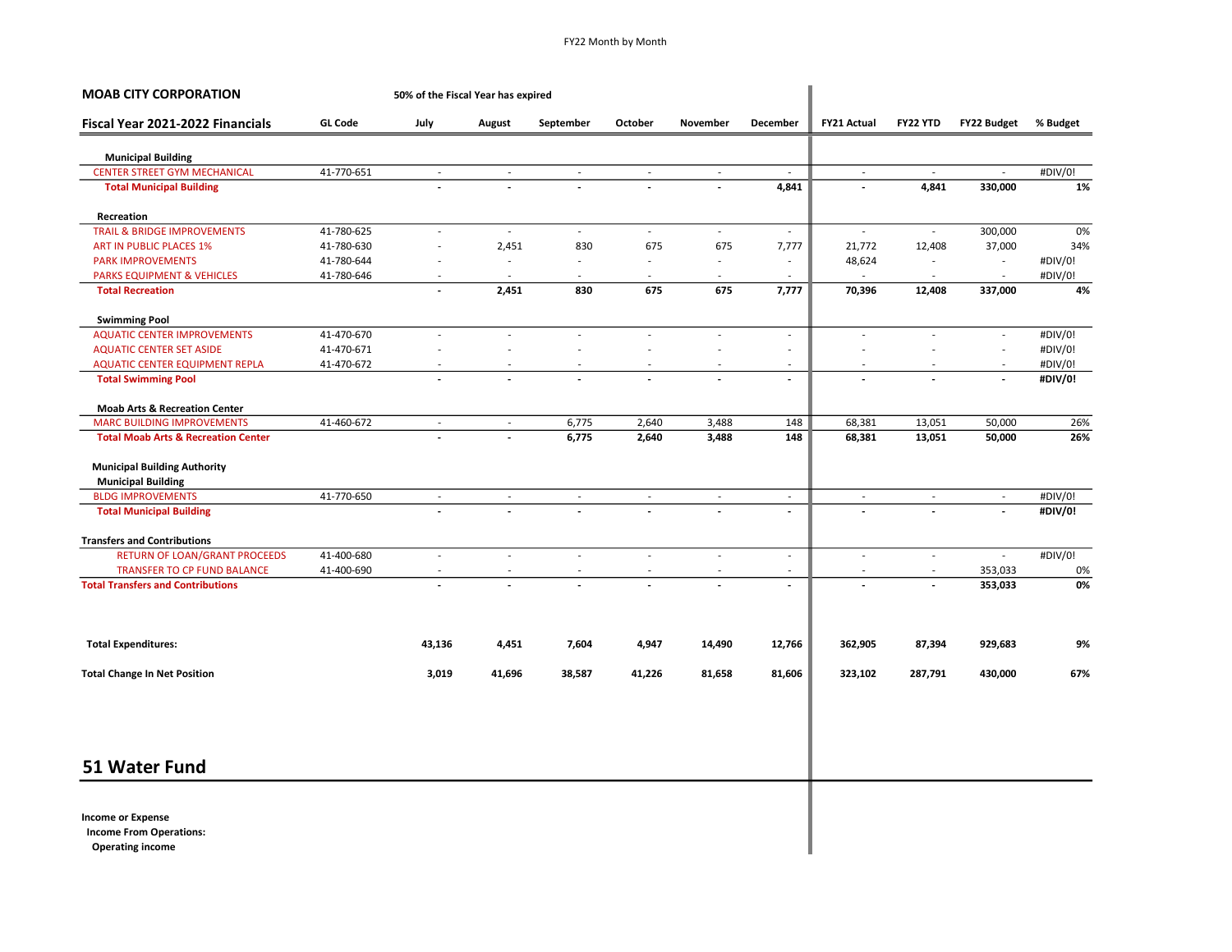| <b>MOAB CITY CORPORATION</b>                                                          |                | 50% of the Fiscal Year has expired |                          |                          |                          |                             |                             |                          |                          |                          |          |
|---------------------------------------------------------------------------------------|----------------|------------------------------------|--------------------------|--------------------------|--------------------------|-----------------------------|-----------------------------|--------------------------|--------------------------|--------------------------|----------|
| Fiscal Year 2021-2022 Financials                                                      | <b>GL Code</b> | July                               | August                   | September                | October                  | November                    | December                    | <b>FY21 Actual</b>       | FY22 YTD                 | <b>FY22 Budget</b>       | % Budget |
| <b>Municipal Building</b>                                                             |                |                                    |                          |                          |                          |                             |                             |                          |                          |                          |          |
| <b>CENTER STREET GYM MECHANICAL</b>                                                   | 41-770-651     | $\overline{\phantom{a}}$           | $\overline{\phantom{a}}$ | $\overline{\phantom{a}}$ | $\overline{\phantom{a}}$ | $\overline{\phantom{a}}$    |                             | $\overline{\phantom{a}}$ | $\overline{\phantom{a}}$ |                          | #DIV/0!  |
| <b>Total Municipal Building</b>                                                       |                |                                    |                          |                          | $\overline{\phantom{a}}$ |                             | 4,841                       | $\overline{a}$           | 4,841                    | 330,000                  | 1%       |
| Recreation                                                                            |                |                                    |                          |                          |                          |                             |                             |                          |                          |                          |          |
| <b>TRAIL &amp; BRIDGE IMPROVEMENTS</b>                                                | 41-780-625     | $\sim$                             | $\sim$                   | $\omega$                 | $\mathcal{L}$            | $\mathcal{L}_{\mathcal{A}}$ | $\overline{\phantom{a}}$    | $\overline{\phantom{a}}$ | $\sim$                   | 300,000                  | 0%       |
| ART IN PUBLIC PLACES 1%                                                               | 41-780-630     | ٠                                  | 2,451                    | 830                      | 675                      | 675                         | 7,777                       | 21,772                   | 12,408                   | 37,000                   | 34%      |
| <b>PARK IMPROVEMENTS</b>                                                              | 41-780-644     |                                    |                          | ÷                        |                          |                             | $\overline{\phantom{a}}$    | 48,624                   | ÷                        |                          | #DIV/0!  |
| <b>PARKS EQUIPMENT &amp; VEHICLES</b>                                                 | 41-780-646     | $\overline{\phantom{a}}$           |                          | ÷                        | L.                       | ÷.                          | ÷,                          | ÷,                       | $\sim$                   | $\sim$                   | #DIV/0!  |
| <b>Total Recreation</b>                                                               |                | $\overline{\phantom{a}}$           | 2,451                    | 830                      | 675                      | 675                         | 7,777                       | 70,396                   | 12,408                   | 337,000                  | 4%       |
| <b>Swimming Pool</b>                                                                  |                |                                    |                          |                          |                          |                             |                             |                          |                          |                          |          |
| <b>AQUATIC CENTER IMPROVEMENTS</b>                                                    | 41-470-670     | $\sim$                             | ÷.                       | $\sim$                   | $\sim$                   | $\sim$                      | $\overline{\phantom{a}}$    | $\sim$                   | $\sim$                   | $\sim$                   | #DIV/0!  |
| <b>AQUATIC CENTER SET ASIDE</b>                                                       | 41-470-671     |                                    |                          | ٠                        |                          |                             | $\overline{\phantom{a}}$    | ÷,                       |                          | $\sim$                   | #DIV/0!  |
| AQUATIC CENTER EQUIPMENT REPLA                                                        | 41-470-672     |                                    |                          |                          |                          |                             | ä,                          |                          |                          |                          | #DIV/0!  |
| <b>Total Swimming Pool</b>                                                            |                |                                    |                          | $\overline{a}$           | $\overline{a}$           |                             | $\blacksquare$              | $\overline{\phantom{a}}$ |                          | $\overline{\phantom{a}}$ | #DIV/0!  |
| <b>Moab Arts &amp; Recreation Center</b>                                              |                |                                    |                          |                          |                          |                             |                             |                          |                          |                          |          |
| <b>MARC BUILDING IMPROVEMENTS</b>                                                     | 41-460-672     | $\sim$                             | $\sim$                   | 6,775                    | 2,640                    | 3,488                       | 148                         | 68,381                   | 13,051                   | 50,000                   | 26%      |
| <b>Total Moab Arts &amp; Recreation Center</b>                                        |                |                                    |                          | 6,775                    | 2,640                    | 3,488                       | 148                         | 68,381                   | 13,051                   | 50,000                   | 26%      |
| <b>Municipal Building Authority</b>                                                   |                |                                    |                          |                          |                          |                             |                             |                          |                          |                          |          |
| <b>Municipal Building</b>                                                             |                |                                    |                          |                          |                          |                             |                             |                          |                          |                          |          |
| <b>BLDG IMPROVEMENTS</b>                                                              | 41-770-650     | $\sim$                             | $\sim$                   | $\sim$                   | $\sim$                   | $\sim$                      | $\sim$                      | $\sim$                   | $\sim$                   | $\sim$                   | #DIV/0!  |
| <b>Total Municipal Building</b>                                                       |                |                                    |                          |                          |                          |                             | $\overline{\phantom{a}}$    | $\overline{a}$           |                          | $\overline{\phantom{a}}$ | #DIV/0!  |
| <b>Transfers and Contributions</b>                                                    |                |                                    |                          |                          |                          |                             |                             |                          |                          |                          |          |
| RETURN OF LOAN/GRANT PROCEEDS                                                         | 41-400-680     | ÷,                                 | $\sim$                   | ÷                        | ÷,                       | $\sim$                      | $\mathcal{L}_{\mathcal{A}}$ | ÷,                       | $\sim$                   | $\sim$                   | #DIV/0!  |
| TRANSFER TO CP FUND BALANCE                                                           | 41-400-690     |                                    |                          |                          |                          |                             | $\overline{\phantom{a}}$    |                          |                          | 353,033                  | 0%       |
| <b>Total Transfers and Contributions</b>                                              |                |                                    |                          |                          |                          |                             | $\overline{a}$              | $\overline{a}$           |                          | 353,033                  | 0%       |
| <b>Total Expenditures:</b>                                                            |                | 43,136                             | 4,451                    | 7,604                    | 4,947                    | 14,490                      | 12,766                      | 362,905                  | 87,394                   | 929,683                  | 9%       |
| <b>Total Change In Net Position</b>                                                   |                | 3,019                              | 41,696                   | 38,587                   | 41,226                   | 81,658                      | 81,606                      | 323,102                  | 287,791                  | 430,000                  | 67%      |
|                                                                                       |                |                                    |                          |                          |                          |                             |                             |                          |                          |                          |          |
| 51 Water Fund                                                                         |                |                                    |                          |                          |                          |                             |                             |                          |                          |                          |          |
|                                                                                       |                |                                    |                          |                          |                          |                             |                             |                          |                          |                          |          |
| <b>Income or Expense</b><br><b>Income From Operations:</b><br><b>Operating income</b> |                |                                    |                          |                          |                          |                             |                             |                          |                          |                          |          |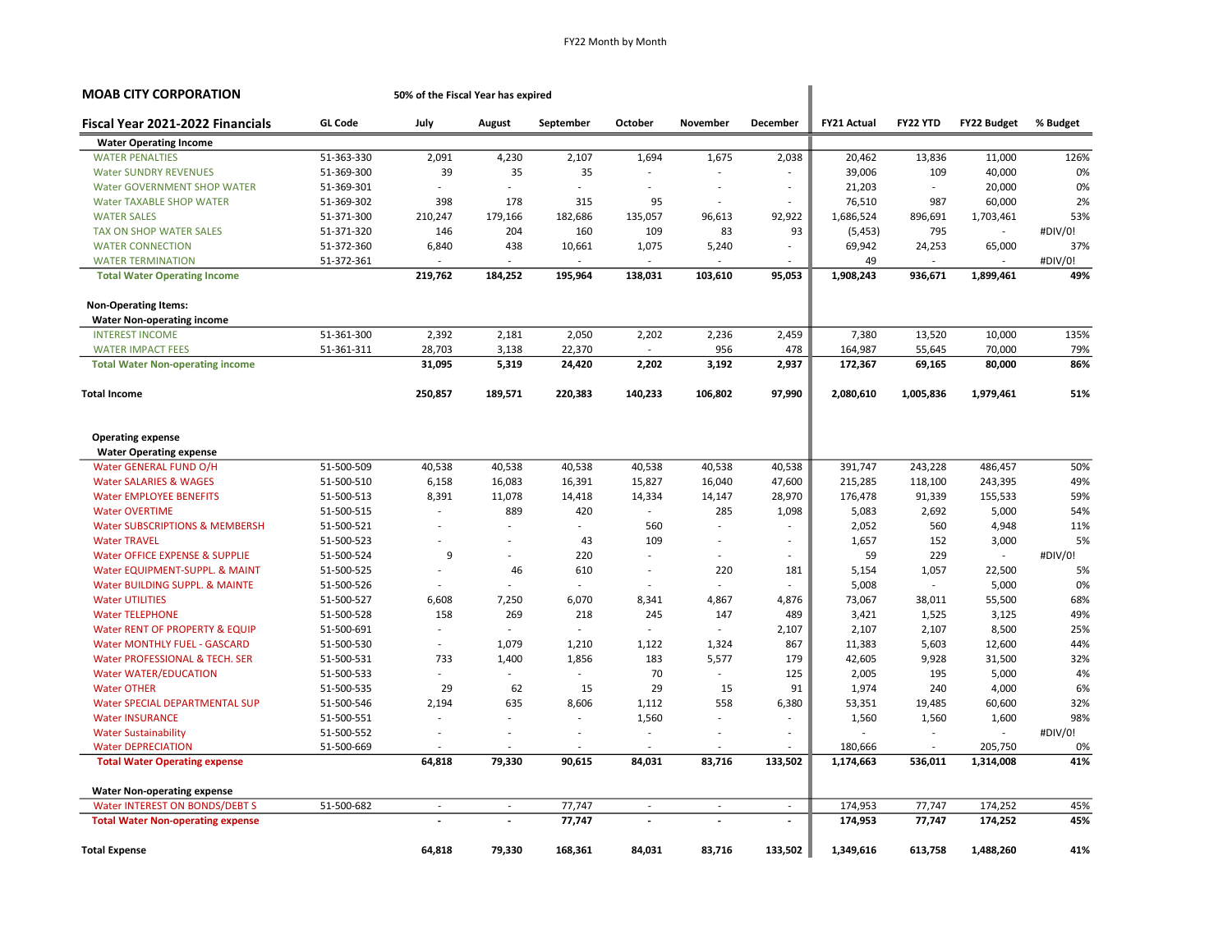| <b>MOAB CITY CORPORATION</b>                             |                | 50% of the Fiscal Year has expired |                          |              |                          |          |                          |                    |                          |                          |          |
|----------------------------------------------------------|----------------|------------------------------------|--------------------------|--------------|--------------------------|----------|--------------------------|--------------------|--------------------------|--------------------------|----------|
| Fiscal Year 2021-2022 Financials                         | <b>GL Code</b> | July                               | August                   | September    | October                  | November | December                 | <b>FY21 Actual</b> | <b>FY22 YTD</b>          | <b>FY22 Budget</b>       | % Budget |
| <b>Water Operating Income</b>                            |                |                                    |                          |              |                          |          |                          |                    |                          |                          |          |
| <b>WATER PENALTIES</b>                                   | 51-363-330     | 2,091                              | 4,230                    | 2,107        | 1,694                    | 1,675    | 2,038                    | 20,462             | 13,836                   | 11,000                   | 126%     |
| <b>Water SUNDRY REVENUES</b>                             | 51-369-300     | 39                                 | 35                       | 35           |                          | ä,       |                          | 39,006             | 109                      | 40,000                   | 0%       |
| <b>Water GOVERNMENT SHOP WATER</b>                       | 51-369-301     |                                    |                          |              |                          | ÷.       | $\overline{\phantom{a}}$ | 21,203             | $\overline{\phantom{a}}$ | 20,000                   | 0%       |
| <b>Water TAXABLE SHOP WATER</b>                          | 51-369-302     | 398                                | 178                      | 315          | 95                       | ÷,       |                          | 76,510             | 987                      | 60,000                   | 2%       |
| <b>WATER SALES</b>                                       | 51-371-300     | 210,247                            | 179,166                  | 182,686      | 135,057                  | 96,613   | 92,922                   | 1,686,524          | 896,691                  | 1,703,461                | 53%      |
| <b>TAX ON SHOP WATER SALES</b>                           | 51-371-320     | 146                                | 204                      | 160          | 109                      | 83       | 93                       | (5,453)            | 795                      |                          | #DIV/0!  |
| <b>WATER CONNECTION</b>                                  | 51-372-360     | 6,840                              | 438                      | 10,661       | 1,075                    | 5,240    | ä,                       | 69,942             | 24,253                   | 65,000                   | 37%      |
| <b>WATER TERMINATION</b>                                 | 51-372-361     |                                    | ÷.                       |              |                          | $\sim$   |                          | 49                 | $\sim$                   | $\sim$                   | #DIV/0!  |
| <b>Total Water Operating Income</b>                      |                | 219,762                            | 184,252                  | 195,964      | 138,031                  | 103,610  | 95,053                   | 1,908,243          | 936,671                  | 1,899,461                | 49%      |
| <b>Non-Operating Items:</b>                              |                |                                    |                          |              |                          |          |                          |                    |                          |                          |          |
| <b>Water Non-operating income</b>                        |                |                                    |                          |              |                          |          |                          |                    |                          |                          |          |
| <b>INTEREST INCOME</b>                                   | 51-361-300     | 2,392                              | 2,181                    | 2,050        | 2,202                    | 2,236    | 2,459                    | 7,380              | 13,520                   | 10,000                   | 135%     |
| <b>WATER IMPACT FEES</b>                                 | 51-361-311     | 28,703                             | 3,138                    | 22,370       |                          | 956      | 478                      | 164,987            | 55,645                   | 70,000                   | 79%      |
| <b>Total Water Non-operating income</b>                  |                | 31,095                             | 5,319                    | 24,420       | 2,202                    | 3,192    | 2,937                    | 172,367            | 69,165                   | 80,000                   | 86%      |
| <b>Total Income</b>                                      |                | 250,857                            | 189,571                  | 220,383      | 140,233                  | 106,802  | 97,990                   | 2,080,610          | 1,005,836                | 1,979,461                | 51%      |
| <b>Operating expense</b>                                 |                |                                    |                          |              |                          |          |                          |                    |                          |                          |          |
|                                                          |                |                                    |                          |              |                          |          |                          |                    |                          |                          |          |
| <b>Water Operating expense</b><br>Water GENERAL FUND O/H | 51-500-509     | 40,538                             | 40,538                   | 40,538       | 40,538                   | 40,538   | 40,538                   | 391,747            | 243,228                  | 486,457                  | 50%      |
| <b>Water SALARIES &amp; WAGES</b>                        | 51-500-510     | 6,158                              | 16,083                   | 16,391       | 15,827                   | 16,040   | 47,600                   | 215,285            | 118,100                  | 243,395                  | 49%      |
| <b>Water EMPLOYEE BENEFITS</b>                           | 51-500-513     | 8,391                              | 11,078                   | 14,418       | 14,334                   | 14,147   | 28,970                   | 176,478            | 91,339                   | 155,533                  | 59%      |
| <b>Water OVERTIME</b>                                    | 51-500-515     | $\sim$                             | 889                      | 420          | $\sim$                   | 285      | 1,098                    | 5,083              | 2,692                    | 5,000                    | 54%      |
| Water SUBSCRIPTIONS & MEMBERSH                           | 51-500-521     | $\sim$                             | ä,                       | $\mathbf{r}$ | 560                      | ÷.       | ٠                        | 2,052              | 560                      | 4,948                    | 11%      |
| <b>Water TRAVEL</b>                                      | 51-500-523     | $\sim$                             | Ĭ.                       | 43           | 109                      | ä,       | $\sim$                   | 1,657              | 152                      | 3,000                    | 5%       |
| Water OFFICE EXPENSE & SUPPLIE                           | 51-500-524     | 9                                  | $\overline{\phantom{a}}$ | 220          | $\sim$                   | $\sim$   | ä,                       | 59                 | 229                      | $\overline{\phantom{a}}$ | #DIV/0!  |
| Water EQUIPMENT-SUPPL. & MAINT                           | 51-500-525     |                                    | 46                       | 610          | $\sim$                   | 220      | 181                      | 5,154              | 1,057                    | 22,500                   | 5%       |
| Water BUILDING SUPPL. & MAINTE                           | 51-500-526     |                                    |                          |              | $\overline{\phantom{a}}$ | $\sim$   |                          | 5,008              | $\sim$                   | 5,000                    | 0%       |
| <b>Water UTILITIES</b>                                   | 51-500-527     | 6,608                              | 7,250                    | 6.070        | 8,341                    | 4,867    | 4,876                    | 73,067             | 38,011                   | 55,500                   | 68%      |
| <b>Water TELEPHONE</b>                                   | 51-500-528     | 158                                | 269                      | 218          | 245                      | 147      | 489                      | 3,421              | 1,525                    | 3,125                    | 49%      |
| Water RENT OF PROPERTY & EQUIP                           | 51-500-691     | ÷                                  | $\overline{a}$           | $\sim$       | ÷.                       | ÷.       | 2,107                    | 2,107              | 2,107                    | 8,500                    | 25%      |
| Water MONTHLY FUEL - GASCARD                             | 51-500-530     | $\overline{\phantom{a}}$           | 1,079                    | 1,210        | 1,122                    | 1,324    | 867                      | 11,383             | 5,603                    | 12,600                   | 44%      |
| Water PROFESSIONAL & TECH. SER                           | 51-500-531     | 733                                | 1,400                    | 1,856        | 183                      | 5,577    | 179                      | 42,605             | 9,928                    | 31,500                   | 32%      |
| <b>Water WATER/EDUCATION</b>                             | 51-500-533     |                                    |                          |              | 70                       | $\sim$   | 125                      | 2,005              | 195                      | 5,000                    | 4%       |
| <b>Water OTHER</b>                                       | 51-500-535     | 29                                 | 62                       | 15           | 29                       | 15       | 91                       | 1,974              | 240                      | 4,000                    | 6%       |
| Water SPECIAL DEPARTMENTAL SUP                           | 51-500-546     | 2,194                              | 635                      | 8,606        | 1,112                    | 558      | 6,380                    | 53,351             | 19,485                   | 60,600                   | 32%      |
| <b>Water INSURANCE</b>                                   | 51-500-551     |                                    |                          |              | 1,560                    | ä,       | ٠                        | 1,560              | 1,560                    | 1,600                    | 98%      |
| <b>Water Sustainability</b>                              | 51-500-552     | $\overline{\phantom{a}}$           |                          |              | $\overline{\phantom{a}}$ |          |                          |                    | $\overline{\phantom{a}}$ |                          | #DIV/0!  |
| <b>Water DEPRECIATION</b>                                | 51-500-669     |                                    |                          |              |                          | ÷.       |                          | 180,666            | ÷                        | 205,750                  | 0%       |
| <b>Total Water Operating expense</b>                     |                | 64,818                             | 79,330                   | 90,615       | 84,031                   | 83,716   | 133,502                  | 1,174,663          | 536,011                  | 1,314,008                | 41%      |
| <b>Water Non-operating expense</b>                       |                |                                    |                          |              |                          |          |                          |                    |                          |                          |          |
| Water INTEREST ON BONDS/DEBT S                           | 51-500-682     | $\sim$                             | $\sim$                   | 77,747       | ÷                        | ÷.       | $\sim$                   | 174,953            | 77,747                   | 174,252                  | 45%      |
| <b>Total Water Non-operating expense</b>                 |                |                                    |                          | 77,747       | $\overline{\phantom{a}}$ |          | $\overline{a}$           | 174,953            | 77,747                   | 174,252                  | 45%      |
| <b>Total Expense</b>                                     |                | 64,818                             | 79,330                   | 168,361      | 84,031                   | 83,716   | 133,502                  | 1,349,616          | 613,758                  | 1,488,260                | 41%      |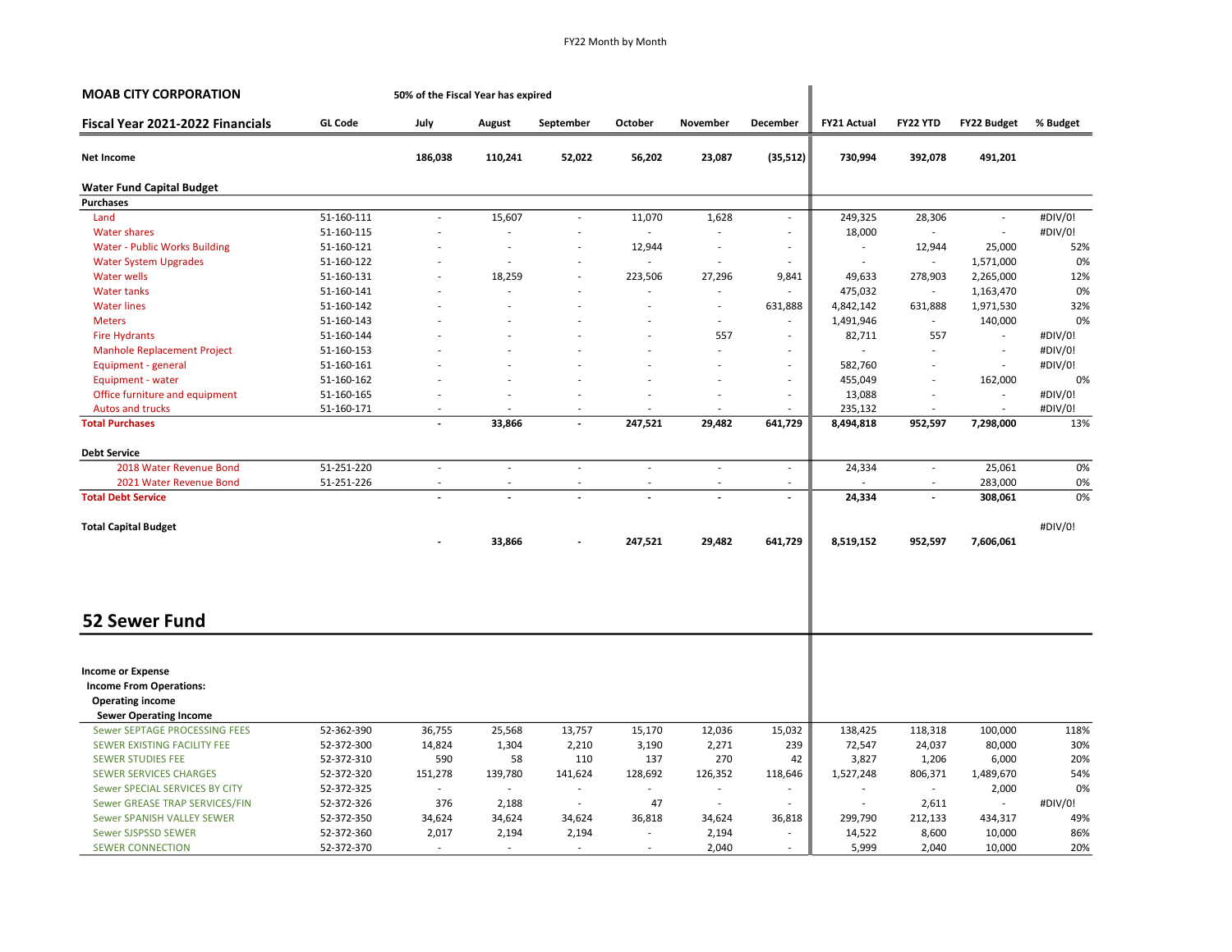| <b>MOAB CITY CORPORATION</b>                                                          |                | 50% of the Fiscal Year has expired |                          |                          |                          |                          |                          |                          |                |                          |          |
|---------------------------------------------------------------------------------------|----------------|------------------------------------|--------------------------|--------------------------|--------------------------|--------------------------|--------------------------|--------------------------|----------------|--------------------------|----------|
| Fiscal Year 2021-2022 Financials                                                      | <b>GL Code</b> | July                               | August                   | September                | October                  | November                 | December                 | <b>FY21 Actual</b>       | FY22 YTD       | FY22 Budget              | % Budget |
| Net Income                                                                            |                | 186,038                            | 110,241                  | 52,022                   | 56,202                   | 23,087                   | (35,512)                 | 730,994                  | 392,078        | 491,201                  |          |
| <b>Water Fund Capital Budget</b>                                                      |                |                                    |                          |                          |                          |                          |                          |                          |                |                          |          |
| <b>Purchases</b>                                                                      |                |                                    |                          |                          |                          |                          |                          |                          |                |                          |          |
| Land                                                                                  | 51-160-111     | ÷,                                 | 15,607                   | $\overline{\phantom{a}}$ | 11,070                   | 1,628                    | $\sim$                   | 249,325                  | 28,306         | $\sim$                   | #DIV/0!  |
| <b>Water shares</b>                                                                   | 51-160-115     |                                    |                          |                          |                          |                          | $\sim$                   | 18,000                   | ä,             | $\sim$                   | #DIV/0!  |
| Water - Public Works Building                                                         | 51-160-121     |                                    |                          |                          | 12,944                   | $\sim$                   | $\sim$                   |                          | 12,944         | 25,000                   | 52%      |
| <b>Water System Upgrades</b>                                                          | 51-160-122     |                                    |                          |                          |                          | $\sim$                   | $\sim$                   | $\overline{\phantom{a}}$ | $\blacksquare$ | 1,571,000                | 0%       |
| <b>Water wells</b>                                                                    | 51-160-131     |                                    | 18,259                   |                          | 223,506                  | 27,296                   | 9,841                    | 49,633                   | 278,903        | 2,265,000                | 12%      |
| <b>Water tanks</b>                                                                    | 51-160-141     |                                    |                          |                          | $\overline{\phantom{a}}$ | $\overline{\phantom{a}}$ |                          | 475,032                  | $\blacksquare$ | 1,163,470                | 0%       |
| <b>Water lines</b>                                                                    | 51-160-142     |                                    |                          |                          | ÷.                       | $\overline{a}$           | 631,888                  | 4,842,142                | 631,888        | 1,971,530                | 32%      |
| <b>Meters</b>                                                                         | 51-160-143     |                                    |                          |                          |                          | $\sim$                   | $\sim$                   | 1,491,946                | ÷              | 140,000                  | 0%       |
| <b>Fire Hydrants</b>                                                                  | 51-160-144     |                                    |                          |                          |                          | 557                      | $\sim$                   | 82,711                   | 557            | $\overline{\phantom{a}}$ | #DIV/0!  |
| Manhole Replacement Project                                                           | 51-160-153     |                                    |                          |                          |                          | ÷.                       |                          | ÷.                       | ä,             | $\sim$                   | #DIV/0!  |
| Equipment - general                                                                   | 51-160-161     |                                    |                          |                          |                          | ٠                        | $\sim$                   | 582,760                  | ä,             | $\sim$                   | #DIV/0!  |
| Equipment - water                                                                     | 51-160-162     |                                    |                          |                          |                          |                          | $\sim$                   | 455,049                  |                | 162,000                  | 0%       |
| Office furniture and equipment                                                        | 51-160-165     |                                    |                          |                          |                          |                          | $\overline{\phantom{a}}$ | 13,088                   | ÷,             | $\sim$                   | #DIV/0!  |
| Autos and trucks                                                                      | 51-160-171     |                                    |                          |                          |                          |                          |                          | 235,132                  |                |                          | #DIV/0!  |
| <b>Total Purchases</b>                                                                |                | $\overline{a}$                     | 33,866                   | $\overline{a}$           | 247,521                  | 29,482                   | 641,729                  | 8,494,818                | 952,597        | 7,298,000                | 13%      |
| <b>Debt Service</b>                                                                   |                |                                    |                          |                          |                          |                          |                          |                          |                |                          |          |
| 2018 Water Revenue Bond                                                               | 51-251-220     | $\overline{\phantom{a}}$           | $\overline{\phantom{a}}$ | $\bar{a}$                | ÷,                       | $\overline{\phantom{a}}$ | $\overline{\phantom{a}}$ | 24,334                   | $\sim$         | 25,061                   | 0%       |
| 2021 Water Revenue Bond                                                               | 51-251-226     |                                    |                          |                          |                          |                          | $\overline{\phantom{a}}$ |                          |                | 283,000                  | 0%       |
| <b>Total Debt Service</b>                                                             |                | $\overline{a}$                     |                          | $\blacksquare$           | $\overline{a}$           | $\overline{\phantom{a}}$ | $\blacksquare$           | 24,334                   | $\overline{a}$ | 308,061                  | 0%       |
| <b>Total Capital Budget</b>                                                           |                |                                    |                          |                          |                          |                          |                          |                          |                |                          | #DIV/0!  |
|                                                                                       |                |                                    | 33,866                   |                          | 247,521                  | 29,482                   | 641,729                  | 8,519,152                | 952,597        | 7,606,061                |          |
| <b>52 Sewer Fund</b>                                                                  |                |                                    |                          |                          |                          |                          |                          |                          |                |                          |          |
| <b>Income or Expense</b><br><b>Income From Operations:</b><br><b>Operating income</b> |                |                                    |                          |                          |                          |                          |                          |                          |                |                          |          |
| <b>Sewer Operating Income</b>                                                         |                |                                    |                          |                          |                          |                          |                          |                          |                |                          |          |
| Sewer SEPTAGE PROCESSING FEES                                                         | 52-362-390     | 36,755                             | 25,568                   | 13,757                   | 15,170                   | 12,036                   | 15,032                   | 138,425                  | 118,318        | 100,000                  | 118%     |
| SEWER EXISTING FACILITY FEE                                                           | 52-372-300     | 14,824                             | 1,304                    | 2,210                    | 3,190                    | 2,271                    | 239                      | 72,547                   | 24,037         | 80,000                   | 30%      |
| <b>SEWER STUDIES FEE</b>                                                              | 52-372-310     | 590                                | 58                       | 110                      | 137                      | 270                      | 42                       | 3,827                    | 1,206          | 6,000                    | 20%      |
| <b>SEWER SERVICES CHARGES</b>                                                         | 52-372-320     | 151,278                            | 139,780                  | 141,624                  | 128,692                  | 126,352                  | 118,646                  | 1,527,248                | 806,371        | 1,489,670                | 54%      |
| Sewer SPECIAL SERVICES BY CITY                                                        | 52-372-325     |                                    |                          | $\overline{\phantom{a}}$ | $\sim$                   | $\sim$                   | $\overline{\phantom{a}}$ |                          | ÷.             | 2,000                    | 0%       |
| Sewer GREASE TRAP SERVICES/FIN                                                        | 52-372-326     | 376                                | 2,188                    | $\sim$                   | 47                       | $\sim$                   |                          |                          | 2,611          | $\overline{\phantom{a}}$ | #DIV/0!  |
| Sewer SPANISH VALLEY SEWER                                                            | 52-372-350     | 34,624                             | 34,624                   | 34,624                   | 36,818                   | 34,624                   | 36,818                   | 299,790                  | 212,133        | 434,317                  | 49%      |
| Sewer SJSPSSD SEWER                                                                   | 52-372-360     | 2,017                              | 2,194                    | 2,194                    | $\sim$                   | 2,194                    | $\sim$                   | 14,522                   | 8,600          | 10,000                   | 86%      |
| <b>SEWER CONNECTION</b>                                                               | 52-372-370     | $\sim$                             | $\overline{\phantom{a}}$ | $\sim$                   | $\sim$                   | 2,040                    | $\sim$                   | 5,999                    | 2,040          | 10,000                   | 20%      |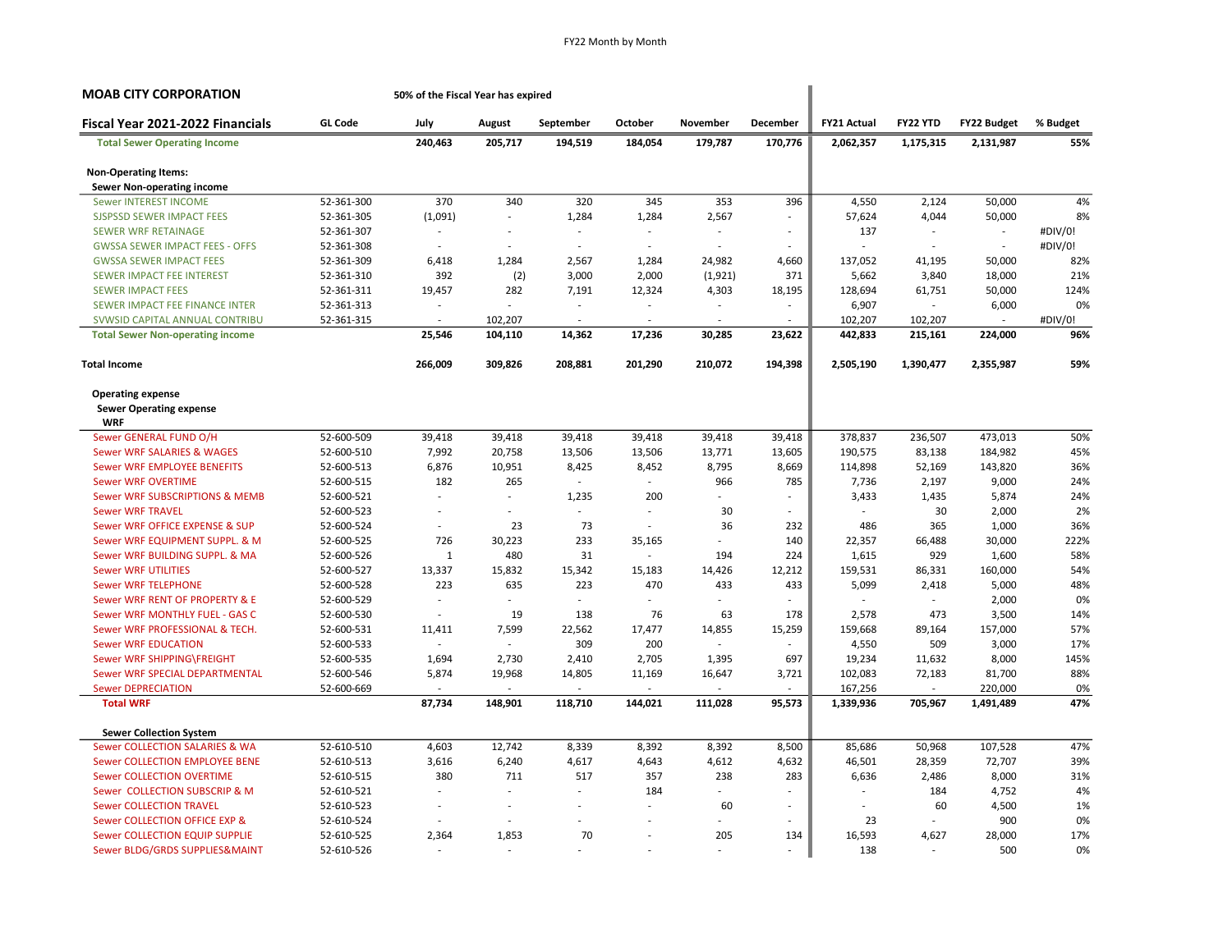| <b>MOAB CITY CORPORATION</b>                 |                | 50% of the Fiscal Year has expired |                |           |                          |          |          |                    |           |                    |           |
|----------------------------------------------|----------------|------------------------------------|----------------|-----------|--------------------------|----------|----------|--------------------|-----------|--------------------|-----------|
| Fiscal Year 2021-2022 Financials             | <b>GL Code</b> | July                               | August         | September | October                  | November | December | <b>FY21 Actual</b> | FY22 YTD  | <b>FY22 Budget</b> | % Budget  |
| <b>Total Sewer Operating Income</b>          |                | 240,463                            | 205,717        | 194,519   | 184,054                  | 179,787  | 170,776  | 2,062,357          | 1,175,315 | 2,131,987          | 55%       |
| <b>Non-Operating Items:</b>                  |                |                                    |                |           |                          |          |          |                    |           |                    |           |
| <b>Sewer Non-operating income</b>            |                |                                    |                |           |                          |          |          |                    |           |                    |           |
| <b>Sewer INTEREST INCOME</b>                 | 52-361-300     | 370                                | 340            | 320       | 345                      | 353      | 396      | 4,550              | 2,124     | 50,000             | 4%        |
| <b>SJSPSSD SEWER IMPACT FEES</b>             | 52-361-305     | (1,091)                            | $\overline{a}$ | 1,284     | 1,284                    | 2,567    | ä,       | 57,624             | 4,044     | 50,000             | 8%        |
| <b>SEWER WRF RETAINAGE</b>                   | 52-361-307     | ÷.                                 |                | ÷         |                          | $\sim$   | ÷        | 137                | ÷.        | ÷.                 | #DIV/0!   |
| <b>GWSSA SEWER IMPACT FEES - OFFS</b>        | 52-361-308     | $\overline{\phantom{a}}$           |                | $\sim$    |                          |          |          |                    |           | $\sim$             | #DIV/0!   |
| <b>GWSSA SEWER IMPACT FEES</b>               | 52-361-309     | 6,418                              | 1,284          | 2,567     | 1,284                    | 24,982   | 4,660    | 137,052            | 41,195    | 50,000             | 82%       |
| SEWER IMPACT FEE INTEREST                    | 52-361-310     | 392                                | (2)            | 3,000     | 2,000                    | (1,921)  | 371      | 5,662              | 3,840     | 18,000             | 21%       |
| <b>SEWER IMPACT FEES</b>                     | 52-361-311     | 19,457                             | 282            | 7,191     | 12,324                   | 4,303    | 18,195   | 128,694            | 61,751    | 50,000             | 124%      |
| SEWER IMPACT FEE FINANCE INTER               | 52-361-313     | ä,                                 |                | $\sim$    | $\overline{\phantom{a}}$ | ÷.       | $\sim$   | 6,907              | ÷         | 6,000              | 0%        |
| SVWSID CAPITAL ANNUAL CONTRIBU               | 52-361-315     | Ĭ.                                 | 102,207        | $\sim$    |                          | ÷.       |          | 102,207            | 102,207   |                    | #DIV/0!   |
| <b>Total Sewer Non-operating income</b>      |                | 25,546                             | 104,110        | 14,362    | 17,236                   | 30,285   | 23,622   | 442,833            | 215,161   | 224,000            | 96%       |
| <b>Total Income</b>                          |                | 266,009                            | 309,826        | 208,881   | 201,290                  | 210,072  | 194,398  | 2,505,190          | 1,390,477 | 2,355,987          | 59%       |
| <b>Operating expense</b>                     |                |                                    |                |           |                          |          |          |                    |           |                    |           |
| <b>Sewer Operating expense</b><br><b>WRF</b> |                |                                    |                |           |                          |          |          |                    |           |                    |           |
| Sewer GENERAL FUND O/H                       | 52-600-509     | 39,418                             | 39,418         | 39,418    | 39,418                   | 39,418   | 39,418   | 378,837            | 236,507   | 473,013            | 50%       |
| <b>Sewer WRF SALARIES &amp; WAGES</b>        | 52-600-510     | 7,992                              | 20,758         | 13,506    | 13,506                   | 13,771   | 13,605   | 190,575            | 83,138    | 184,982            | 45%       |
| Sewer WRF EMPLOYEE BENEFITS                  | 52-600-513     | 6,876                              | 10,951         | 8,425     | 8,452                    | 8,795    | 8,669    | 114,898            | 52,169    | 143,820            | 36%       |
| <b>Sewer WRF OVERTIME</b>                    | 52-600-515     | 182                                | 265            |           | ÷                        | 966      | 785      | 7,736              | 2,197     | 9,000              | 24%       |
| <b>Sewer WRF SUBSCRIPTIONS &amp; MEMB</b>    | 52-600-521     | ä,                                 | $\overline{a}$ | 1,235     | 200                      | ÷.       | ÷        | 3,433              | 1,435     | 5,874              | 24%       |
| <b>Sewer WRF TRAVEL</b>                      | 52-600-523     | ÷,                                 | ÷              |           | $\overline{\phantom{a}}$ | 30       | $\sim$   |                    | 30        | 2,000              | 2%        |
| Sewer WRF OFFICE EXPENSE & SUP               | 52-600-524     |                                    | 23             | 73        |                          | 36       | 232      | 486                | 365       | 1,000              | 36%       |
| Sewer WRF EQUIPMENT SUPPL. & M               | 52-600-525     | 726                                | 30,223         | 233       | 35,165                   |          | 140      | 22,357             | 66,488    | 30,000             | 222%      |
| Sewer WRF BUILDING SUPPL. & MA               | 52-600-526     | $\mathbf{1}$                       | 480            | 31        | $\sim$                   | 194      | 224      | 1,615              | 929       | 1,600              | 58%       |
| <b>Sewer WRF UTILITIES</b>                   | 52-600-527     | 13,337                             | 15,832         | 15,342    | 15,183                   | 14,426   | 12,212   | 159,531            | 86,331    | 160,000            | 54%       |
| <b>Sewer WRF TELEPHONE</b>                   | 52-600-528     | 223                                | 635            | 223       | 470                      | 433      | 433      | 5,099              | 2,418     | 5,000              | 48%       |
| Sewer WRF RENT OF PROPERTY & E               | 52-600-529     |                                    |                | ÷         | ä,                       | ÷.       |          |                    | $\sim$    | 2,000              | 0%        |
| Sewer WRF MONTHLY FUEL - GAS C               | 52-600-530     |                                    | 19             | 138       | 76                       | 63       | 178      | 2,578              | 473       | 3,500              | 14%       |
| Sewer WRF PROFESSIONAL & TECH.               | 52-600-531     | 11,411                             | 7,599          | 22,562    | 17,477                   | 14,855   | 15,259   | 159,668            | 89,164    | 157,000            | 57%       |
| <b>Sewer WRF EDUCATION</b>                   | 52-600-533     | ÷                                  | $\sim$         | 309       | 200                      | ÷        | $\sim$   | 4,550              | 509       | 3,000              | 17%       |
| Sewer WRF SHIPPING\FREIGHT                   | 52-600-535     | 1,694                              | 2,730          | 2,410     | 2,705                    | 1,395    | 697      | 19,234             | 11,632    | 8,000              | 145%      |
| Sewer WRF SPECIAL DEPARTMENTAL               | 52-600-546     | 5,874                              | 19,968         | 14,805    | 11,169                   | 16,647   | 3,721    | 102,083            | 72,183    | 81,700             | 88%       |
| <b>Sewer DEPRECIATION</b>                    | 52-600-669     |                                    | $\sim$         |           | $\overline{\phantom{a}}$ | $\sim$   |          | 167,256            | $\sim$    | 220,000            | 0%        |
| <b>Total WRF</b>                             |                | 87,734                             | 148,901        | 118,710   | 144,021                  | 111,028  | 95,573   | 1,339,936          | 705,967   | 1,491,489          | 47%       |
|                                              |                |                                    |                |           |                          |          |          |                    |           |                    |           |
| <b>Sewer Collection System</b>               |                |                                    |                |           |                          |          |          |                    |           |                    |           |
| Sewer COLLECTION SALARIES & WA               | 52-610-510     | 4,603                              | 12,742         | 8,339     | 8,392                    | 8,392    | 8,500    | 85,686             | 50,968    | 107,528            | 47%       |
| Sewer COLLECTION EMPLOYEE BENE               | 52-610-513     | 3,616                              | 6,240          | 4,617     | 4,643                    | 4,612    | 4,632    | 46,501             | 28,359    | 72,707             | 39%       |
| <b>Sewer COLLECTION OVERTIME</b>             | 52-610-515     | 380                                | 711            | 517       | 357                      | 238      | 283      | 6,636              | 2,486     | 8,000              | 31%       |
| Sewer COLLECTION SUBSCRIP & M                | 52-610-521     | ä,                                 | ÷.             | ÷         | 184                      | ÷        | ÷        |                    | 184       | 4,752              | 4%        |
| <b>Sewer COLLECTION TRAVEL</b>               | 52-610-523     |                                    |                |           |                          | 60       |          |                    | 60        | 4,500              | 1%        |
| Sewer COLLECTION OFFICE EXP &                | 52-610-524     |                                    |                |           |                          |          | ÷        | 23                 | ÷         | 900                | 0%        |
| Sewer COLLECTION EQUIP SUPPLIE               | 52-610-525     | 2,364                              | 1,853          | 70        |                          | 205      | 134      | 16,593             | 4,627     | 28,000<br>500      | 17%<br>0% |
| Sewer BLDG/GRDS SUPPLIES&MAINT               | 52-610-526     |                                    |                |           |                          |          |          | 138                |           |                    |           |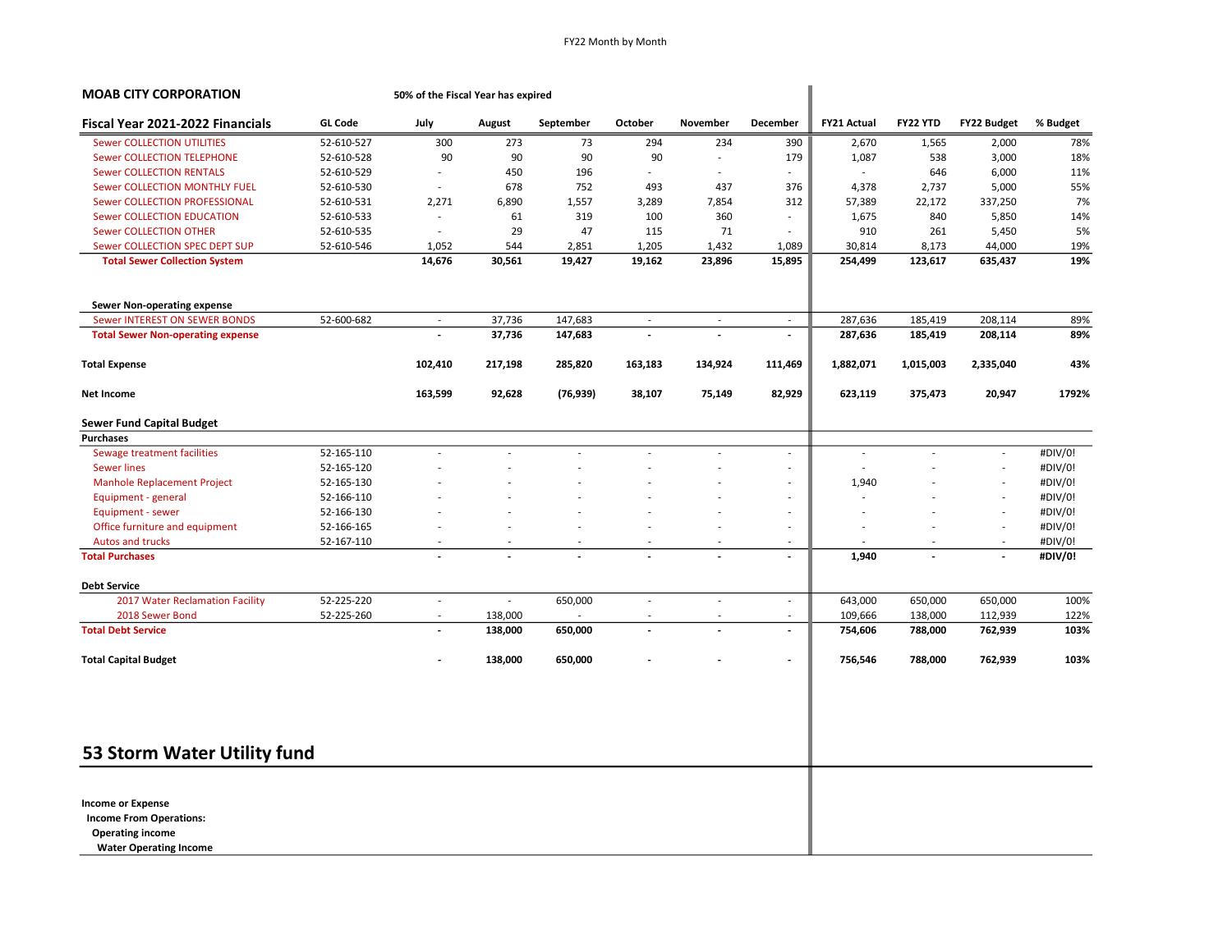| September<br>October<br>73<br>90<br>196<br>752<br>1,557<br>319<br>47<br>2,851<br>1,205<br>19,427<br>19,162<br>147,683<br>$\sim$<br>147,683<br>285,820<br>163,183<br>(76, 939)<br>38,107 | November<br>294<br>90<br>$\sim$<br>493<br>3,289<br>100<br>115 | 234<br>÷.<br>ä,<br>437<br>7,854<br>360<br>71<br>1,432<br>23,896<br>$\overline{\phantom{a}}$<br>134,924<br>75,149 | December<br>390<br>179<br>$\overline{\phantom{a}}$<br>376<br>312<br>÷,<br>÷,<br>1,089<br>15,895<br>$\sim$<br>$\overline{a}$<br>111,469<br>82,929<br>$\overline{\phantom{a}}$<br>$\overline{\phantom{a}}$<br>÷,<br>÷, | <b>FY21 Actual</b><br>2,670<br>1,087<br>4,378<br>57,389<br>1,675<br>910<br>30,814<br>254,499<br>287,636<br>287,636<br>1,882,071<br>623,119<br>$\sim$<br>÷<br>1,940 | FY22 YTD<br>1,565<br>538<br>646<br>2,737<br>22,172<br>840<br>261<br>8,173<br>123,617<br>185,419<br>185,419<br>1,015,003<br>375,473 | FY22 Budget<br>2,000<br>3,000<br>6,000<br>5,000<br>337,250<br>5,850<br>5,450<br>44,000<br>635,437<br>208,114<br>208,114<br>2,335,040<br>20,947<br>÷.<br>$\overline{\phantom{a}}$ | % Budget<br>78%<br>18%<br>11%<br>55%<br>7%<br>14%<br>5%<br>19%<br>19%<br>89%<br>89%<br>43%<br>1792%<br>#DIV/0!<br>#DIV/0!<br>#DIV/0! |
|-----------------------------------------------------------------------------------------------------------------------------------------------------------------------------------------|---------------------------------------------------------------|------------------------------------------------------------------------------------------------------------------|----------------------------------------------------------------------------------------------------------------------------------------------------------------------------------------------------------------------|--------------------------------------------------------------------------------------------------------------------------------------------------------------------|------------------------------------------------------------------------------------------------------------------------------------|----------------------------------------------------------------------------------------------------------------------------------------------------------------------------------|--------------------------------------------------------------------------------------------------------------------------------------|
|                                                                                                                                                                                         |                                                               |                                                                                                                  |                                                                                                                                                                                                                      |                                                                                                                                                                    |                                                                                                                                    |                                                                                                                                                                                  |                                                                                                                                      |
|                                                                                                                                                                                         |                                                               |                                                                                                                  |                                                                                                                                                                                                                      |                                                                                                                                                                    |                                                                                                                                    |                                                                                                                                                                                  |                                                                                                                                      |
|                                                                                                                                                                                         |                                                               |                                                                                                                  |                                                                                                                                                                                                                      |                                                                                                                                                                    |                                                                                                                                    |                                                                                                                                                                                  |                                                                                                                                      |
|                                                                                                                                                                                         |                                                               |                                                                                                                  |                                                                                                                                                                                                                      |                                                                                                                                                                    |                                                                                                                                    |                                                                                                                                                                                  |                                                                                                                                      |
|                                                                                                                                                                                         |                                                               |                                                                                                                  |                                                                                                                                                                                                                      |                                                                                                                                                                    |                                                                                                                                    |                                                                                                                                                                                  |                                                                                                                                      |
|                                                                                                                                                                                         |                                                               |                                                                                                                  |                                                                                                                                                                                                                      |                                                                                                                                                                    |                                                                                                                                    |                                                                                                                                                                                  |                                                                                                                                      |
|                                                                                                                                                                                         |                                                               |                                                                                                                  |                                                                                                                                                                                                                      |                                                                                                                                                                    |                                                                                                                                    |                                                                                                                                                                                  |                                                                                                                                      |
|                                                                                                                                                                                         |                                                               |                                                                                                                  |                                                                                                                                                                                                                      |                                                                                                                                                                    |                                                                                                                                    |                                                                                                                                                                                  |                                                                                                                                      |
|                                                                                                                                                                                         |                                                               |                                                                                                                  |                                                                                                                                                                                                                      |                                                                                                                                                                    |                                                                                                                                    |                                                                                                                                                                                  |                                                                                                                                      |
|                                                                                                                                                                                         |                                                               |                                                                                                                  |                                                                                                                                                                                                                      |                                                                                                                                                                    |                                                                                                                                    |                                                                                                                                                                                  |                                                                                                                                      |
|                                                                                                                                                                                         |                                                               |                                                                                                                  |                                                                                                                                                                                                                      |                                                                                                                                                                    |                                                                                                                                    |                                                                                                                                                                                  |                                                                                                                                      |
|                                                                                                                                                                                         |                                                               |                                                                                                                  |                                                                                                                                                                                                                      |                                                                                                                                                                    |                                                                                                                                    |                                                                                                                                                                                  |                                                                                                                                      |
|                                                                                                                                                                                         |                                                               |                                                                                                                  |                                                                                                                                                                                                                      |                                                                                                                                                                    |                                                                                                                                    |                                                                                                                                                                                  |                                                                                                                                      |
|                                                                                                                                                                                         |                                                               |                                                                                                                  |                                                                                                                                                                                                                      |                                                                                                                                                                    |                                                                                                                                    |                                                                                                                                                                                  |                                                                                                                                      |
|                                                                                                                                                                                         |                                                               |                                                                                                                  |                                                                                                                                                                                                                      |                                                                                                                                                                    |                                                                                                                                    |                                                                                                                                                                                  |                                                                                                                                      |
|                                                                                                                                                                                         |                                                               |                                                                                                                  |                                                                                                                                                                                                                      |                                                                                                                                                                    |                                                                                                                                    |                                                                                                                                                                                  |                                                                                                                                      |
|                                                                                                                                                                                         |                                                               |                                                                                                                  |                                                                                                                                                                                                                      |                                                                                                                                                                    |                                                                                                                                    |                                                                                                                                                                                  |                                                                                                                                      |
|                                                                                                                                                                                         |                                                               |                                                                                                                  |                                                                                                                                                                                                                      |                                                                                                                                                                    |                                                                                                                                    |                                                                                                                                                                                  |                                                                                                                                      |
|                                                                                                                                                                                         |                                                               |                                                                                                                  |                                                                                                                                                                                                                      |                                                                                                                                                                    |                                                                                                                                    |                                                                                                                                                                                  |                                                                                                                                      |
|                                                                                                                                                                                         |                                                               |                                                                                                                  |                                                                                                                                                                                                                      |                                                                                                                                                                    |                                                                                                                                    |                                                                                                                                                                                  |                                                                                                                                      |
|                                                                                                                                                                                         |                                                               |                                                                                                                  |                                                                                                                                                                                                                      |                                                                                                                                                                    |                                                                                                                                    | J.                                                                                                                                                                               | #DIV/0!                                                                                                                              |
|                                                                                                                                                                                         |                                                               |                                                                                                                  | ٠                                                                                                                                                                                                                    |                                                                                                                                                                    |                                                                                                                                    | $\overline{\phantom{a}}$                                                                                                                                                         | #DIV/0!                                                                                                                              |
|                                                                                                                                                                                         |                                                               |                                                                                                                  | $\overline{\phantom{a}}$                                                                                                                                                                                             |                                                                                                                                                                    |                                                                                                                                    | $\overline{\phantom{a}}$                                                                                                                                                         | #DIV/0!                                                                                                                              |
|                                                                                                                                                                                         |                                                               | $\overline{\phantom{a}}$                                                                                         | $\overline{\phantom{a}}$                                                                                                                                                                                             |                                                                                                                                                                    |                                                                                                                                    | $\overline{\phantom{a}}$                                                                                                                                                         | #DIV/0!                                                                                                                              |
|                                                                                                                                                                                         |                                                               |                                                                                                                  | $\centerdot$                                                                                                                                                                                                         | 1,940                                                                                                                                                              |                                                                                                                                    | $\overline{a}$                                                                                                                                                                   | #DIV/0!                                                                                                                              |
|                                                                                                                                                                                         |                                                               |                                                                                                                  |                                                                                                                                                                                                                      |                                                                                                                                                                    |                                                                                                                                    |                                                                                                                                                                                  |                                                                                                                                      |
| 650,000                                                                                                                                                                                 |                                                               | ä,                                                                                                               | $\overline{\phantom{a}}$                                                                                                                                                                                             | 643,000                                                                                                                                                            | 650,000                                                                                                                            | 650,000                                                                                                                                                                          | 100%                                                                                                                                 |
|                                                                                                                                                                                         |                                                               | ÷,                                                                                                               | $\overline{\phantom{a}}$                                                                                                                                                                                             | 109,666                                                                                                                                                            | 138,000                                                                                                                            | 112,939                                                                                                                                                                          | 122%                                                                                                                                 |
| 650,000                                                                                                                                                                                 |                                                               | $\overline{a}$                                                                                                   | $\overline{\phantom{a}}$                                                                                                                                                                                             | 754,606                                                                                                                                                            | 788,000                                                                                                                            | 762,939                                                                                                                                                                          | 103%                                                                                                                                 |
| 650,000                                                                                                                                                                                 |                                                               |                                                                                                                  | $\overline{\phantom{a}}$                                                                                                                                                                                             | 756,546                                                                                                                                                            | 788,000                                                                                                                            | 762,939                                                                                                                                                                          | 103%                                                                                                                                 |
|                                                                                                                                                                                         |                                                               | $\sim$<br>$\overline{\phantom{a}}$                                                                               |                                                                                                                                                                                                                      |                                                                                                                                                                    |                                                                                                                                    |                                                                                                                                                                                  |                                                                                                                                      |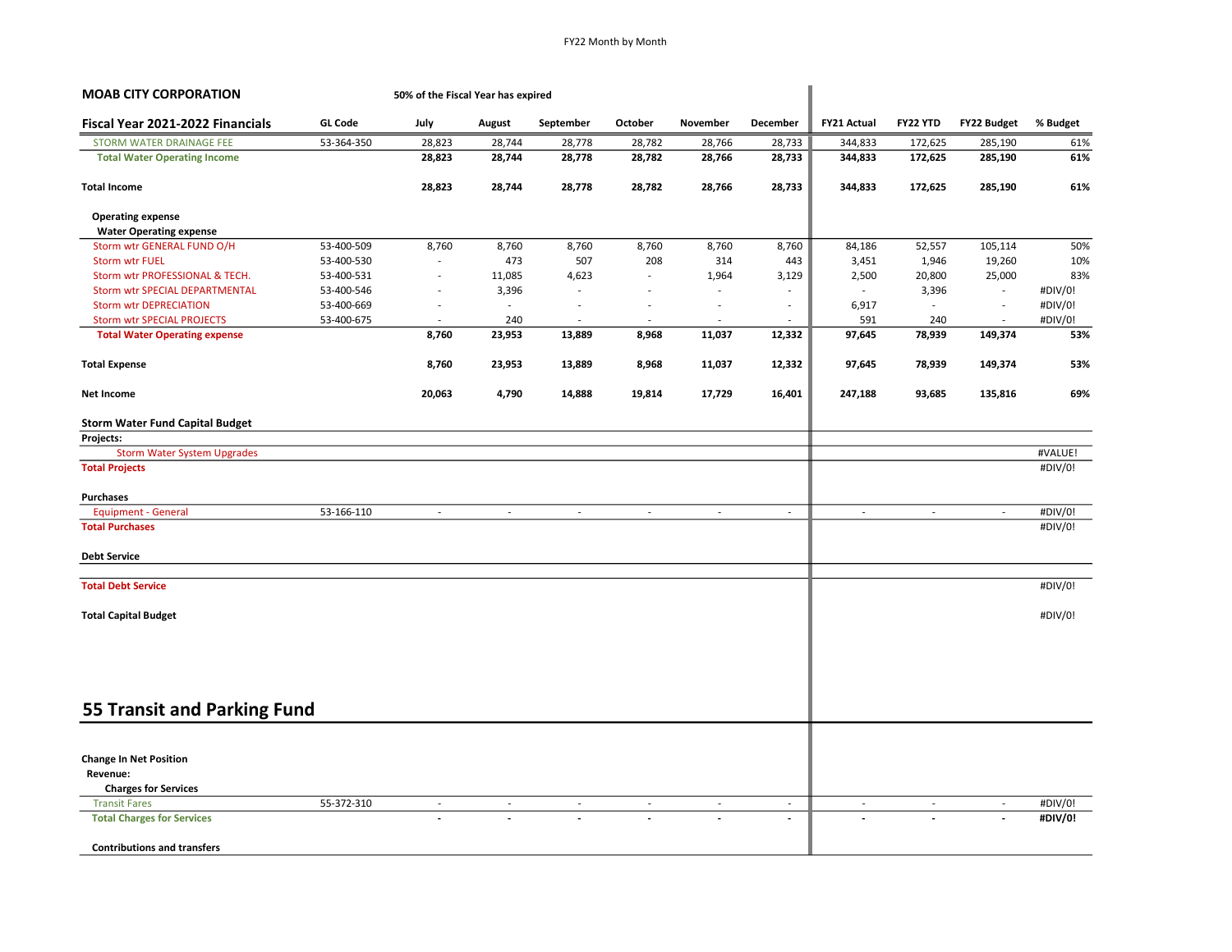| <b>MOAB CITY CORPORATION</b>           | 50% of the Fiscal Year has expired |                          |                          |                          |                          |          |                          |                          |          |                    |          |
|----------------------------------------|------------------------------------|--------------------------|--------------------------|--------------------------|--------------------------|----------|--------------------------|--------------------------|----------|--------------------|----------|
| Fiscal Year 2021-2022 Financials       | <b>GL Code</b>                     | July                     | August                   | September                | October                  | November | December                 | <b>FY21 Actual</b>       | FY22 YTD | <b>FY22 Budget</b> | % Budget |
| STORM WATER DRAINAGE FEE               | 53-364-350                         | 28,823                   | 28,744                   | 28,778                   | 28,782                   | 28,766   | 28,733                   | 344,833                  | 172,625  | 285,190            | 61%      |
| <b>Total Water Operating Income</b>    |                                    | 28,823                   | 28,744                   | 28,778                   | 28,782                   | 28,766   | 28,733                   | 344,833                  | 172,625  | 285,190            | 61%      |
| <b>Total Income</b>                    |                                    | 28,823                   | 28,744                   | 28,778                   | 28,782                   | 28,766   | 28,733                   | 344,833                  | 172,625  | 285,190            | 61%      |
| <b>Operating expense</b>               |                                    |                          |                          |                          |                          |          |                          |                          |          |                    |          |
| <b>Water Operating expense</b>         |                                    |                          |                          |                          |                          |          |                          |                          |          |                    |          |
| Storm wtr GENERAL FUND O/H             | 53-400-509                         | 8,760                    | 8,760                    | 8,760                    | 8,760                    | 8,760    | 8,760                    | 84,186                   | 52,557   | 105,114            | 50%      |
| <b>Storm wtr FUEL</b>                  | 53-400-530                         |                          | 473                      | 507                      | 208                      | 314      | 443                      | 3,451                    | 1,946    | 19,260             | 10%      |
| Storm wtr PROFESSIONAL & TECH.         | 53-400-531                         | $\overline{\phantom{a}}$ | 11,085                   | 4,623                    | $\overline{\phantom{a}}$ | 1,964    | 3,129                    | 2,500                    | 20,800   | 25,000             | 83%      |
| Storm wtr SPECIAL DEPARTMENTAL         | 53-400-546                         | ÷,                       | 3,396                    | $\overline{\phantom{a}}$ |                          | ä,       | $\overline{\phantom{a}}$ |                          | 3,396    | $\sim$             | #DIV/0!  |
| <b>Storm wtr DEPRECIATION</b>          | 53-400-669                         | ÷.                       | $\overline{\phantom{a}}$ |                          | ä,                       | ÷.       | $\sim$                   | 6,917                    | $\sim$   | $\sim$             | #DIV/0!  |
| <b>Storm wtr SPECIAL PROJECTS</b>      | 53-400-675                         | ÷.                       | 240                      | ÷.                       | ä,                       | ÷.       | $\overline{\phantom{a}}$ | 591                      | 240      | ÷.                 | #DIV/0!  |
| <b>Total Water Operating expense</b>   |                                    | 8,760                    | 23,953                   | 13,889                   | 8,968                    | 11,037   | 12,332                   | 97,645                   | 78,939   | 149,374            | 53%      |
| <b>Total Expense</b>                   |                                    | 8,760                    | 23,953                   | 13,889                   | 8,968                    | 11,037   | 12,332                   | 97,645                   | 78,939   | 149,374            | 53%      |
| Net Income                             |                                    | 20,063                   | 4,790                    | 14,888                   | 19,814                   | 17,729   | 16,401                   | 247,188                  | 93,685   | 135,816            | 69%      |
| <b>Storm Water Fund Capital Budget</b> |                                    |                          |                          |                          |                          |          |                          |                          |          |                    |          |
| Projects:                              |                                    |                          |                          |                          |                          |          |                          |                          |          |                    |          |
| <b>Storm Water System Upgrades</b>     |                                    |                          |                          |                          |                          |          |                          |                          |          |                    | #VALUE!  |
| <b>Total Projects</b>                  |                                    |                          |                          |                          |                          |          |                          |                          |          |                    | #DIV/0!  |
| Purchases                              |                                    |                          |                          |                          |                          |          |                          |                          |          |                    |          |
| <b>Equipment - General</b>             | 53-166-110                         | $\sim$                   | $\sim$                   | $\sim$                   | $\sim$                   | $\sim$   | $\sim$                   | $\sim$                   | $\sim$   | $\sim$             | #DIV/0!  |
| <b>Total Purchases</b>                 |                                    |                          |                          |                          |                          |          |                          |                          |          |                    | #DIV/0!  |
| <b>Debt Service</b>                    |                                    |                          |                          |                          |                          |          |                          |                          |          |                    |          |
| <b>Total Debt Service</b>              |                                    |                          |                          |                          |                          |          |                          |                          |          |                    | #DIV/0!  |
| <b>Total Capital Budget</b>            |                                    |                          |                          |                          |                          |          |                          |                          |          |                    | #DIV/0!  |
|                                        |                                    |                          |                          |                          |                          |          |                          |                          |          |                    |          |
|                                        |                                    |                          |                          |                          |                          |          |                          |                          |          |                    |          |
|                                        |                                    |                          |                          |                          |                          |          |                          |                          |          |                    |          |
| 55 Transit and Parking Fund            |                                    |                          |                          |                          |                          |          |                          |                          |          |                    |          |
|                                        |                                    |                          |                          |                          |                          |          |                          |                          |          |                    |          |
| <b>Change In Net Position</b>          |                                    |                          |                          |                          |                          |          |                          |                          |          |                    |          |
| Revenue:                               |                                    |                          |                          |                          |                          |          |                          |                          |          |                    |          |
| <b>Charges for Services</b>            |                                    |                          |                          |                          |                          |          |                          |                          |          |                    |          |
| <b>Transit Fares</b>                   | 55-372-310                         |                          |                          | $\overline{\phantom{a}}$ |                          | $\sim$   | $\overline{\phantom{a}}$ | $\overline{\phantom{a}}$ |          |                    | #DIV/0!  |
| <b>Total Charges for Services</b>      |                                    |                          |                          |                          |                          |          | $\blacksquare$           | $\overline{a}$           |          |                    | #DIV/0!  |
| <b>Contributions and transfers</b>     |                                    |                          |                          |                          |                          |          |                          |                          |          |                    |          |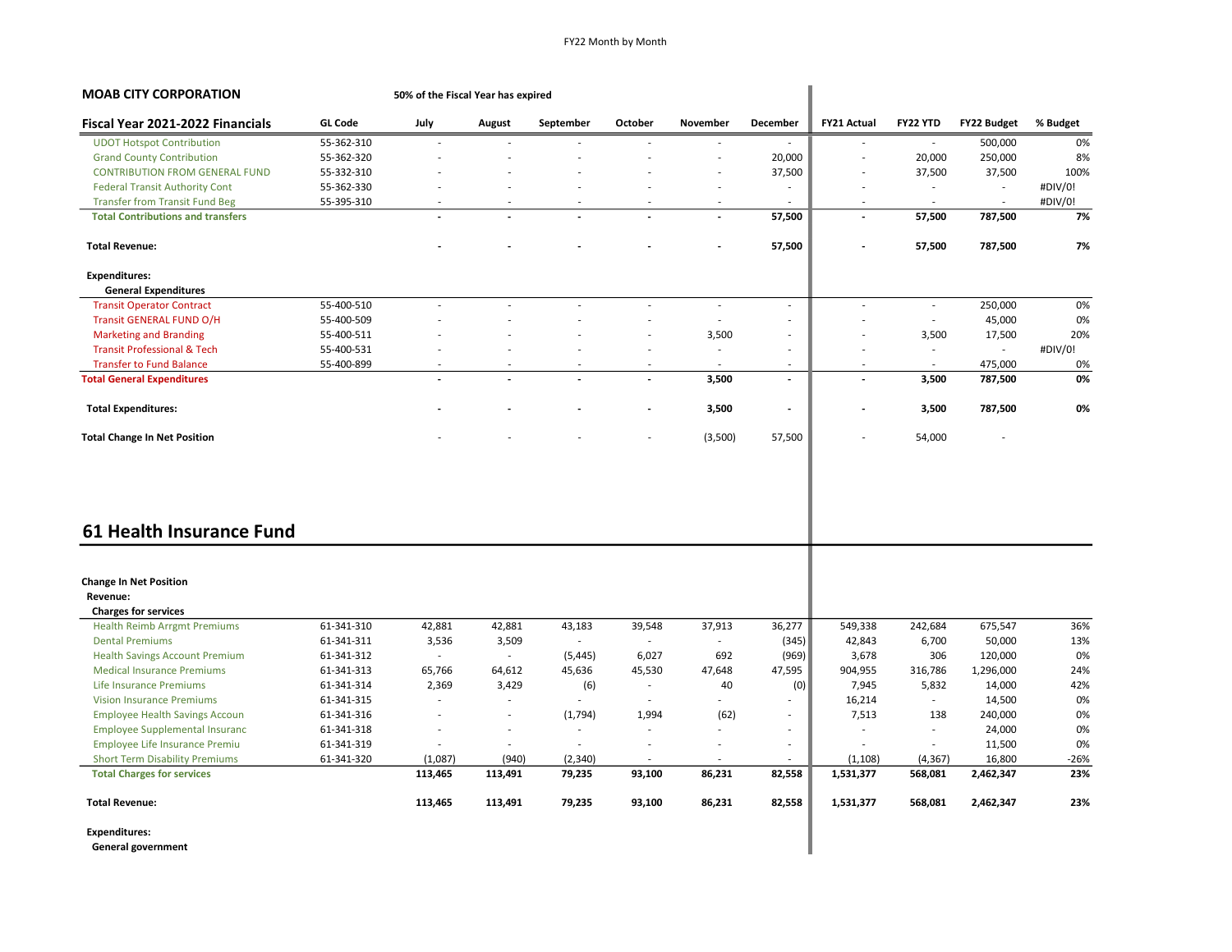| <b>MOAB CITY CORPORATION</b>                      |                | 50% of the Fiscal Year has expired |         |           |                          |                          |                          |                          |          |                    |          |
|---------------------------------------------------|----------------|------------------------------------|---------|-----------|--------------------------|--------------------------|--------------------------|--------------------------|----------|--------------------|----------|
| Fiscal Year 2021-2022 Financials                  | <b>GL Code</b> | July                               | August  | September | October                  | November                 | December                 | <b>FY21 Actual</b>       | FY22 YTD | <b>FY22 Budget</b> | % Budget |
| <b>UDOT Hotspot Contribution</b>                  | 55-362-310     | ÷,                                 |         |           |                          |                          |                          |                          | $\sim$   | 500,000            | 0%       |
| <b>Grand County Contribution</b>                  | 55-362-320     |                                    |         |           |                          |                          | 20,000                   | ÷.                       | 20,000   | 250,000            | 8%       |
| <b>CONTRIBUTION FROM GENERAL FUND</b>             | 55-332-310     |                                    |         |           |                          | $\overline{\phantom{a}}$ | 37,500                   | ä,                       | 37,500   | 37,500             | 100%     |
| <b>Federal Transit Authority Cont</b>             | 55-362-330     |                                    |         |           |                          |                          | $\overline{\phantom{a}}$ | ÷.                       | $\sim$   | $\sim$             | #DIV/0!  |
| <b>Transfer from Transit Fund Beg</b>             | 55-395-310     |                                    |         |           |                          |                          |                          |                          | $\sim$   | $\sim$             | #DIV/0!  |
| <b>Total Contributions and transfers</b>          |                |                                    |         |           | $\overline{a}$           | $\overline{a}$           | 57,500                   | $\overline{a}$           | 57,500   | 787,500            | 7%       |
| <b>Total Revenue:</b>                             |                |                                    |         |           |                          |                          | 57,500                   | $\overline{\phantom{0}}$ | 57,500   | 787,500            | 7%       |
| <b>Expenditures:</b>                              |                |                                    |         |           |                          |                          |                          |                          |          |                    |          |
| <b>General Expenditures</b>                       |                |                                    |         |           |                          |                          |                          |                          |          |                    |          |
| <b>Transit Operator Contract</b>                  | 55-400-510     | $\overline{\phantom{a}}$           |         | ÷         | ÷.                       | $\sim$                   | ÷                        | ÷,                       | $\omega$ | 250,000            | 0%       |
| Transit GENERAL FUND O/H                          | 55-400-509     |                                    |         |           |                          |                          | ä,                       |                          | $\sim$   | 45,000             | 0%       |
| <b>Marketing and Branding</b>                     | 55-400-511     |                                    |         |           | Ĭ.                       | 3,500                    | $\overline{\phantom{a}}$ | ÷,                       | 3,500    | 17,500             | 20%      |
| <b>Transit Professional &amp; Tech</b>            | 55-400-531     | ÷.                                 |         | ÷.        | ä,                       | $\sim$                   | ÷                        | ٠                        | $\sim$   | $\sim$             | #DIV/0!  |
| <b>Transfer to Fund Balance</b>                   | 55-400-899     |                                    |         |           |                          | $\sim$                   | ÷                        | ÷.                       | $\sim$   | 475,000            | 0%       |
| <b>Total General Expenditures</b>                 |                |                                    |         |           |                          | 3,500                    | $\blacksquare$           | $\overline{\phantom{a}}$ | 3,500    | 787,500            | 0%       |
| <b>Total Expenditures:</b>                        |                |                                    |         |           |                          | 3,500                    | $\overline{\phantom{a}}$ |                          | 3,500    | 787,500            | 0%       |
| <b>Total Change In Net Position</b>               |                |                                    |         |           |                          | (3,500)                  | 57,500                   |                          | 54,000   |                    |          |
| 61 Health Insurance Fund                          |                |                                    |         |           |                          |                          |                          |                          |          |                    |          |
| <b>Change In Net Position</b><br>Revenue:         |                |                                    |         |           |                          |                          |                          |                          |          |                    |          |
| <b>Charges for services</b>                       |                |                                    |         |           |                          |                          |                          |                          |          |                    |          |
| <b>Health Reimb Arrgmt Premiums</b>               | 61-341-310     | 42,881                             | 42,881  | 43,183    | 39,548                   | 37,913                   | 36,277                   | 549,338                  | 242,684  | 675,547            | 36%      |
| <b>Dental Premiums</b>                            | 61-341-311     | 3,536                              | 3,509   | $\sim$    | $\overline{\phantom{a}}$ | $\sim$                   | (345)                    | 42,843                   | 6,700    | 50,000             | 13%      |
| <b>Health Savings Account Premium</b>             | 61-341-312     |                                    | $\sim$  | (5, 445)  | 6,027                    | 692                      | (969)                    | 3,678                    | 306      | 120,000            | 0%       |
| <b>Medical Insurance Premiums</b>                 | 61-341-313     | 65,766                             | 64,612  | 45,636    | 45,530                   | 47,648                   | 47,595                   | 904,955                  | 316,786  | 1,296,000          | 24%      |
| Life Insurance Premiums                           | 61-341-314     | 2,369                              | 3,429   | (6)       | $\sim$                   | 40                       | (0)                      | 7,945                    | 5,832    | 14,000             | 42%      |
| <b>Vision Insurance Premiums</b>                  | 61-341-315     | ٠                                  | ÷       |           | $\overline{\phantom{a}}$ |                          |                          | 16,214                   | $\sim$   | 14,500             | 0%       |
| <b>Employee Health Savings Accoun</b>             | 61-341-316     | $\sim$                             | $\sim$  | (1,794)   | 1,994                    | (62)                     | $\overline{\phantom{a}}$ | 7,513                    | 138      | 240,000            | 0%       |
| <b>Employee Supplemental Insuranc</b>             | 61-341-318     | ÷,                                 |         | $\sim$    | ÷,                       |                          | ÷                        | ٠                        | $\sim$   | 24,000             | 0%       |
| <b>Employee Life Insurance Premiu</b>             | 61-341-319     | ÷                                  | ÷       | $\sim$    | $\overline{\phantom{a}}$ |                          | $\overline{\phantom{a}}$ | ÷.                       | $\sim$   | 11,500             | 0%       |
| <b>Short Term Disability Premiums</b>             | 61-341-320     | (1,087)                            | (940)   | (2,340)   |                          |                          |                          | (1, 108)                 | (4, 367) | 16,800             | $-26%$   |
| <b>Total Charges for services</b>                 |                | 113,465                            | 113,491 | 79,235    | 93,100                   | 86,231                   | 82,558                   | 1,531,377                | 568,081  | 2,462,347          | 23%      |
| <b>Total Revenue:</b>                             |                | 113,465                            | 113,491 | 79,235    | 93,100                   | 86,231                   | 82,558                   | 1,531,377                | 568,081  | 2,462,347          | 23%      |
| <b>Expenditures:</b><br><b>General government</b> |                |                                    |         |           |                          |                          |                          |                          |          |                    |          |

General government